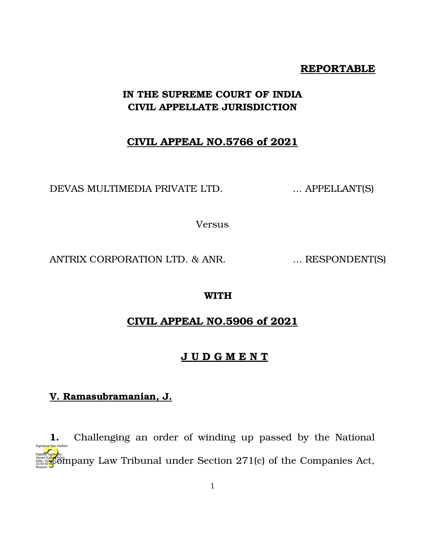#### **REPORTABLE**

# **IN THE SUPREME COURT OF INDIA CIVIL APPELLATE JURISDICTION**

# **CIVIL APPEAL NO.5766 of 2021**

DEVAS MULTIMEDIA PRIVATE LTD. ... APPELLANT(S)

Versus

ANTRIX CORPORATION LTD. & ANR. ... RESPONDENT(S)

#### **WITH**

# **CIVIL APPEAL NO.5906 of 2021**

#### **J U D G M E N T**

# **V. Ramasubramanian, J.**

Reason:

**1.** Challenging an order of winding up passed by the National Designed by the Company Law Tribunal under Section 271(c) of the Companies Act, 15:58:40<sup>1S</sup>F Signature Not Verified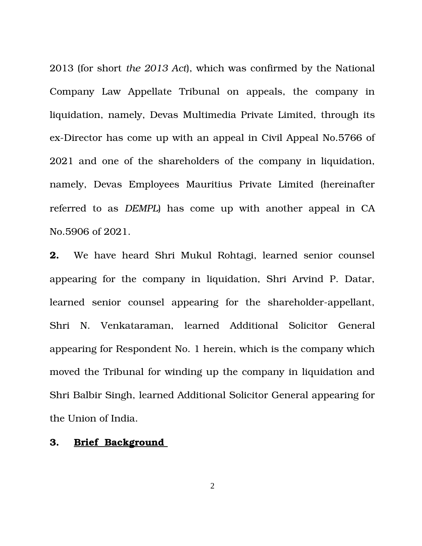2013 (for short *the 2013 Act*), which was confirmed by the National Company Law Appellate Tribunal on appeals, the company in liquidation, namely, Devas Multimedia Private Limited, through its ex-Director has come up with an appeal in Civil Appeal No.5766 of 2021 and one of the shareholders of the company in liquidation, namely, Devas Employees Mauritius Private Limited (hereinafter referred to as *DEMPL*) has come up with another appeal in CA No.5906 of 2021.

**2.** We have heard Shri Mukul Rohtagi, learned senior counsel appearing for the company in liquidation, Shri Arvind P. Datar, learned senior counsel appearing for the shareholder-appellant, Shri N. Venkataraman, learned Additional Solicitor General appearing for Respondent No. 1 herein, which is the company which moved the Tribunal for winding up the company in liquidation and Shri Balbir Singh, learned Additional Solicitor General appearing for the Union of India.

#### **3. Brief Background**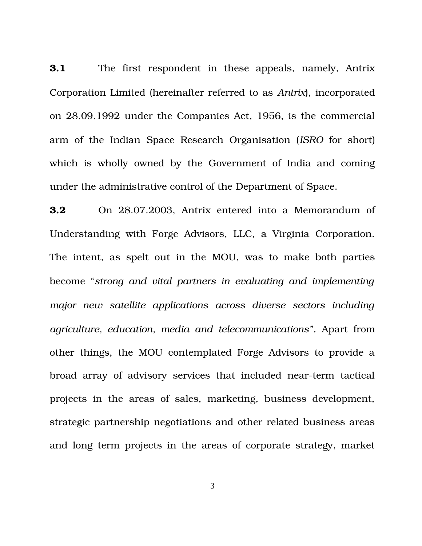**3.1** The first respondent in these appeals, namely, Antrix Corporation Limited (hereinafter referred to as *Antrix*), incorporated on 28.09.1992 under the Companies Act, 1956, is the commercial arm of the Indian Space Research Organisation (*ISRO* for short) which is wholly owned by the Government of India and coming under the administrative control of the Department of Space.

**3.2** On 28.07.2003, Antrix entered into a Memorandum of Understanding with Forge Advisors, LLC, a Virginia Corporation. The intent, as spelt out in the MOU, was to make both parties become "*strong and vital partners in evaluating and implementing major new satellite applications across diverse sectors including agriculture, education, media and telecommunications".* Apart from other things, the MOU contemplated Forge Advisors to provide a broad array of advisory services that included near-term tactical projects in the areas of sales, marketing, business development, strategic partnership negotiations and other related business areas and long term projects in the areas of corporate strategy, market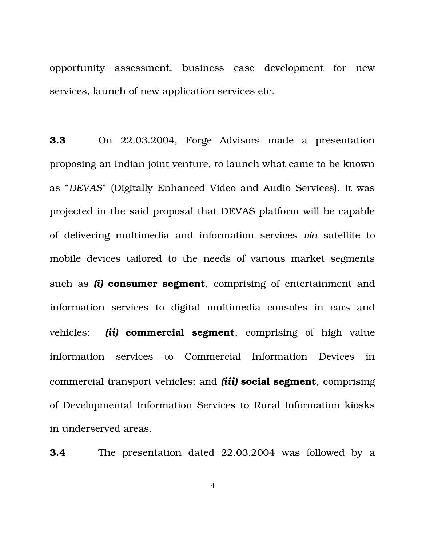opportunity assessment, business case development for new services, launch of new application services etc.

**3.3** On 22.03.2004, Forge Advisors made a presentation proposing an Indian joint venture, to launch what came to be known as "*DEVAS*" (Digitally Enhanced Video and Audio Services). It was projected in the said proposal that DEVAS platform will be capable of delivering multimedia and information services *via* satellite to mobile devices tailored to the needs of various market segments such as *(i)* **consumer segment**, comprising of entertainment and information services to digital multimedia consoles in cars and vehicles; *(ii)* commercial segment, comprising of high value information services to Commercial Information Devices in commercial transport vehicles; and *(iii)* **social segment**, comprising of Developmental Information Services to Rural Information kiosks in underserved areas.

**3.4** The presentation dated 22.03.2004 was followed by a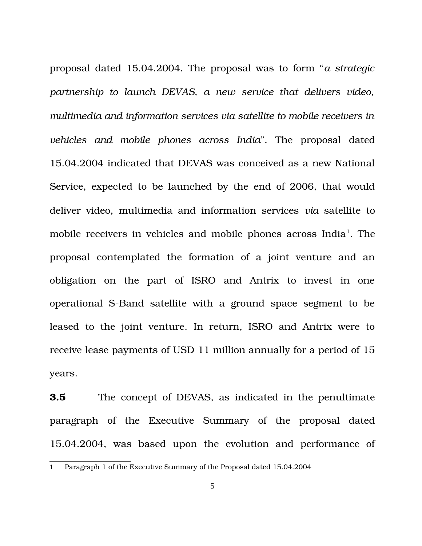proposal dated 15.04.2004. The proposal was to form "*a strategic partnership to launch DEVAS, a new service that delivers video, multimedia and information services via satellite to mobile receivers in vehicles and mobile phones across India*". The proposal dated 15.04.2004 indicated that DEVAS was conceived as a new National Service, expected to be launched by the end of 2006, that would deliver video, multimedia and information services *via* satellite to mobile receivers in vehicles and mobile phones across India<sup>[1](#page-4-0)</sup>. The proposal contemplated the formation of a joint venture and an obligation on the part of ISRO and Antrix to invest in one operational S-Band satellite with a ground space segment to be leased to the joint venture. In return, ISRO and Antrix were to receive lease payments of USD 11 million annually for a period of 15 years.

**3.5** The concept of DEVAS, as indicated in the penultimate paragraph of the Executive Summary of the proposal dated 15.04.2004, was based upon the evolution and performance of

<span id="page-4-0"></span><sup>1</sup> Paragraph 1 of the Executive Summary of the Proposal dated 15.04.2004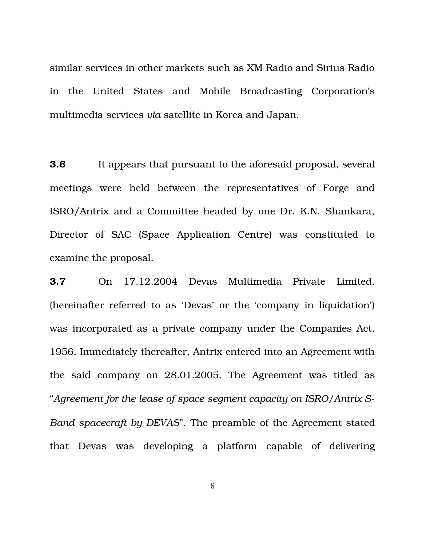similar services in other markets such as XM Radio and Sirius Radio in the United States and Mobile Broadcasting Corporation's multimedia services *via* satellite in Korea and Japan.

**3.6** It appears that pursuant to the aforesaid proposal, several meetings were held between the representatives of Forge and ISRO/Antrix and a Committee headed by one Dr. K.N. Shankara, Director of SAC (Space Application Centre) was constituted to examine the proposal.

**3.7** On 17.12.2004 Devas Multimedia Private Limited, (hereinafter referred to as 'Devas' or the 'company in liquidation') was incorporated as a private company under the Companies Act, 1956. Immediately thereafter, Antrix entered into an Agreement with the said company on 28.01.2005. The Agreement was titled as "*Agreement for the lease of space segment capacity on ISRO/Antrix S-Band spacecraft by DEVAS*". The preamble of the Agreement stated that Devas was developing a platform capable of delivering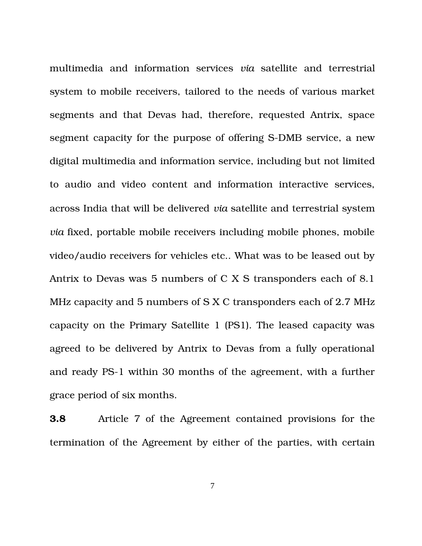multimedia and information services *via* satellite and terrestrial system to mobile receivers, tailored to the needs of various market segments and that Devas had, therefore, requested Antrix, space segment capacity for the purpose of offering S-DMB service, a new digital multimedia and information service, including but not limited to audio and video content and information interactive services, across India that will be delivered *via* satellite and terrestrial system *via* fixed, portable mobile receivers including mobile phones, mobile video/audio receivers for vehicles etc.. What was to be leased out by Antrix to Devas was 5 numbers of C X S transponders each of 8.1 MHz capacity and 5 numbers of S X C transponders each of 2.7 MHz capacity on the Primary Satellite 1 (PS1). The leased capacity was agreed to be delivered by Antrix to Devas from a fully operational and ready PS-1 within 30 months of the agreement, with a further grace period of six months.

**3.8** Article 7 of the Agreement contained provisions for the termination of the Agreement by either of the parties, with certain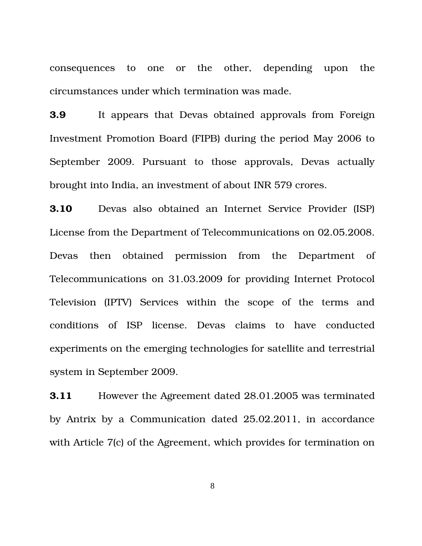consequences to one or the other, depending upon the circumstances under which termination was made.

**3.9** It appears that Devas obtained approvals from Foreign Investment Promotion Board (FIPB) during the period May 2006 to September 2009. Pursuant to those approvals, Devas actually brought into India, an investment of about INR 579 crores.

**3.10** Devas also obtained an Internet Service Provider (ISP) License from the Department of Telecommunications on 02.05.2008. Devas then obtained permission from the Department of Telecommunications on 31.03.2009 for providing Internet Protocol Television (IPTV) Services within the scope of the terms and conditions of ISP license. Devas claims to have conducted experiments on the emerging technologies for satellite and terrestrial system in September 2009.

**3.11** However the Agreement dated 28.01.2005 was terminated by Antrix by a Communication dated 25.02.2011, in accordance with Article 7(c) of the Agreement, which provides for termination on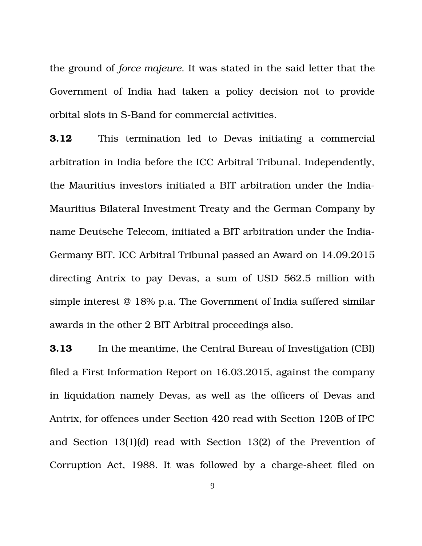the ground of *force majeure*. It was stated in the said letter that the Government of India had taken a policy decision not to provide orbital slots in S-Band for commercial activities.

**3.12** This termination led to Devas initiating a commercial arbitration in India before the ICC Arbitral Tribunal. Independently, the Mauritius investors initiated a BIT arbitration under the India-Mauritius Bilateral Investment Treaty and the German Company by name Deutsche Telecom, initiated a BIT arbitration under the India-Germany BIT. ICC Arbitral Tribunal passed an Award on 14.09.2015 directing Antrix to pay Devas, a sum of USD 562.5 million with simple interest @ 18% p.a. The Government of India suffered similar awards in the other 2 BIT Arbitral proceedings also.

**3.13** In the meantime, the Central Bureau of Investigation (CBI) filed a First Information Report on 16.03.2015, against the company in liquidation namely Devas, as well as the officers of Devas and Antrix, for offences under Section 420 read with Section 120B of IPC and Section 13(1)(d) read with Section 13(2) of the Prevention of Corruption Act, 1988. It was followed by a charge-sheet filed on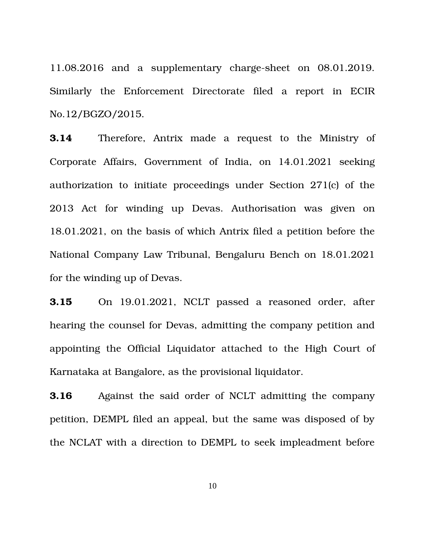11.08.2016 and a supplementary charge-sheet on 08.01.2019. Similarly the Enforcement Directorate filed a report in ECIR No.12/BGZO/2015.

**3.14** Therefore, Antrix made a request to the Ministry of Corporate Affairs, Government of India, on 14.01.2021 seeking authorization to initiate proceedings under Section 271(c) of the 2013 Act for winding up Devas. Authorisation was given on 18.01.2021, on the basis of which Antrix filed a petition before the National Company Law Tribunal, Bengaluru Bench on 18.01.2021 for the winding up of Devas.

**3.15** On 19.01.2021, NCLT passed a reasoned order, after hearing the counsel for Devas, admitting the company petition and appointing the Official Liquidator attached to the High Court of Karnataka at Bangalore, as the provisional liquidator.

**3.16** Against the said order of NCLT admitting the company petition, DEMPL filed an appeal, but the same was disposed of by the NCLAT with a direction to DEMPL to seek impleadment before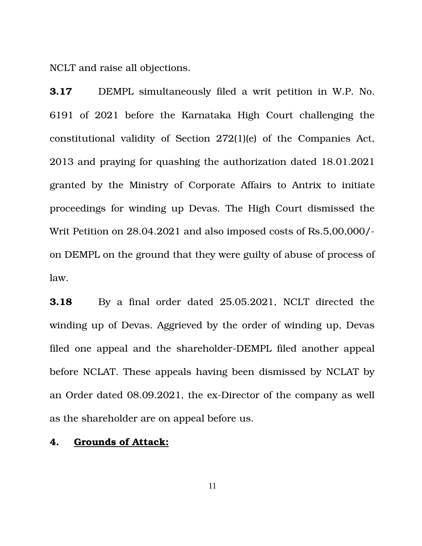NCLT and raise all objections.

**3.17** DEMPL simultaneously filed a writ petition in W.P. No. 6191 of 2021 before the Karnataka High Court challenging the constitutional validity of Section 272(1)(e) of the Companies Act, 2013 and praying for quashing the authorization dated 18.01.2021 granted by the Ministry of Corporate Affairs to Antrix to initiate proceedings for winding up Devas. The High Court dismissed the Writ Petition on 28.04.2021 and also imposed costs of Rs.5,00,000/ on DEMPL on the ground that they were guilty of abuse of process of law.

**3.18** By a final order dated 25.05.2021, NCLT directed the winding up of Devas. Aggrieved by the order of winding up, Devas filed one appeal and the shareholder-DEMPL filed another appeal before NCLAT. These appeals having been dismissed by NCLAT by an Order dated 08.09.2021, the ex-Director of the company as well as the shareholder are on appeal before us.

### **4. Grounds of Attack:**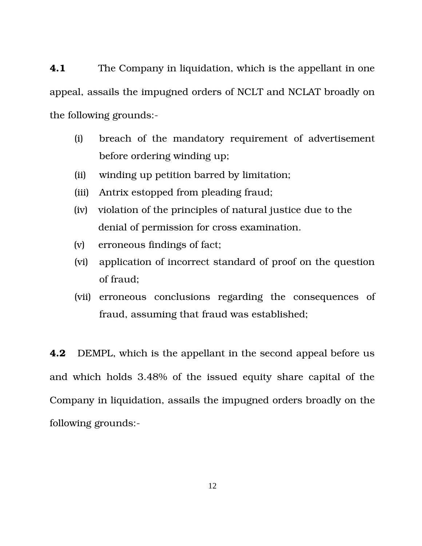**4.1** The Company in liquidation, which is the appellant in one appeal, assails the impugned orders of NCLT and NCLAT broadly on the following grounds:

- (i) breach of the mandatory requirement of advertisement before ordering winding up;
- (ii) winding up petition barred by limitation;
- (iii) Antrix estopped from pleading fraud;
- (iv) violation of the principles of natural justice due to the denial of permission for cross examination.
- (v) erroneous findings of fact;
- (vi) application of incorrect standard of proof on the question of fraud;
- (vii) erroneous conclusions regarding the consequences of fraud, assuming that fraud was established;

**4.2** DEMPL, which is the appellant in the second appeal before us and which holds 3.48% of the issued equity share capital of the Company in liquidation, assails the impugned orders broadly on the following grounds: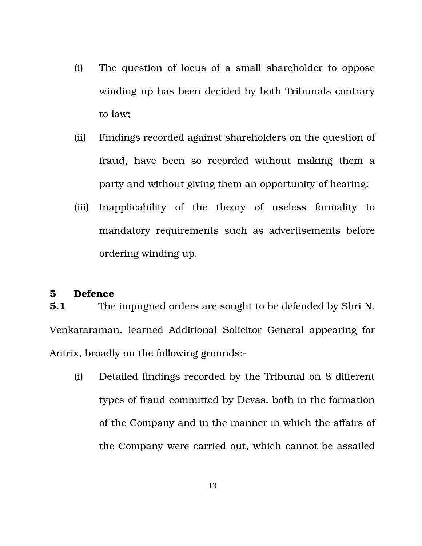- (i) The question of locus of a small shareholder to oppose winding up has been decided by both Tribunals contrary to law;
- (ii) Findings recorded against shareholders on the question of fraud, have been so recorded without making them a party and without giving them an opportunity of hearing;
- (iii) Inapplicability of the theory of useless formality to mandatory requirements such as advertisements before ordering winding up.

#### **5 Defence**

**5.1** The impugned orders are sought to be defended by Shri N. Venkataraman, learned Additional Solicitor General appearing for Antrix, broadly on the following grounds:

(i) Detailed findings recorded by the Tribunal on 8 different types of fraud committed by Devas, both in the formation of the Company and in the manner in which the affairs of the Company were carried out, which cannot be assailed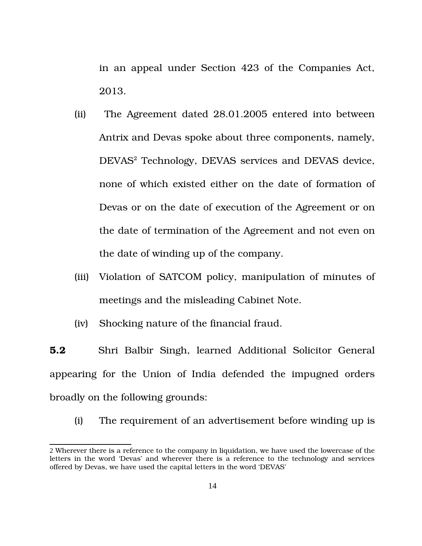in an appeal under Section 423 of the Companies Act, 2013.

- (ii) The Agreement dated 28.01.2005 entered into between Antrix and Devas spoke about three components, namely, DEVAS<sup>[2](#page-13-0)</sup> Technology, DEVAS services and DEVAS device, none of which existed either on the date of formation of Devas or on the date of execution of the Agreement or on the date of termination of the Agreement and not even on the date of winding up of the company.
- (iii) Violation of SATCOM policy, manipulation of minutes of meetings and the misleading Cabinet Note.
- (iv) Shocking nature of the financial fraud.

**5.2** Shri Balbir Singh, learned Additional Solicitor General appearing for the Union of India defended the impugned orders broadly on the following grounds:

(i) The requirement of an advertisement before winding up is

<span id="page-13-0"></span><sup>2</sup> Wherever there is a reference to the company in liquidation, we have used the lowercase of the letters in the word 'Devas' and wherever there is a reference to the technology and services offered by Devas, we have used the capital letters in the word 'DEVAS'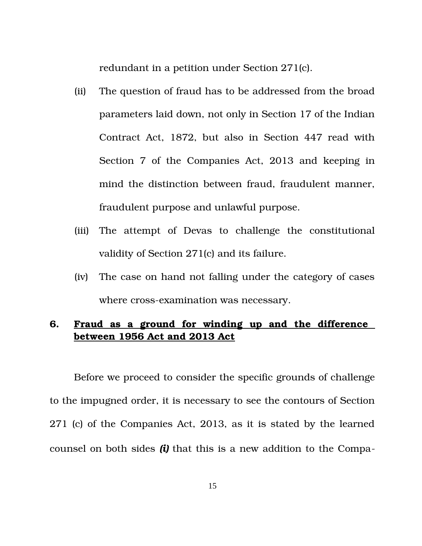redundant in a petition under Section 271(c).

- (ii) The question of fraud has to be addressed from the broad parameters laid down, not only in Section 17 of the Indian Contract Act, 1872, but also in Section 447 read with Section 7 of the Companies Act, 2013 and keeping in mind the distinction between fraud, fraudulent manner, fraudulent purpose and unlawful purpose.
- (iii) The attempt of Devas to challenge the constitutional validity of Section 271(c) and its failure.
- (iv) The case on hand not falling under the category of cases where cross-examination was necessary.

# **6. Fraud as a ground for winding up and the difference between 1956 Act and 2013 Act**

Before we proceed to consider the specific grounds of challenge to the impugned order, it is necessary to see the contours of Section 271 (c) of the Companies Act, 2013, as it is stated by the learned counsel on both sides *(i)* that this is a new addition to the Compa-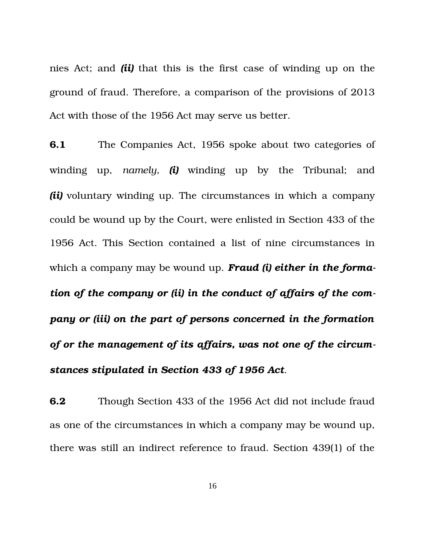nies Act; and *(ii)* that this is the first case of winding up on the ground of fraud. Therefore, a comparison of the provisions of 2013 Act with those of the 1956 Act may serve us better.

**6.1** The Companies Act, 1956 spoke about two categories of winding up, *namely*, *(i)* winding up by the Tribunal; and *(ii)* voluntary winding up. The circumstances in which a company could be wound up by the Court, were enlisted in Section 433 of the 1956 Act. This Section contained a list of nine circumstances in which a company may be wound up. *Fraud (i) either in the formation of the company or (ii) in the conduct of affairs of the company or (iii) on the part of persons concerned in the formation of or the management of its affairs, was not one of the circumstances stipulated in Section 433 of 1956 Act*.

**6.2** Though Section 433 of the 1956 Act did not include fraud as one of the circumstances in which a company may be wound up, there was still an indirect reference to fraud. Section 439(1) of the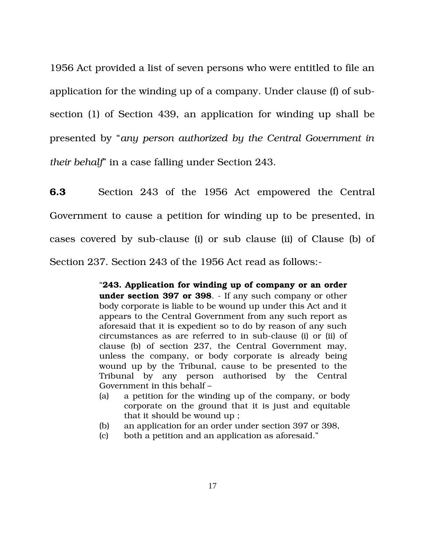1956 Act provided a list of seven persons who were entitled to file an application for the winding up of a company. Under clause (f) of subsection (1) of Section 439, an application for winding up shall be presented by "*any person authorized by the Central Government in their behalf*" in a case falling under Section 243.

**6.3** Section 243 of the 1956 Act empowered the Central Government to cause a petition for winding up to be presented, in cases covered by sub-clause (i) or sub clause (ii) of Clause (b) of Section 237. Section 243 of the 1956 Act read as follows:

> "**243. Application for winding up of company or an order under section 397 or 398**. If any such company or other body corporate is liable to be wound up under this Act and it appears to the Central Government from any such report as aforesaid that it is expedient so to do by reason of any such circumstances as are referred to in sub-clause (i) or (ii) of clause (b) of section 237, the Central Government may, unless the company, or body corporate is already being wound up by the Tribunal, cause to be presented to the Tribunal by any person authorised by the Central Government in this behalf –

- (a) a petition for the winding up of the company, or body corporate on the ground that it is just and equitable that it should be wound up ;
- (b) an application for an order under section 397 or 398,
- (c) both a petition and an application as aforesaid."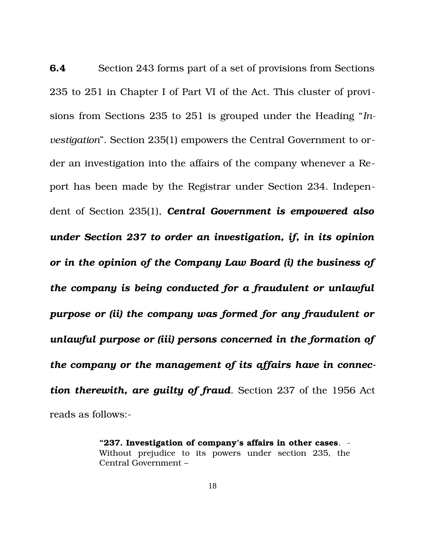**6.4** Section 243 forms part of a set of provisions from Sections 235 to 251 in Chapter I of Part VI of the Act. This cluster of provisions from Sections 235 to 251 is grouped under the Heading "*Investigation*". Section 235(1) empowers the Central Government to order an investigation into the affairs of the company whenever a Report has been made by the Registrar under Section 234. Independent of Section 235(1), *Central Government is empowered also under Section 237 to order an investigation, if, in its opinion or in the opinion of the Company Law Board (i) the business of the company is being conducted for a fraudulent or unlawful purpose or (ii) the company was formed for any fraudulent or unlawful purpose or (iii) persons concerned in the formation of the company or the management of its affairs have in connection therewith, are guilty of fraud*. Section 237 of the 1956 Act reads as follows:

> **"237. Investigation of company's affairs in other cases**. Without prejudice to its powers under section 235, the Central Government –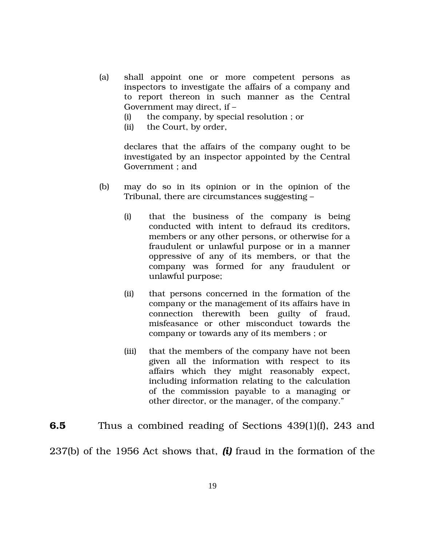- (a) shall appoint one or more competent persons as inspectors to investigate the affairs of a company and to report thereon in such manner as the Central Government may direct, if –
	- (i) the company, by special resolution ; or
	- (ii) the Court, by order,

declares that the affairs of the company ought to be investigated by an inspector appointed by the Central Government ; and

- $(b)$  may do so in its opinion or in the opinion of the Tribunal, there are circumstances suggesting –
	- (i) that the business of the company is being conducted with intent to defraud its creditors, members or any other persons, or otherwise for a fraudulent or unlawful purpose or in a manner oppressive of any of its members, or that the company was formed for any fraudulent or unlawful purpose;
	- (ii) that persons concerned in the formation of the company or the management of its affairs have in connection therewith been guilty of fraud, misfeasance or other misconduct towards the company or towards any of its members ; or
	- (iii) that the members of the company have not been given all the information with respect to its affairs which they might reasonably expect, including information relating to the calculation of the commission payable to a managing or other director, or the manager, of the company."

# **6.5** Thus a combined reading of Sections 439(1)(f), 243 and

237(b) of the 1956 Act shows that, *(i)* fraud in the formation of the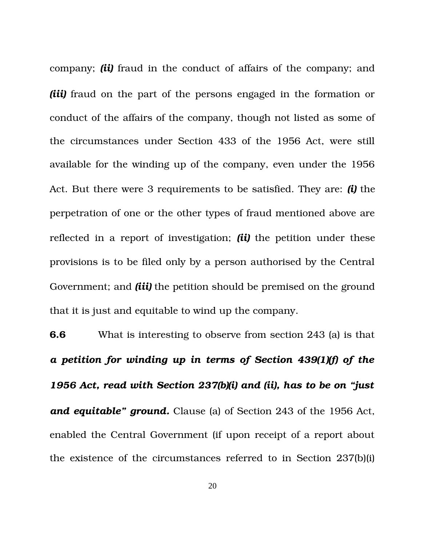company; *(ii)* fraud in the conduct of affairs of the company; and *(iii)* fraud on the part of the persons engaged in the formation or conduct of the affairs of the company, though not listed as some of the circumstances under Section 433 of the 1956 Act, were still available for the winding up of the company, even under the 1956 Act. But there were 3 requirements to be satisfied. They are: *(i)* the perpetration of one or the other types of fraud mentioned above are reflected in a report of investigation; *(ii)* the petition under these provisions is to be filed only by a person authorised by the Central Government; and *(iii)* the petition should be premised on the ground that it is just and equitable to wind up the company.

**6.6** What is interesting to observe from section 243 (a) is that *a petition for winding up in terms of Section 439(1)(f) of the 1956 Act, read with Section 237(b)(i) and (ii), has to be on "just and equitable" ground.* Clause (a) of Section 243 of the 1956 Act, enabled the Central Government (if upon receipt of a report about the existence of the circumstances referred to in Section 237(b)(i)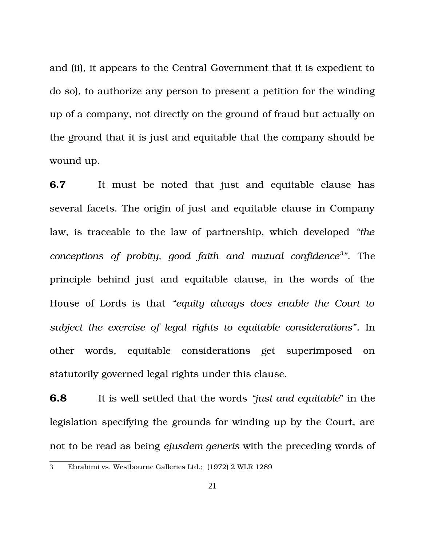and (ii), it appears to the Central Government that it is expedient to do so), to authorize any person to present a petition for the winding up of a company, not directly on the ground of fraud but actually on the ground that it is just and equitable that the company should be wound up.

**6.7** It must be noted that just and equitable clause has several facets. The origin of just and equitable clause in Company law, is traceable to the law of partnership, which developed *"the conceptions of probity, good faith and mutual confidence[3](#page-20-0) "*. The principle behind just and equitable clause, in the words of the House of Lords is that *"equity always does enable the Court to subject the exercise of legal rights to equitable considerations".* In other words, equitable considerations get superimposed on statutorily governed legal rights under this clause.

**6.8** It is well settled that the words *"just and equitable*" in the legislation specifying the grounds for winding up by the Court, are not to be read as being *ejusdem generis* with the preceding words of

<span id="page-20-0"></span><sup>3</sup> Ebrahimi vs. Westbourne Galleries Ltd.; (1972) 2 WLR 1289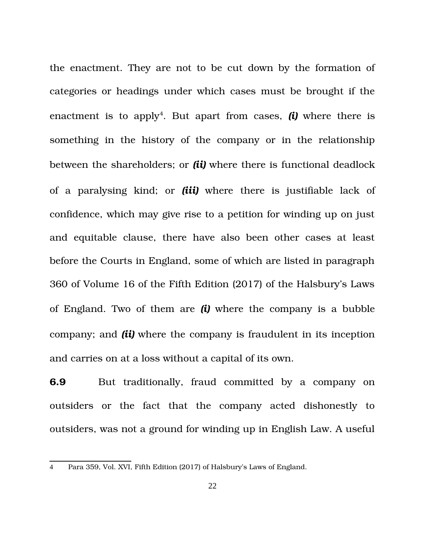the enactment. They are not to be cut down by the formation of categories or headings under which cases must be brought if the enactment is to apply<sup>[4](#page-21-0)</sup>. But apart from cases,  $(i)$  where there is something in the history of the company or in the relationship between the shareholders; or *(ii)* where there is functional deadlock of a paralysing kind; or *(iii)* where there is justifiable lack of confidence, which may give rise to a petition for winding up on just and equitable clause, there have also been other cases at least before the Courts in England, some of which are listed in paragraph 360 of Volume 16 of the Fifth Edition (2017) of the Halsbury's Laws of England. Two of them are *(i)* where the company is a bubble company; and *(ii)* where the company is fraudulent in its inception and carries on at a loss without a capital of its own.

**6.9** But traditionally, fraud committed by a company on outsiders or the fact that the company acted dishonestly to outsiders, was not a ground for winding up in English Law. A useful

<span id="page-21-0"></span><sup>4</sup> Para 359, Vol. XVI, Fifth Edition (2017) of Halsbury's Laws of England.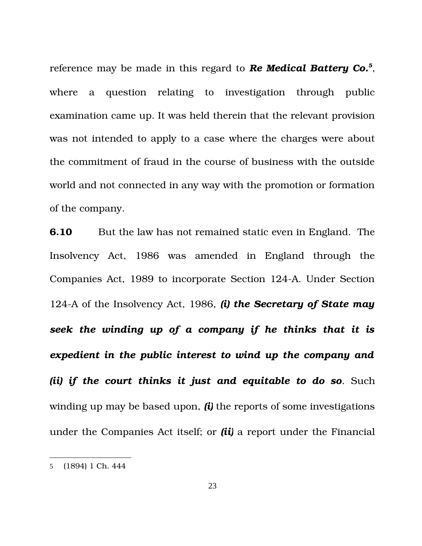reference may be made in this regard to *Re Medical Battery Co.[5](#page-22-0)* , where a question relating to investigation through public examination came up. It was held therein that the relevant provision was not intended to apply to a case where the charges were about the commitment of fraud in the course of business with the outside world and not connected in any way with the promotion or formation of the company.

**6.10** But the law has not remained static even in England. The Insolvency Act, 1986 was amended in England through the Companies Act, 1989 to incorporate Section 124A. Under Section 124A of the Insolvency Act, 1986, *(i) the Secretary of State may seek the winding up of a company if he thinks that it is expedient in the public interest to wind up the company and (ii) if the court thinks it just and equitable to do so*. Such winding up may be based upon, *(i)* the reports of some investigations under the Companies Act itself; or *(ii)* a report under the Financial

<span id="page-22-0"></span><sup>5</sup> (1894) 1 Ch. 444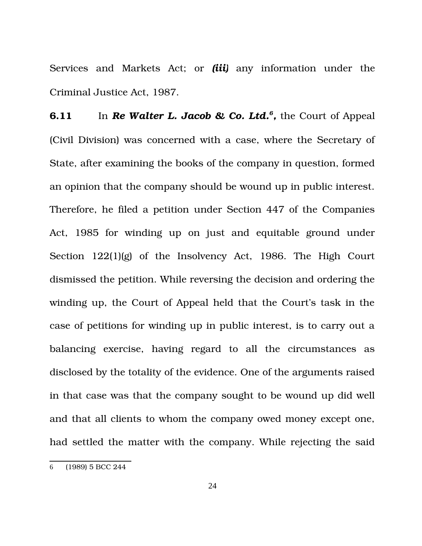Services and Markets Act; or *(iii)* any information under the Criminal Justice Act, 1987.

**[6](#page-23-0).11** In *Re Walter L. Jacob & Co. Ltd.*<sup>6</sup>, the Court of Appeal (Civil Division) was concerned with a case, where the Secretary of State, after examining the books of the company in question, formed an opinion that the company should be wound up in public interest. Therefore, he filed a petition under Section 447 of the Companies Act, 1985 for winding up on just and equitable ground under Section  $122(1)(g)$  of the Insolvency Act, 1986. The High Court dismissed the petition. While reversing the decision and ordering the winding up, the Court of Appeal held that the Court's task in the case of petitions for winding up in public interest, is to carry out a balancing exercise, having regard to all the circumstances as disclosed by the totality of the evidence. One of the arguments raised in that case was that the company sought to be wound up did well and that all clients to whom the company owed money except one, had settled the matter with the company. While rejecting the said

<span id="page-23-0"></span><sup>6</sup> (1989) 5 BCC 244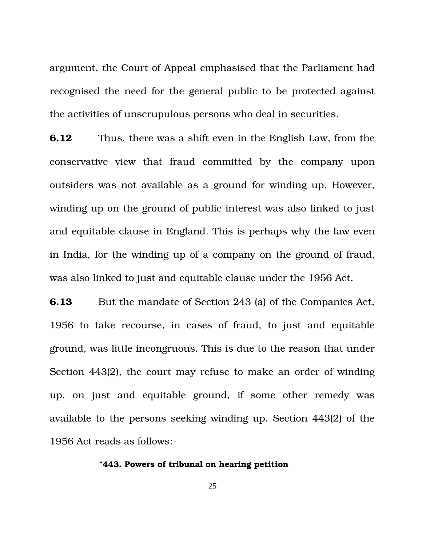argument, the Court of Appeal emphasised that the Parliament had recognised the need for the general public to be protected against the activities of unscrupulous persons who deal in securities.

**6.12** Thus, there was a shift even in the English Law, from the conservative view that fraud committed by the company upon outsiders was not available as a ground for winding up. However, winding up on the ground of public interest was also linked to just and equitable clause in England. This is perhaps why the law even in India, for the winding up of a company on the ground of fraud, was also linked to just and equitable clause under the 1956 Act.

**6.13** But the mandate of Section 243 (a) of the Companies Act, 1956 to take recourse, in cases of fraud, to just and equitable ground, was little incongruous. This is due to the reason that under Section 443(2), the court may refuse to make an order of winding up, on just and equitable ground, if some other remedy was available to the persons seeking winding up. Section 443(2) of the 1956 Act reads as follows:

#### "**443. Powers of tribunal on hearing petition**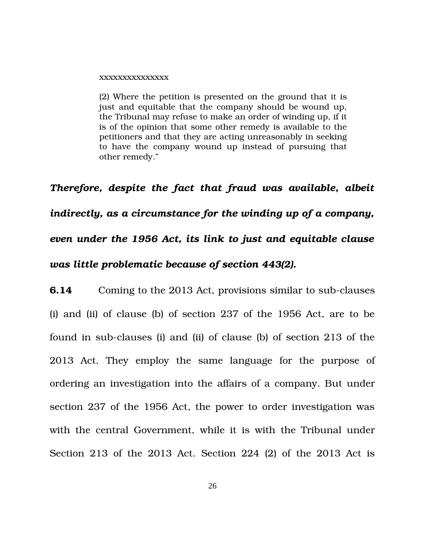#### xxxxxxxxxxxxxxx

(2) Where the petition is presented on the ground that it is just and equitable that the company should be wound up, the Tribunal may refuse to make an order of winding up, if it is of the opinion that some other remedy is available to the petitioners and that they are acting unreasonably in seeking to have the company wound up instead of pursuing that other remedy."

*Therefore, despite the fact that fraud was available, albeit indirectly, as a circumstance for the winding up of a company, even under the 1956 Act, its link to just and equitable clause was little problematic because of section 443(2).* 

**6.14** Coming to the 2013 Act, provisions similar to sub-clauses (i) and (ii) of clause (b) of section 237 of the 1956 Act, are to be found in sub-clauses (i) and (ii) of clause (b) of section  $213$  of the 2013 Act. They employ the same language for the purpose of ordering an investigation into the affairs of a company. But under section 237 of the 1956 Act, the power to order investigation was with the central Government, while it is with the Tribunal under Section 213 of the 2013 Act. Section 224 (2) of the 2013 Act is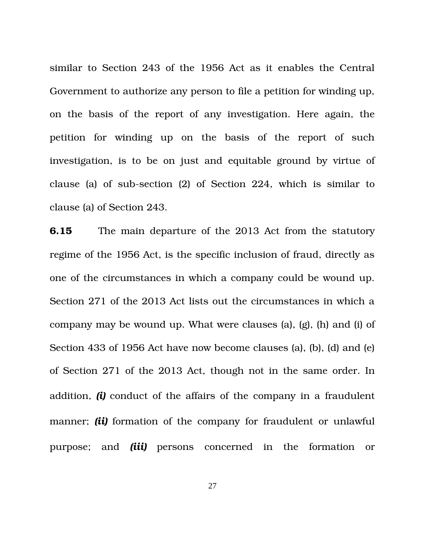similar to Section 243 of the 1956 Act as it enables the Central Government to authorize any person to file a petition for winding up, on the basis of the report of any investigation. Here again, the petition for winding up on the basis of the report of such investigation, is to be on just and equitable ground by virtue of clause (a) of sub-section  $(2)$  of Section 224, which is similar to clause (a) of Section 243.

**6.15** The main departure of the 2013 Act from the statutory regime of the 1956 Act, is the specific inclusion of fraud, directly as one of the circumstances in which a company could be wound up. Section 271 of the 2013 Act lists out the circumstances in which a company may be wound up. What were clauses (a), (g), (h) and (i) of Section 433 of 1956 Act have now become clauses (a), (b), (d) and (e) of Section 271 of the 2013 Act, though not in the same order. In addition, *(i)* conduct of the affairs of the company in a fraudulent manner; *(ii)* formation of the company for fraudulent or unlawful purpose; and *(iii)* persons concerned in the formation or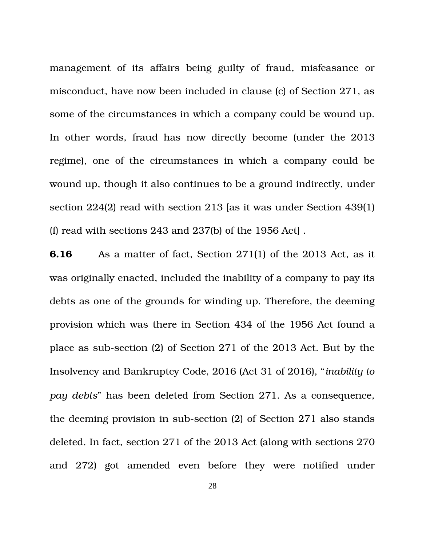management of its affairs being guilty of fraud, misfeasance or misconduct, have now been included in clause (c) of Section 271, as some of the circumstances in which a company could be wound up. In other words, fraud has now directly become (under the 2013 regime), one of the circumstances in which a company could be wound up, though it also continues to be a ground indirectly, under section 224(2) read with section 213 [as it was under Section 439(1) (f) read with sections 243 and 237(b) of the 1956 Act] .

**6.16** As a matter of fact, Section 271(1) of the 2013 Act, as it was originally enacted, included the inability of a company to pay its debts as one of the grounds for winding up. Therefore, the deeming provision which was there in Section 434 of the 1956 Act found a place as sub-section (2) of Section 271 of the 2013 Act. But by the Insolvency and Bankruptcy Code, 2016 (Act 31 of 2016), "*inability to pay debts*" has been deleted from Section 271. As a consequence, the deeming provision in sub-section  $(2)$  of Section 271 also stands deleted. In fact, section 271 of the 2013 Act (along with sections 270 and 272) got amended even before they were notified under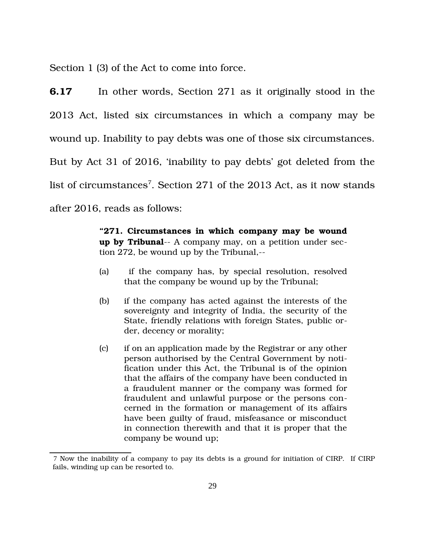Section 1 (3) of the Act to come into force.

**6.17** In other words, Section 271 as it originally stood in the 2013 Act, listed six circumstances in which a company may be wound up. Inability to pay debts was one of those six circumstances. But by Act 31 of 2016, 'inability to pay debts' got deleted from the list of circumstances<sup>[7](#page-28-0)</sup>. Section 271 of the 2013 Act, as it now stands after 2016, reads as follows:

> **"271. Circumstances in which company may be wound up by Tribunal**— A company may, on a petition under section 272, be wound up by the Tribunal,

- (a) if the company has, by special resolution, resolved that the company be wound up by the Tribunal;
- (b) if the company has acted against the interests of the sovereignty and integrity of India, the security of the State, friendly relations with foreign States, public order, decency or morality;
- (c) if on an application made by the Registrar or any other person authorised by the Central Government by notification under this Act, the Tribunal is of the opinion that the affairs of the company have been conducted in a fraudulent manner or the company was formed for fraudulent and unlawful purpose or the persons concerned in the formation or management of its affairs have been guilty of fraud, misfeasance or misconduct in connection therewith and that it is proper that the company be wound up;

<span id="page-28-0"></span><sup>7</sup> Now the inability of a company to pay its debts is a ground for initiation of CIRP. If CIRP fails, winding up can be resorted to.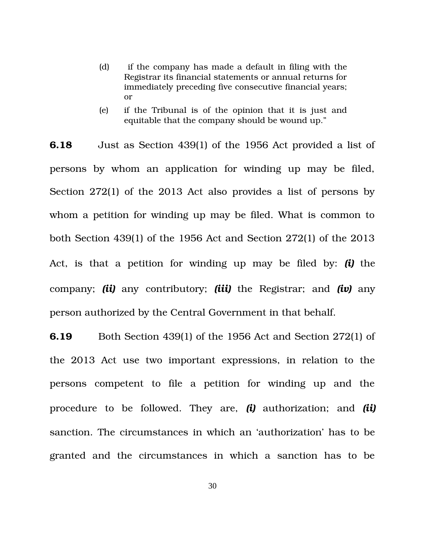- (d) if the company has made a default in filing with the Registrar its financial statements or annual returns for immediately preceding five consecutive financial years; or
- (e) if the Tribunal is of the opinion that it is just and equitable that the company should be wound up."

**6.18** Just as Section 439(1) of the 1956 Act provided a list of persons by whom an application for winding up may be filed, Section 272(1) of the 2013 Act also provides a list of persons by whom a petition for winding up may be filed. What is common to both Section 439(1) of the 1956 Act and Section 272(1) of the 2013 Act, is that a petition for winding up may be filed by: *(i)* the company; *(ii)* any contributory; *(iii)* the Registrar; and *(iv)* any person authorized by the Central Government in that behalf.

**6.19** Both Section 439(1) of the 1956 Act and Section 272(1) of the 2013 Act use two important expressions, in relation to the persons competent to file a petition for winding up and the procedure to be followed. They are, *(i)* authorization; and *(ii)* sanction. The circumstances in which an 'authorization' has to be granted and the circumstances in which a sanction has to be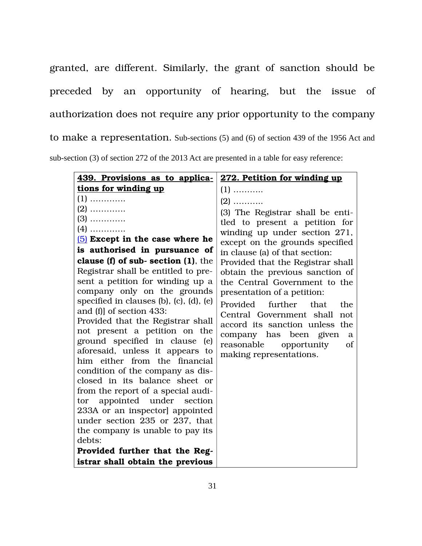granted, are different. Similarly, the grant of sanction should be preceded by an opportunity of hearing, but the issue of authorization does not require any prior opportunity to the company to make a representation. Sub-sections (5) and (6) of section 439 of the 1956 Act and sub-section (3) of section 272 of the 2013 Act are presented in a table for easy reference:

| 439. Provisions as to applica-                                   | 272. Petition for winding up      |
|------------------------------------------------------------------|-----------------------------------|
| tions for winding up                                             | $(1)$                             |
| $(1)$                                                            | $(2)$                             |
| $(2)$                                                            | (3) The Registrar shall be enti-  |
| $(3)$                                                            | tled to present a petition for    |
| $(4)$                                                            | winding up under section 271,     |
| $(5)$ Except in the case where he                                | except on the grounds specified   |
| is authorised in pursuance of                                    | in clause (a) of that section:    |
| clause $(f)$ of sub-section $(1)$ , the                          | Provided that the Registrar shall |
| Registrar shall be entitled to pre-                              | obtain the previous sanction of   |
| sent a petition for winding up a                                 | the Central Government to the     |
| company only on the grounds                                      | presentation of a petition:       |
| specified in clauses (b), (c), (d), (e)                          | Provided further<br>that<br>the   |
| and (f) of section 433:                                          | Central Government shall<br>not   |
| Provided that the Registrar shall                                | accord its sanction unless the    |
| not present a petition on the                                    | company has been given<br>a       |
| ground specified in clause (e)                                   | reasonable<br>opportunity<br>of   |
| aforesaid, unless it appears to<br>him either from the financial | making representations.           |
| condition of the company as dis-                                 |                                   |
| closed in its balance sheet or                                   |                                   |
| from the report of a special audi-                               |                                   |
| appointed under section<br>tor                                   |                                   |
| 233A or an inspector] appointed                                  |                                   |
| under section 235 or 237, that                                   |                                   |
| the company is unable to pay its                                 |                                   |
| debts:                                                           |                                   |
| Provided further that the Reg-                                   |                                   |
| istrar shall obtain the previous                                 |                                   |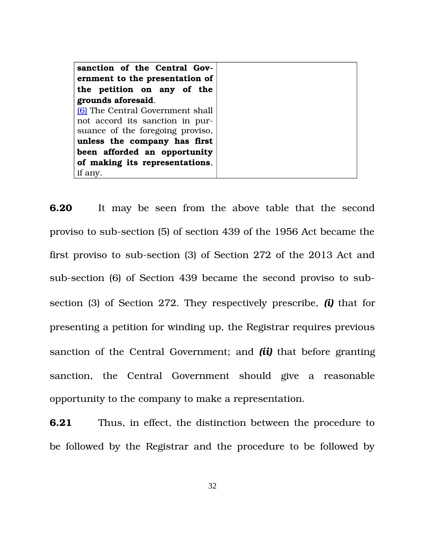| sanction of the Central Gov-<br>ernment to the presentation of<br>the petition on any of the<br>grounds aforesaid. |
|--------------------------------------------------------------------------------------------------------------------|
|                                                                                                                    |
| <b>6</b> The Central Government shall                                                                              |
| not accord its sanction in pur-                                                                                    |
| suance of the foregoing proviso,                                                                                   |
| unless the company has first                                                                                       |
| been afforded an opportunity                                                                                       |
| of making its representations,                                                                                     |
|                                                                                                                    |
| if any.                                                                                                            |

**6.20** It may be seen from the above table that the second proviso to sub-section (5) of section 439 of the 1956 Act became the first proviso to sub-section (3) of Section 272 of the 2013 Act and sub-section (6) of Section 439 became the second proviso to subsection (3) of Section 272. They respectively prescribe, *(i)* that for presenting a petition for winding up, the Registrar requires previous sanction of the Central Government; and *(ii)* that before granting sanction, the Central Government should give a reasonable opportunity to the company to make a representation.

**6.21** Thus, in effect, the distinction between the procedure to be followed by the Registrar and the procedure to be followed by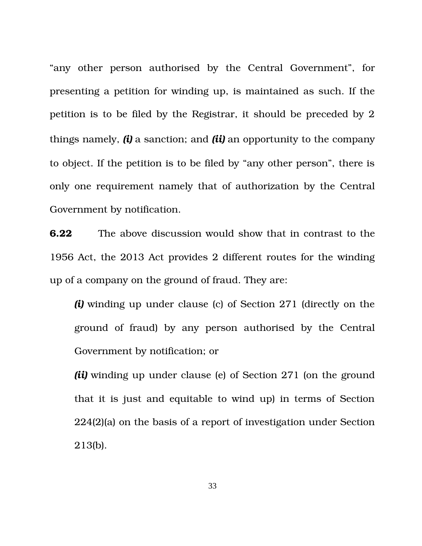"any other person authorised by the Central Government", for presenting a petition for winding up, is maintained as such. If the petition is to be filed by the Registrar, it should be preceded by 2 things namely, *(i)* a sanction; and *(ii)* an opportunity to the company to object. If the petition is to be filed by "any other person", there is only one requirement namely that of authorization by the Central Government by notification.

**6.22** The above discussion would show that in contrast to the 1956 Act, the 2013 Act provides 2 different routes for the winding up of a company on the ground of fraud. They are:

*(i)* winding up under clause (c) of Section 271 (directly on the ground of fraud) by any person authorised by the Central Government by notification; or

*(ii)* winding up under clause (e) of Section 271 (on the ground that it is just and equitable to wind up) in terms of Section 224(2)(a) on the basis of a report of investigation under Section 213(b).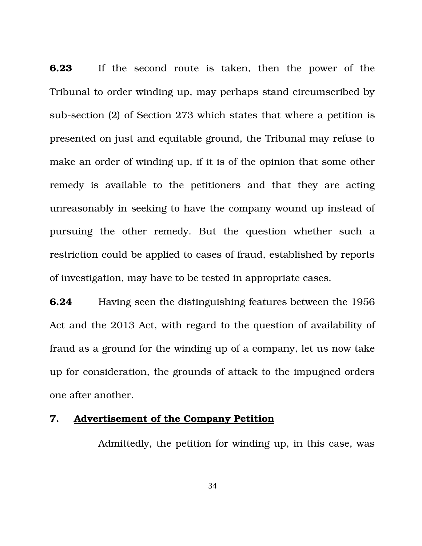**6.23** If the second route is taken, then the power of the Tribunal to order winding up, may perhaps stand circumscribed by sub-section (2) of Section 273 which states that where a petition is presented on just and equitable ground, the Tribunal may refuse to make an order of winding up, if it is of the opinion that some other remedy is available to the petitioners and that they are acting unreasonably in seeking to have the company wound up instead of pursuing the other remedy. But the question whether such a restriction could be applied to cases of fraud, established by reports of investigation, may have to be tested in appropriate cases.

**6.24** Having seen the distinguishing features between the 1956 Act and the 2013 Act, with regard to the question of availability of fraud as a ground for the winding up of a company, let us now take up for consideration, the grounds of attack to the impugned orders one after another.

### **7. Advertisement of the Company Petition**

Admittedly, the petition for winding up, in this case, was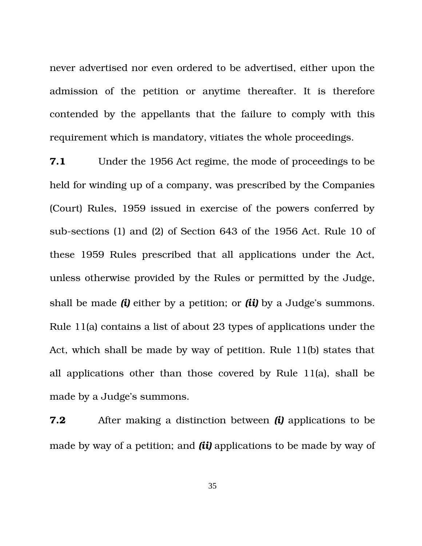never advertised nor even ordered to be advertised, either upon the admission of the petition or anytime thereafter. It is therefore contended by the appellants that the failure to comply with this requirement which is mandatory, vitiates the whole proceedings.

**7.1** Under the 1956 Act regime, the mode of proceedings to be held for winding up of a company, was prescribed by the Companies (Court) Rules, 1959 issued in exercise of the powers conferred by sub-sections (1) and (2) of Section 643 of the 1956 Act. Rule 10 of these 1959 Rules prescribed that all applications under the Act, unless otherwise provided by the Rules or permitted by the Judge, shall be made *(i)* either by a petition; or *(ii)* by a Judge's summons. Rule 11(a) contains a list of about 23 types of applications under the Act, which shall be made by way of petition. Rule 11(b) states that all applications other than those covered by Rule 11(a), shall be made by a Judge's summons.

**7.2** After making a distinction between *(i)* applications to be made by way of a petition; and *(ii)* applications to be made by way of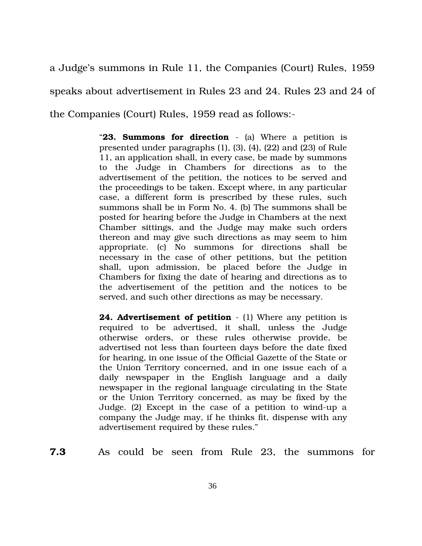a Judge's summons in Rule 11, the Companies (Court) Rules, 1959 speaks about advertisement in Rules 23 and 24. Rules 23 and 24 of the Companies (Court) Rules, 1959 read as follows:

> "**23. Summons for direction** (a) Where a petition is presented under paragraphs (1), (3), (4), (22) and (23) of Rule 11, an application shall, in every case, be made by summons to the Judge in Chambers for directions as to the advertisement of the petition, the notices to be served and the proceedings to be taken. Except where, in any particular case, a different form is prescribed by these rules, such summons shall be in Form No. 4. (b) The summons shall be posted for hearing before the Judge in Chambers at the next Chamber sittings, and the Judge may make such orders thereon and may give such directions as may seem to him appropriate. (c) No summons for directions shall be necessary in the case of other petitions, but the petition shall, upon admission, be placed before the Judge in Chambers for fixing the date of hearing and directions as to the advertisement of the petition and the notices to be served, and such other directions as may be necessary.

> **24. Advertisement of petition** - (1) Where any petition is required to be advertised, it shall, unless the Judge otherwise orders, or these rules otherwise provide, be advertised not less than fourteen days before the date fixed for hearing, in one issue of the Official Gazette of the State or the Union Territory concerned, and in one issue each of a daily newspaper in the English language and a daily newspaper in the regional language circulating in the State or the Union Territory concerned, as may be fixed by the Judge.  $(2)$  Except in the case of a petition to wind-up a company the Judge may, if he thinks fit, dispense with any advertisement required by these rules."

**7.3** As could be seen from Rule 23, the summons for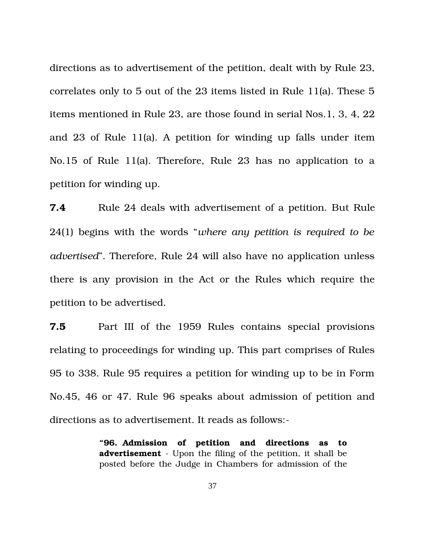directions as to advertisement of the petition, dealt with by Rule 23, correlates only to 5 out of the 23 items listed in Rule 11(a). These 5 items mentioned in Rule 23, are those found in serial Nos.1, 3, 4, 22 and 23 of Rule 11(a). A petition for winding up falls under item No.15 of Rule 11(a). Therefore, Rule 23 has no application to a petition for winding up.

**7.4** Rule 24 deals with advertisement of a petition. But Rule 24(1) begins with the words "*where any petition is required to be advertised*". Therefore, Rule 24 will also have no application unless there is any provision in the Act or the Rules which require the petition to be advertised.

**7.5** Part III of the 1959 Rules contains special provisions relating to proceedings for winding up. This part comprises of Rules 95 to 338. Rule 95 requires a petition for winding up to be in Form No.45, 46 or 47. Rule 96 speaks about admission of petition and directions as to advertisement. It reads as follows:

> **"96. Admission of petition and directions as to advertisement** - Upon the filing of the petition, it shall be posted before the Judge in Chambers for admission of the

> > 37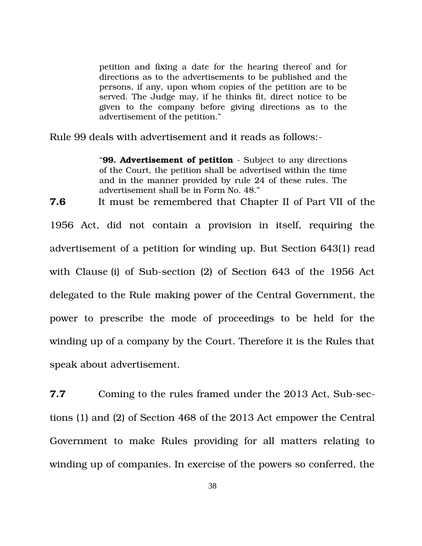petition and fixing a date for the hearing thereof and for directions as to the advertisements to be published and the persons, if any, upon whom copies of the petition are to be served. The Judge may, if he thinks fit, direct notice to be given to the company before giving directions as to the advertisement of the petition."

Rule 99 deals with advertisement and it reads as follows:

"**99. Advertisement of petition** - Subject to any directions of the Court, the petition shall be advertised within the time and in the manner provided by rule 24 of these rules. The advertisement shall be in Form No. 48."

**7.6** It must be remembered that Chapter II of Part VII of the

1956 Act, did not contain a provision in itself, requiring the advertisement of a petition for winding up. But Section 643(1) read with Clause (i) of Sub-section (2) of Section 643 of the 1956 Act delegated to the Rule making power of the Central Government, the power to prescribe the mode of proceedings to be held for the winding up of a company by the Court. Therefore it is the Rules that speak about advertisement.

**7.7** Coming to the rules framed under the 2013 Act, Sub-sections (1) and (2) of Section 468 of the 2013 Act empower the Central Government to make Rules providing for all matters relating to winding up of companies. In exercise of the powers so conferred, the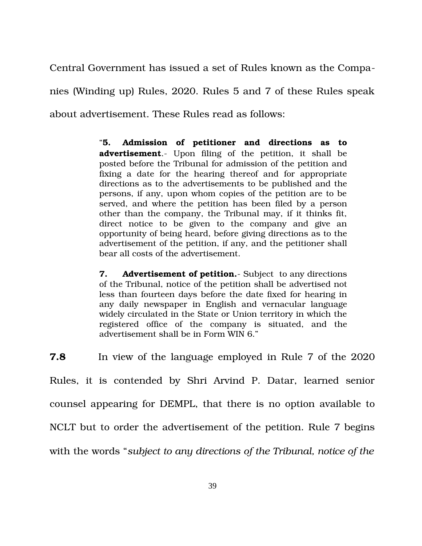Central Government has issued a set of Rules known as the Companies (Winding up) Rules, 2020. Rules 5 and 7 of these Rules speak about advertisement. These Rules read as follows:

> "**5. Admission of petitioner and directions as to advertisement**.- Upon filing of the petition, it shall be posted before the Tribunal for admission of the petition and fixing a date for the hearing thereof and for appropriate directions as to the advertisements to be published and the persons, if any, upon whom copies of the petition are to be served, and where the petition has been filed by a person other than the company, the Tribunal may, if it thinks fit, direct notice to be given to the company and give an opportunity of being heard, before giving directions as to the advertisement of the petition, if any, and the petitioner shall bear all costs of the advertisement.

> **7. Advertisement of petition.** Subject to any directions of the Tribunal, notice of the petition shall be advertised not less than fourteen days before the date fixed for hearing in any daily newspaper in English and vernacular language widely circulated in the State or Union territory in which the registered office of the company is situated, and the advertisement shall be in Form WIN 6."

**7.8** In view of the language employed in Rule 7 of the 2020 Rules, it is contended by Shri Arvind P. Datar, learned senior counsel appearing for DEMPL, that there is no option available to NCLT but to order the advertisement of the petition. Rule 7 begins with the words "*subject to any directions of the Tribunal, notice of the*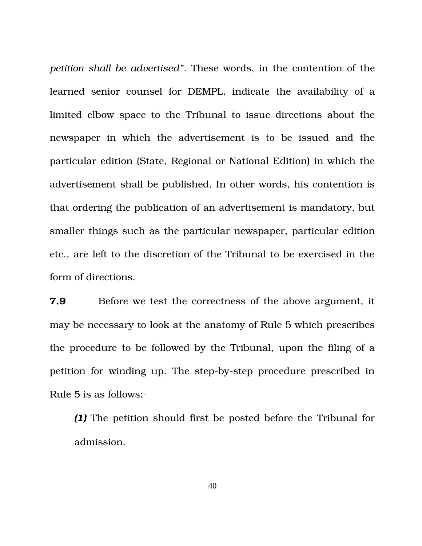*petition shall be advertised"*. These words, in the contention of the learned senior counsel for DEMPL, indicate the availability of a limited elbow space to the Tribunal to issue directions about the newspaper in which the advertisement is to be issued and the particular edition (State, Regional or National Edition) in which the advertisement shall be published. In other words, his contention is that ordering the publication of an advertisement is mandatory, but smaller things such as the particular newspaper, particular edition etc., are left to the discretion of the Tribunal to be exercised in the form of directions.

**7.9** Before we test the correctness of the above argument, it may be necessary to look at the anatomy of Rule 5 which prescribes the procedure to be followed by the Tribunal, upon the filing of a petition for winding up. The step-by-step procedure prescribed in Rule 5 is as follows:

*(1)* The petition should first be posted before the Tribunal for admission.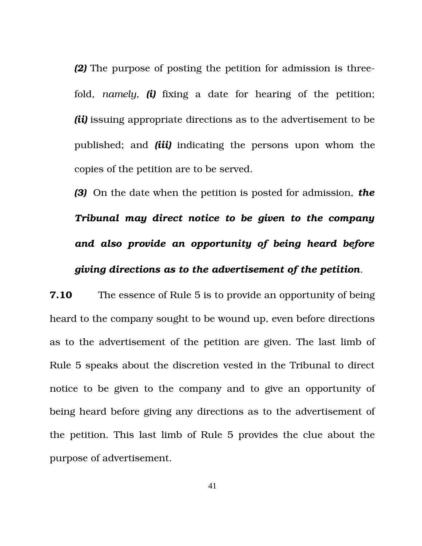*(2)* The purpose of posting the petition for admission is threefold, *namely*, *(i)* fixing a date for hearing of the petition; *(ii)* issuing appropriate directions as to the advertisement to be published; and *(iii)* indicating the persons upon whom the copies of the petition are to be served.

*(3)* On the date when the petition is posted for admission, *the Tribunal may direct notice to be given to the company and also provide an opportunity of being heard before giving directions as to the advertisement of the petition*.

**7.10** The essence of Rule 5 is to provide an opportunity of being heard to the company sought to be wound up, even before directions as to the advertisement of the petition are given. The last limb of Rule 5 speaks about the discretion vested in the Tribunal to direct notice to be given to the company and to give an opportunity of being heard before giving any directions as to the advertisement of the petition. This last limb of Rule 5 provides the clue about the purpose of advertisement.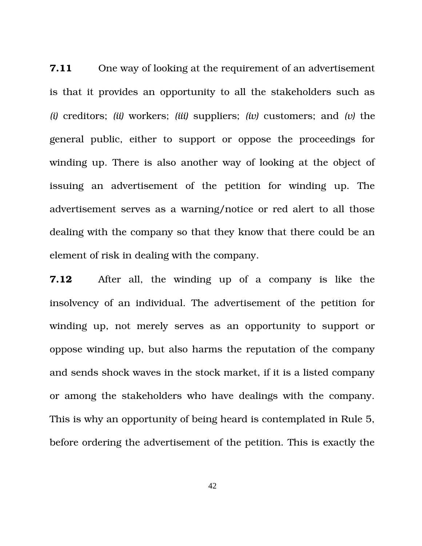**7.11** One way of looking at the requirement of an advertisement is that it provides an opportunity to all the stakeholders such as *(i)* creditors; *(ii)* workers; *(iii)* suppliers; *(iv)* customers; and *(v)* the general public, either to support or oppose the proceedings for winding up. There is also another way of looking at the object of issuing an advertisement of the petition for winding up. The advertisement serves as a warning/notice or red alert to all those dealing with the company so that they know that there could be an element of risk in dealing with the company.

**7.12** After all, the winding up of a company is like the insolvency of an individual. The advertisement of the petition for winding up, not merely serves as an opportunity to support or oppose winding up, but also harms the reputation of the company and sends shock waves in the stock market, if it is a listed company or among the stakeholders who have dealings with the company. This is why an opportunity of being heard is contemplated in Rule 5, before ordering the advertisement of the petition. This is exactly the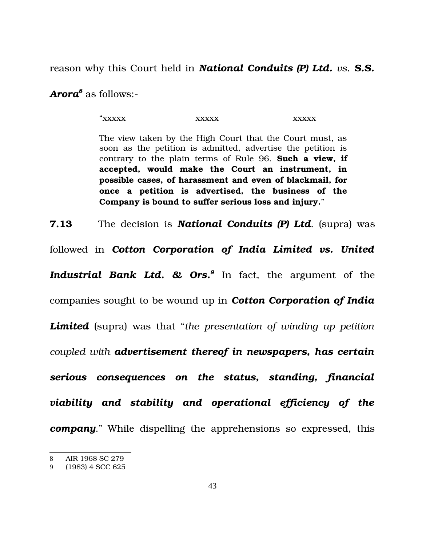reason why this Court held in *National Conduits (P) Ltd. vs. S.S.*

*Arora[8](#page-42-0)* as follows:

"xxxxx xxxxx xxxxx

The view taken by the High Court that the Court must, as soon as the petition is admitted, advertise the petition is contrary to the plain terms of Rule 96. **Such a view, if accepted, would make the Court an instrument, in possible cases, of harassment and even of blackmail, for once a petition is advertised, the business of the Company is bound to suffer serious loss and injury.**"

**7.13** The decision is *National Conduits (P) Ltd*. (supra) was followed in *Cotton Corporation of India Limited vs. United* Industrial Bank Ltd. & Ors.<sup>[9](#page-42-1)</sup> In fact, the argument of the companies sought to be wound up in *Cotton Corporation of India Limited* (supra) was that "*the presentation of winding up petition coupled with advertisement thereof in newspapers, has certain serious consequences on the status, standing, financial viability and stability and operational efficiency of the company*." While dispelling the apprehensions so expressed, this

<span id="page-42-0"></span><sup>8</sup> AIR 1968 SC 279

<span id="page-42-1"></span><sup>9</sup> (1983) 4 SCC 625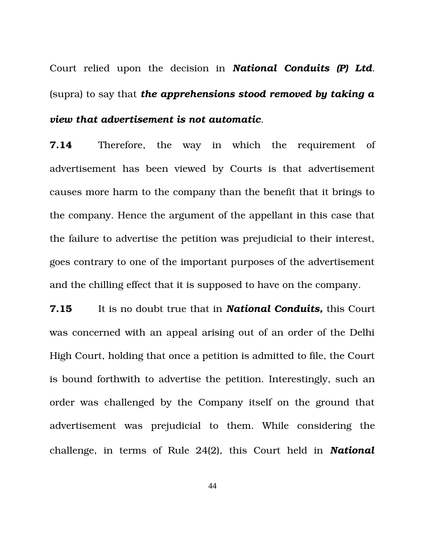Court relied upon the decision in National Conduits (P) Ltd. (supra) to say that *the apprehensions stood removed by taking a view that advertisement is not automatic*.

**7.14** Therefore, the way in which the requirement of advertisement has been viewed by Courts is that advertisement causes more harm to the company than the benefit that it brings to the company. Hence the argument of the appellant in this case that the failure to advertise the petition was prejudicial to their interest, goes contrary to one of the important purposes of the advertisement and the chilling effect that it is supposed to have on the company.

**7.15** It is no doubt true that in *National Conduits,* this Court was concerned with an appeal arising out of an order of the Delhi High Court, holding that once a petition is admitted to file, the Court is bound forthwith to advertise the petition. Interestingly, such an order was challenged by the Company itself on the ground that advertisement was prejudicial to them. While considering the challenge, in terms of Rule 24(2), this Court held in *National*

44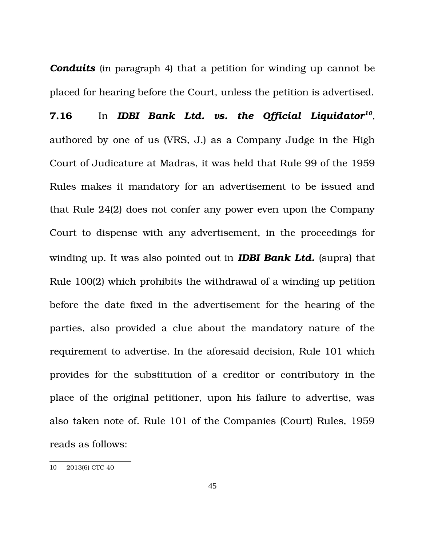**Conduits** (in paragraph 4) that a petition for winding up cannot be placed for hearing before the Court, unless the petition is advertised.

**7.16** In *IDBI Bank Ltd. vs. the Official Liquidator[10](#page-44-0)* , authored by one of us (VRS, J.) as a Company Judge in the High Court of Judicature at Madras, it was held that Rule 99 of the 1959 Rules makes it mandatory for an advertisement to be issued and that Rule 24(2) does not confer any power even upon the Company Court to dispense with any advertisement, in the proceedings for winding up. It was also pointed out in *IDBI Bank Ltd.* (supra) that Rule 100(2) which prohibits the withdrawal of a winding up petition before the date fixed in the advertisement for the hearing of the parties, also provided a clue about the mandatory nature of the requirement to advertise. In the aforesaid decision, Rule 101 which provides for the substitution of a creditor or contributory in the place of the original petitioner, upon his failure to advertise, was also taken note of. Rule 101 of the Companies (Court) Rules, 1959 reads as follows:

<span id="page-44-0"></span><sup>10</sup> 2013(6) CTC 40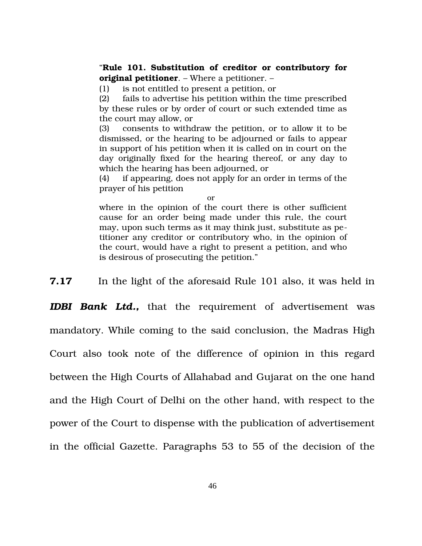#### "**Rule 101. Substitution of creditor or contributory for original petitioner**. – Where a petitioner. –

(1) is not entitled to present a petition, or

(2) fails to advertise his petition within the time prescribed by these rules or by order of court or such extended time as the court may allow, or

(3) consents to withdraw the petition, or to allow it to be dismissed, or the hearing to be adjourned or fails to appear in support of his petition when it is called on in court on the day originally fixed for the hearing thereof, or any day to which the hearing has been adjourned, or

(4) if appearing, does not apply for an order in terms of the prayer of his petition

or

where in the opinion of the court there is other sufficient cause for an order being made under this rule, the court may, upon such terms as it may think just, substitute as petitioner any creditor or contributory who, in the opinion of the court, would have a right to present a petition, and who is desirous of prosecuting the petition."

**7.17** In the light of the aforesaid Rule 101 also, it was held in

**IDBI Bank Ltd.,** that the requirement of advertisement was mandatory. While coming to the said conclusion, the Madras High Court also took note of the difference of opinion in this regard between the High Courts of Allahabad and Gujarat on the one hand and the High Court of Delhi on the other hand, with respect to the power of the Court to dispense with the publication of advertisement in the official Gazette. Paragraphs 53 to 55 of the decision of the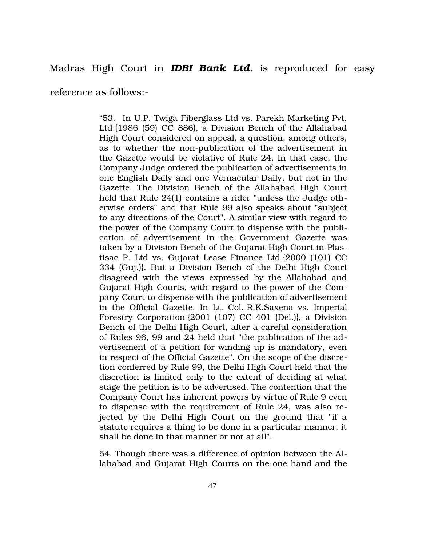## Madras High Court in *IDBI Bank Ltd.* is reproduced for easy

reference as follows:

"53. [In U.P. Twiga Fiberglass Ltd vs. Parekh Marketing Pvt.](https://indiankanoon.org/doc/1157708/) [Ltd](https://indiankanoon.org/doc/1157708/) {1986 (59) CC 886}, a Division Bench of the Allahabad High Court considered on appeal, a question, among others, as to whether the non-publication of the advertisement in the Gazette would be violative of Rule 24. In that case, the Company Judge ordered the publication of advertisements in one English Daily and one Vernacular Daily, but not in the Gazette. The Division Bench of the Allahabad High Court held that Rule 24(1) contains a rider "unless the Judge otherwise orders" and that Rule 99 also speaks about "subject to any directions of the Court". A similar view with regard to the power of the Company Court to dispense with the publication of advertisement in the Government Gazette was taken by a Division Bench of the Gujarat High Court in [Plas](https://indiankanoon.org/doc/1512482/)[tisac P. Ltd vs. Gujarat Lease Finance Ltd](https://indiankanoon.org/doc/1512482/) {2000 (101) CC 334 (Guj.)}. But a Division Bench of the Delhi High Court disagreed with the views expressed by the Allahabad and Gujarat High Courts, with regard to the power of the Company Court to dispense with the publication of advertisement in the Official Gazette. In Lt. Col. [R.K.Saxena vs. Imperial](https://indiankanoon.org/doc/28904/) [Forestry Corporation](https://indiankanoon.org/doc/28904/) {2001 (107) CC 401 (Del.)}, a Division Bench of the Delhi High Court, after a careful consideration of Rules 96, 99 and 24 held that "the publication of the advertisement of a petition for winding up is mandatory, even in respect of the Official Gazette". On the scope of the discretion conferred by Rule 99, the Delhi High Court held that the discretion is limited only to the extent of deciding at what stage the petition is to be advertised. The contention that the Company Court has inherent powers by virtue of Rule 9 even to dispense with the requirement of Rule 24, was also rejected by the Delhi High Court on the ground that "if a statute requires a thing to be done in a particular manner, it shall be done in that manner or not at all".

54. Though there was a difference of opinion between the Allahabad and Gujarat High Courts on the one hand and the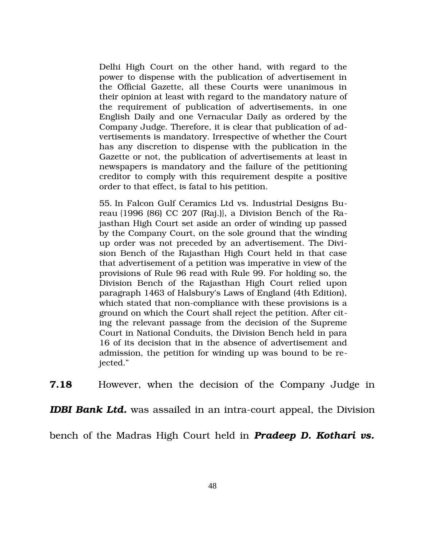Delhi High Court on the other hand, with regard to the power to dispense with the publication of advertisement in the Official Gazette, all these Courts were unanimous in their opinion at least with regard to the mandatory nature of the requirement of publication of advertisements, in one English Daily and one Vernacular Daily as ordered by the Company Judge. Therefore, it is clear that publication of advertisements is mandatory. Irrespective of whether the Court has any discretion to dispense with the publication in the Gazette or not, the publication of advertisements at least in newspapers is mandatory and the failure of the petitioning creditor to comply with this requirement despite a positive order to that effect, is fatal to his petition.

55. [In Falcon Gulf Ceramics Ltd vs. Industrial Designs Bu](https://indiankanoon.org/doc/1223810/)[reau](https://indiankanoon.org/doc/1223810/) {1996 (86) CC 207 (Raj.)}, a Division Bench of the Rajasthan High Court set aside an order of winding up passed by the Company Court, on the sole ground that the winding up order was not preceded by an advertisement. The Division Bench of the Rajasthan High Court held in that case that advertisement of a petition was imperative in view of the provisions of Rule 96 read with Rule 99. For holding so, the Division Bench of the Rajasthan High Court relied upon paragraph 1463 of Halsbury's Laws of England (4th Edition), which stated that non-compliance with these provisions is a ground on which the Court shall reject the petition. After citing the relevant passage from the decision of the Supreme Court in National Conduits, the Division Bench held in para 16 of its decision that in the absence of advertisement and admission, the petition for winding up was bound to be rejected."

**7.18** However, when the decision of the Company Judge in

**IDBI Bank Ltd.** was assailed in an intra-court appeal, the Division

bench of the Madras High Court held in *Pradeep D. Kothari vs.*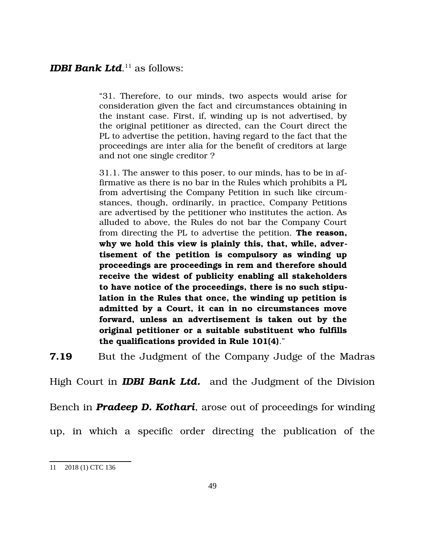# *IDBI Bank Ltd*.<sup>[11](#page-48-0)</sup> as follows:

"31. Therefore, to our minds, two aspects would arise for consideration given the fact and circumstances obtaining in the instant case. First, if, winding up is not advertised, by the original petitioner as directed, can the Court direct the PL to advertise the petition, having regard to the fact that the proceedings are inter alia for the benefit of creditors at large and not one single creditor ?

31.1. The answer to this poser, to our minds, has to be in affirmative as there is no bar in the Rules which prohibits a PL from advertising the Company Petition in such like circumstances, though, ordinarily, in practice, Company Petitions are advertised by the petitioner who institutes the action. As alluded to above, the Rules do not bar the Company Court from directing the PL to advertise the petition. **The reason, why we hold this view is plainly this, that, while, advertisement of the petition is compulsory as winding up proceedings are proceedings in rem and therefore should receive the widest of publicity enabling all stakeholders to have notice of the proceedings, there is no such stipulation in the Rules that once, the winding up petition is admitted by a Court, it can in no circumstances move forward, unless an advertisement is taken out by the original petitioner or a suitable substituent who fulfills the qualifications provided in Rule 101(4)**."

**7.19** But the Judgment of the Company Judge of the Madras

High Court in **IDBI Bank Ltd.** and the Judgment of the Division

Bench in *Pradeep D. Kothari*, arose out of proceedings for winding

up, in which a specific order directing the publication of the

<span id="page-48-0"></span><sup>11</sup> 2018 (1) CTC 136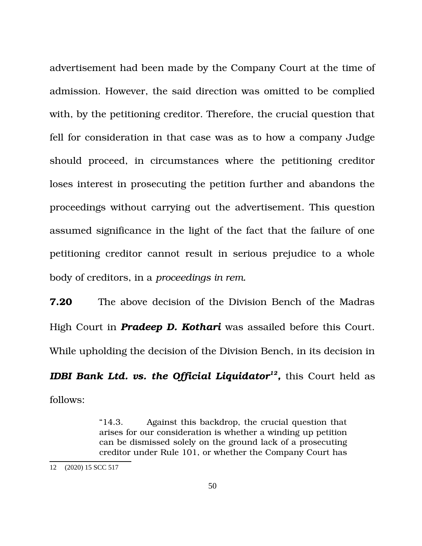advertisement had been made by the Company Court at the time of admission. However, the said direction was omitted to be complied with, by the petitioning creditor. Therefore, the crucial question that fell for consideration in that case was as to how a company Judge should proceed, in circumstances where the petitioning creditor loses interest in prosecuting the petition further and abandons the proceedings without carrying out the advertisement. This question assumed significance in the light of the fact that the failure of one petitioning creditor cannot result in serious prejudice to a whole body of creditors, in a *proceedings in rem.* 

**7.20** The above decision of the Division Bench of the Madras High Court in *Pradeep D. Kothari* was assailed before this Court. While upholding the decision of the Division Bench, in its decision in

*IDBI Bank Ltd. vs. the Official Liquidator[12](#page-49-0) ,* this Court held as follows:

> "14.3. Against this backdrop, the crucial question that arises for our consideration is whether a winding up petition can be dismissed solely on the ground lack of a prosecuting creditor under Rule 101, or whether the Company Court has

<span id="page-49-0"></span><sup>12</sup> (2020) 15 SCC 517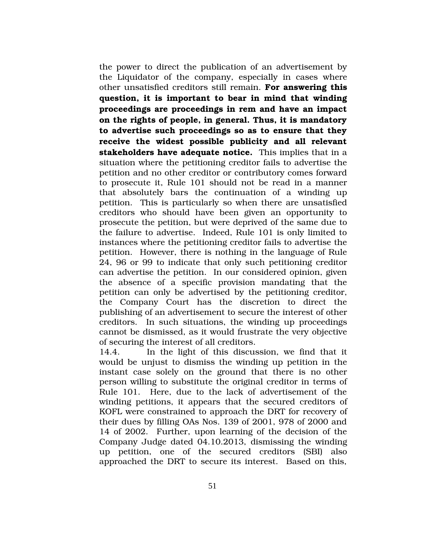the power to direct the publication of an advertisement by the Liquidator of the company, especially in cases where other unsatisfied creditors still remain. **For answering this question, it is important to bear in mind that winding proceedings are proceedings in rem and have an impact on the rights of people, in general. Thus, it is mandatory to advertise such proceedings so as to ensure that they receive the widest possible publicity and all relevant stakeholders have adequate notice.** This implies that in a situation where the petitioning creditor fails to advertise the petition and no other creditor or contributory comes forward to prosecute it, Rule 101 should not be read in a manner that absolutely bars the continuation of a winding up petition. This is particularly so when there are unsatisfied creditors who should have been given an opportunity to prosecute the petition, but were deprived of the same due to the failure to advertise. Indeed, Rule 101 is only limited to instances where the petitioning creditor fails to advertise the petition. However, there is nothing in the language of Rule 24, 96 or 99 to indicate that only such petitioning creditor can advertise the petition. In our considered opinion, given the absence of a specific provision mandating that the petition can only be advertised by the petitioning creditor, the Company Court has the discretion to direct the publishing of an advertisement to secure the interest of other creditors. In such situations, the winding up proceedings cannot be dismissed, as it would frustrate the very objective of securing the interest of all creditors.

14.4. In the light of this discussion, we find that it would be unjust to dismiss the winding up petition in the instant case solely on the ground that there is no other person willing to substitute the original creditor in terms of Rule 101. Here, due to the lack of advertisement of the winding petitions, it appears that the secured creditors of KOFL were constrained to approach the DRT for recovery of their dues by filling OAs Nos. 139 of 2001, 978 of 2000 and 14 of 2002. Further, upon learning of the decision of the Company Judge dated 04.10.2013, dismissing the winding up petition, one of the secured creditors (SBI) also approached the DRT to secure its interest. Based on this,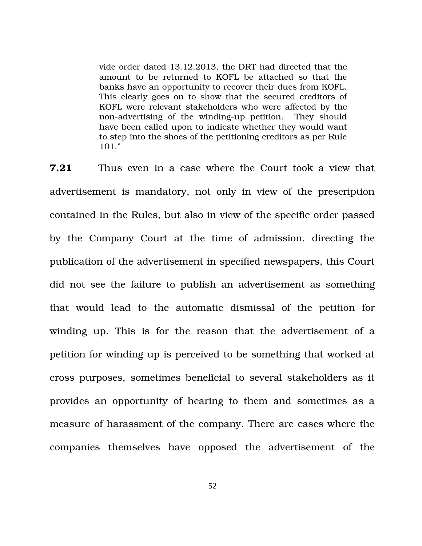vide order dated 13.12.2013, the DRT had directed that the amount to be returned to KOFL be attached so that the banks have an opportunity to recover their dues from KOFL. This clearly goes on to show that the secured creditors of KOFL were relevant stakeholders who were affected by the non-advertising of the winding-up petition. They should have been called upon to indicate whether they would want to step into the shoes of the petitioning creditors as per Rule 101."

**7.21** Thus even in a case where the Court took a view that advertisement is mandatory, not only in view of the prescription contained in the Rules, but also in view of the specific order passed by the Company Court at the time of admission, directing the publication of the advertisement in specified newspapers, this Court did not see the failure to publish an advertisement as something that would lead to the automatic dismissal of the petition for winding up. This is for the reason that the advertisement of a petition for winding up is perceived to be something that worked at cross purposes, sometimes beneficial to several stakeholders as it provides an opportunity of hearing to them and sometimes as a measure of harassment of the company. There are cases where the companies themselves have opposed the advertisement of the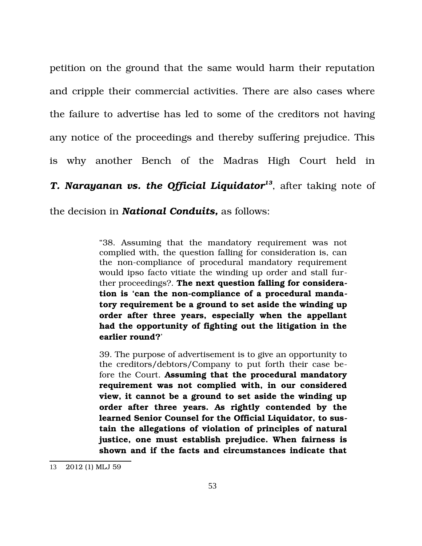petition on the ground that the same would harm their reputation and cripple their commercial activities. There are also cases where the failure to advertise has led to some of the creditors not having any notice of the proceedings and thereby suffering prejudice. This is why another Bench of the Madras High Court held in *T. Narayanan vs. the Official Liquidator[13](#page-52-0)*, after taking note of the decision in *National Conduits,* as follows:

> "38. Assuming that the mandatory requirement was not complied with, the question falling for consideration is, can the non-compliance of procedural mandatory requirement would ipso facto vitiate the winding up order and stall further proceedings?. **The next question falling for considera**tion is 'can the non-compliance of a procedural manda**tory requirement be a ground to set aside the winding up order after three years, especially when the appellant had the opportunity of fighting out the litigation in the earlier round?**'

> 39. The purpose of advertisement is to give an opportunity to the creditors/debtors/Company to put forth their case before the Court. **Assuming that the procedural mandatory requirement was not complied with, in our considered view, it cannot be a ground to set aside the winding up order after three years. As rightly contended by the learned Senior Counsel for the Official Liquidator, to sustain the allegations of violation of principles of natural justice, one must establish prejudice. When fairness is shown and if the facts and circumstances indicate that**

<span id="page-52-0"></span><sup>13</sup> 2012 (1) MLJ 59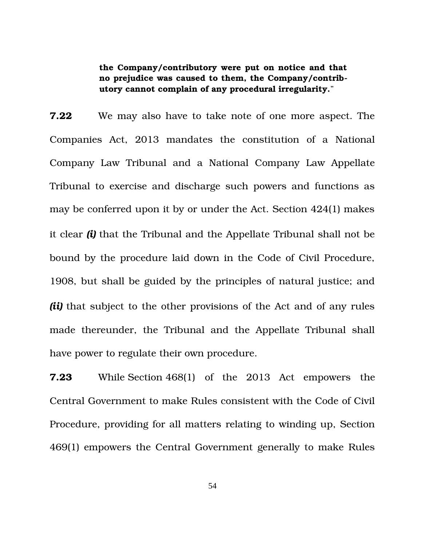**the Company/contributory were put on notice and that no prejudice was caused to them, the Company/contributory cannot complain of any procedural irregularity.**"

**7.22** We may also have to take note of one more aspect. The Companies Act, 2013 mandates the constitution of a National Company Law Tribunal and a National Company Law Appellate Tribunal to exercise and discharge such powers and functions as may be conferred upon it by or under the Act. Section 424(1) makes it clear *(i)* that the Tribunal and the Appellate Tribunal shall not be bound by the procedure laid down in the Code of Civil Procedure, 1908, but shall be guided by the principles of natural justice; and *(ii)* that subject to the other provisions of the Act and of any rules made thereunder, the Tribunal and the Appellate Tribunal shall have power to regulate their own procedure.

**7.23** While Section 468(1) of the 2013 Act empowers the Central Government to make Rules consistent with the Code of Civil Procedure, providing for all matters relating to winding up, Section 469(1) empowers the Central Government generally to make Rules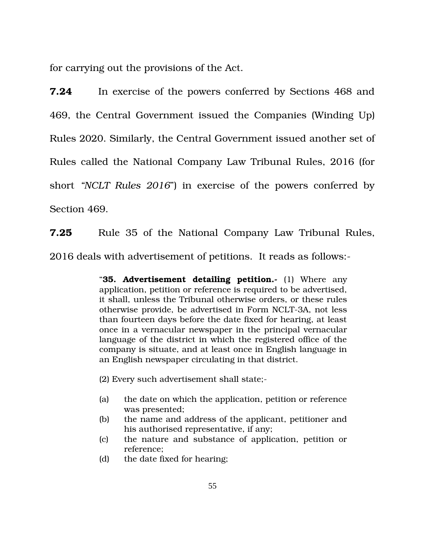for carrying out the provisions of the Act.

**7.24** In exercise of the powers conferred by Sections 468 and 469, the Central Government issued the Companies (Winding Up) Rules 2020. Similarly, the Central Government issued another set of Rules called the National Company Law Tribunal Rules, 2016 (for short *"NCLT Rules 2016*") in exercise of the powers conferred by Section 469.

**7.25** Rule 35 of the National Company Law Tribunal Rules, 2016 deals with advertisement of petitions. It reads as follows:

> "**35. Advertisement detailing petition.** (1) Where any application, petition or reference is required to be advertised, it shall, unless the Tribunal otherwise orders, or these rules otherwise provide, be advertised in Form NCLT-3A, not less than fourteen days before the date fixed for hearing, at least once in a vernacular newspaper in the principal vernacular language of the district in which the registered office of the company is situate, and at least once in English language in an English newspaper circulating in that district.

(2) Every such advertisement shall state;

- (a) the date on which the application, petition or reference was presented;
- (b) the name and address of the applicant, petitioner and his authorised representative, if any;
- (c) the nature and substance of application, petition or reference;
- (d) the date fixed for hearing;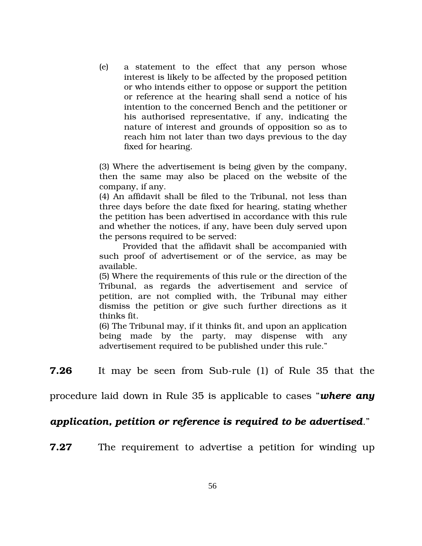$(e)$  a statement to the effect that any person whose interest is likely to be affected by the proposed petition or who intends either to oppose or support the petition or reference at the hearing shall send a notice of his intention to the concerned Bench and the petitioner or his authorised representative, if any, indicating the nature of interest and grounds of opposition so as to reach him not later than two days previous to the day fixed for hearing.

(3) Where the advertisement is being given by the company, then the same may also be placed on the website of the company, if any.

(4) An affidavit shall be filed to the Tribunal, not less than three days before the date fixed for hearing, stating whether the petition has been advertised in accordance with this rule and whether the notices, if any, have been duly served upon the persons required to be served:

Provided that the affidavit shall be accompanied with such proof of advertisement or of the service, as may be available.

(5) Where the requirements of this rule or the direction of the Tribunal, as regards the advertisement and service of petition, are not complied with, the Tribunal may either dismiss the petition or give such further directions as it thinks fit.

(6) The Tribunal may, if it thinks fit, and upon an application being made by the party, may dispense with any advertisement required to be published under this rule."

**7.26** It may be seen from Sub-rule (1) of Rule 35 that the

procedure laid down in Rule 35 is applicable to cases "*where any*

## *application, petition or reference is required to be advertised*."

**7.27** The requirement to advertise a petition for winding up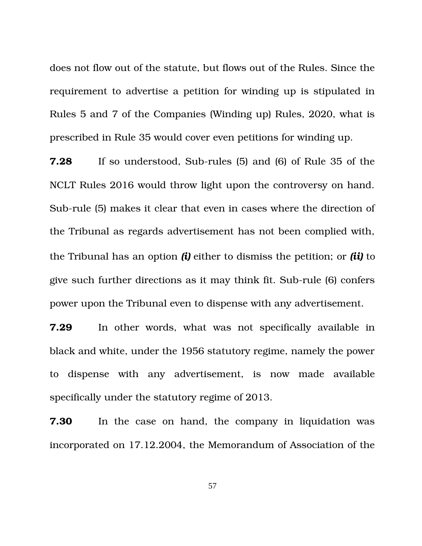does not flow out of the statute, but flows out of the Rules. Since the requirement to advertise a petition for winding up is stipulated in Rules 5 and 7 of the Companies (Winding up) Rules, 2020, what is prescribed in Rule 35 would cover even petitions for winding up.

**7.28** If so understood, Sub-rules (5) and (6) of Rule 35 of the NCLT Rules 2016 would throw light upon the controversy on hand. Sub-rule (5) makes it clear that even in cases where the direction of the Tribunal as regards advertisement has not been complied with, the Tribunal has an option *(i)* either to dismiss the petition; or *(ii)* to give such further directions as it may think fit. Sub-rule (6) confers power upon the Tribunal even to dispense with any advertisement.

**7.29** In other words, what was not specifically available in black and white, under the 1956 statutory regime, namely the power to dispense with any advertisement, is now made available specifically under the statutory regime of 2013.

**7.30** In the case on hand, the company in liquidation was incorporated on 17.12.2004, the Memorandum of Association of the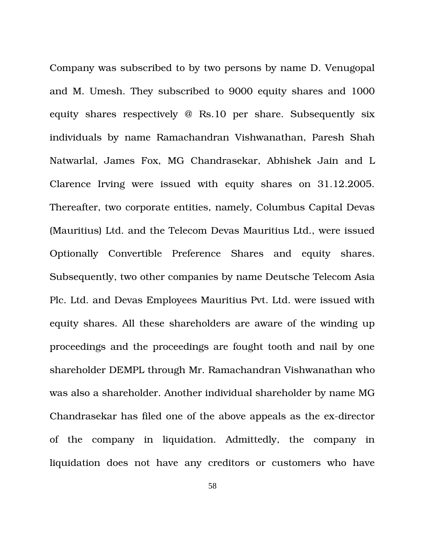Company was subscribed to by two persons by name D. Venugopal and M. Umesh. They subscribed to 9000 equity shares and 1000 equity shares respectively  $\omega$  Rs.10 per share. Subsequently six individuals by name Ramachandran Vishwanathan, Paresh Shah Natwarlal, James Fox, MG Chandrasekar, Abhishek Jain and L Clarence Irving were issued with equity shares on 31.12.2005. Thereafter, two corporate entities, namely, Columbus Capital Devas (Mauritius) Ltd. and the Telecom Devas Mauritius Ltd., were issued Optionally Convertible Preference Shares and equity shares. Subsequently, two other companies by name Deutsche Telecom Asia Plc. Ltd. and Devas Employees Mauritius Pvt. Ltd. were issued with equity shares. All these shareholders are aware of the winding up proceedings and the proceedings are fought tooth and nail by one shareholder DEMPL through Mr. Ramachandran Vishwanathan who was also a shareholder. Another individual shareholder by name MG Chandrasekar has filed one of the above appeals as the ex-director of the company in liquidation. Admittedly, the company in liquidation does not have any creditors or customers who have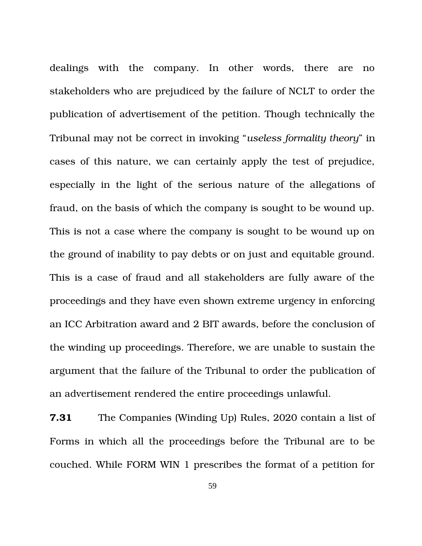dealings with the company. In other words, there are no stakeholders who are prejudiced by the failure of NCLT to order the publication of advertisement of the petition. Though technically the Tribunal may not be correct in invoking "*useless formality theory*" in cases of this nature, we can certainly apply the test of prejudice, especially in the light of the serious nature of the allegations of fraud, on the basis of which the company is sought to be wound up. This is not a case where the company is sought to be wound up on the ground of inability to pay debts or on just and equitable ground. This is a case of fraud and all stakeholders are fully aware of the proceedings and they have even shown extreme urgency in enforcing an ICC Arbitration award and 2 BIT awards, before the conclusion of the winding up proceedings. Therefore, we are unable to sustain the argument that the failure of the Tribunal to order the publication of an advertisement rendered the entire proceedings unlawful.

**7.31** The Companies (Winding Up) Rules, 2020 contain a list of Forms in which all the proceedings before the Tribunal are to be couched. While FORM WIN 1 prescribes the format of a petition for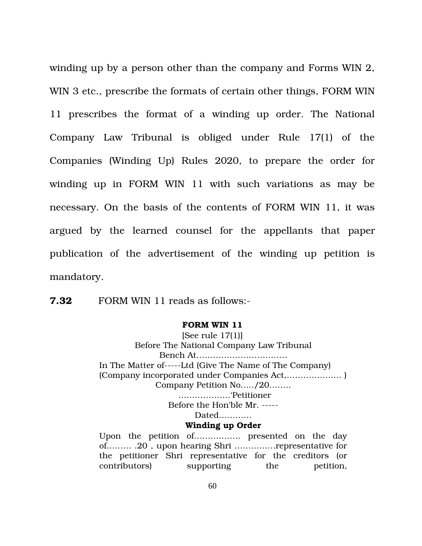winding up by a person other than the company and Forms WIN 2, WIN 3 etc., prescribe the formats of certain other things, FORM WIN 11 prescribes the format of a winding up order. The National Company Law Tribunal is obliged under Rule 17(1) of the Companies (Winding Up) Rules 2020, to prepare the order for winding up in FORM WIN 11 with such variations as may be necessary. On the basis of the contents of FORM WIN 11, it was argued by the learned counsel for the appellants that paper publication of the advertisement of the winding up petition is mandatory.

**7.32** FORM WIN 11 reads as follows:-

#### **FORM WIN 11**

[See rule 17(1)] Before The National Company Law Tribunal Bench At…………………………… In The Matter of-----Ltd (Give The Name of The Company) (Company incorporated under Companies Act,……………….. ) Company Petition No…../20…….. ……………….'Petitioner Before the Hon'ble Mr.

Dated…………

#### **Winding up Order**

Upon the petition of.................. presented on the day of……… .20 , upon hearing Shri ……………representative for the petitioner Shri representative for the creditors (or contributors) supporting the petition,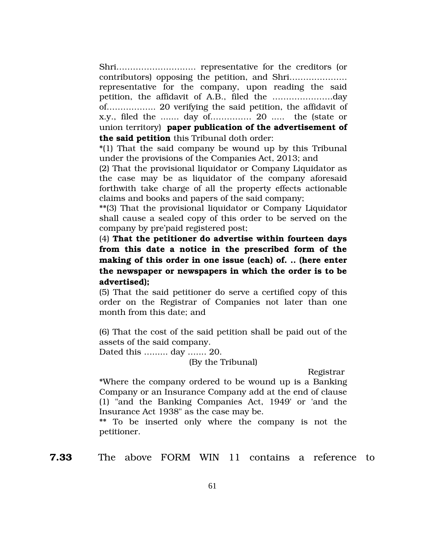Shri……………………….. representative for the creditors (or contributors) opposing the petition, and Shri………………… representative for the company, upon reading the said petition, the affidavit of A.B., filed the ………………….day of……………... 20 verifying the said petition, the affidavit of x.y., filed the ....... day of…………… 20 ..... the (state or union territory) **paper publication of the advertisement of the said petition** this Tribunal doth order:

\*(1) That the said company be wound up by this Tribunal under the provisions of the Companies Act, 2013; and

(2) That the provisional liquidator or Company Liquidator as the case may be as liquidator of the company aforesaid forthwith take charge of all the property effects actionable claims and books and papers of the said company;

\*\*(3) That the provisional liquidator or Company Liquidator shall cause a sealed copy of this order to be served on the company by pre'paid registered post;

(4) **That the petitioner do advertise within fourteen days from this date a notice in the prescribed form of the making of this order in one issue (each) of. .. (here enter the newspaper or newspapers in which the order is to be advertised);** 

(5) That the said petitioner do serve a certified copy of this order on the Registrar of Companies not later than one month from this date; and

(6) That the cost of the said petition shall be paid out of the assets of the said company.

Dated this …...... day ….... 20.

(By the Tribunal)

Registrar

\*Where the company ordered to be wound up is a Banking Company or an Insurance Company add at the end of clause (1) "and the Banking Companies Act, 1949' or 'and the Insurance Act 1938" as the case may be.

\*\* To be inserted only where the company is not the petitioner.

**7.33** The above FORM WIN 11 contains a reference to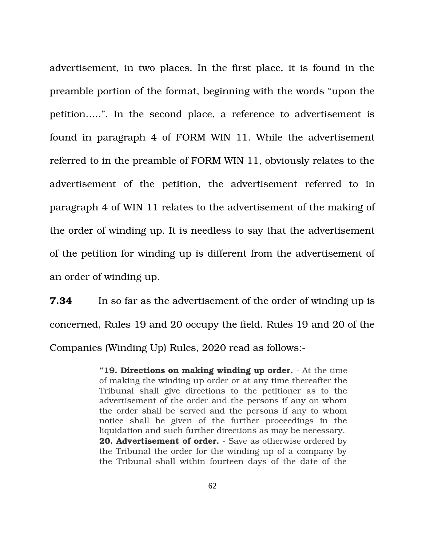advertisement, in two places. In the first place, it is found in the preamble portion of the format, beginning with the words "upon the petition…..". In the second place, a reference to advertisement is found in paragraph 4 of FORM WIN 11. While the advertisement referred to in the preamble of FORM WIN 11, obviously relates to the advertisement of the petition, the advertisement referred to in paragraph 4 of WIN 11 relates to the advertisement of the making of the order of winding up. It is needless to say that the advertisement of the petition for winding up is different from the advertisement of an order of winding up.

**7.34** In so far as the advertisement of the order of winding up is concerned, Rules 19 and 20 occupy the field. Rules 19 and 20 of the Companies (Winding Up) Rules, 2020 read as follows:

> "19. Directions on making winding up order. - At the time of making the winding up order or at any time thereafter the Tribunal shall give directions to the petitioner as to the advertisement of the order and the persons if any on whom the order shall be served and the persons if any to whom notice shall be given of the further proceedings in the liquidation and such further directions as may be necessary. **20. Advertisement of order.** - Save as otherwise ordered by the Tribunal the order for the winding up of a company by the Tribunal shall within fourteen days of the date of the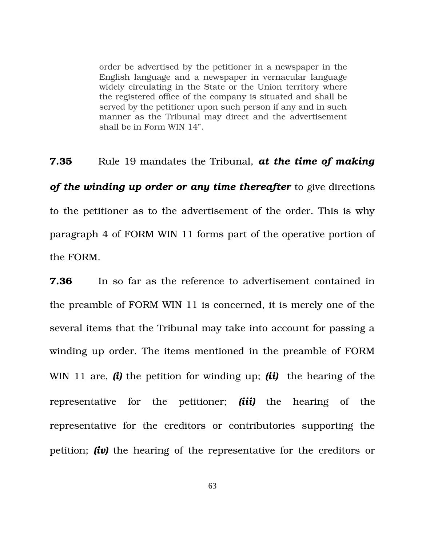order be advertised by the petitioner in a newspaper in the English language and a newspaper in vernacular language widely circulating in the State or the Union territory where the registered office of the company is situated and shall be served by the petitioner upon such person if any and in such manner as the Tribunal may direct and the advertisement shall be in Form WIN 14".

**7.35** Rule 19 mandates the Tribunal, *at the time of making of the winding up order or any time thereafter* to give directions to the petitioner as to the advertisement of the order. This is why paragraph 4 of FORM WIN 11 forms part of the operative portion of the FORM.

**7.36** In so far as the reference to advertisement contained in the preamble of FORM WIN 11 is concerned, it is merely one of the several items that the Tribunal may take into account for passing a winding up order. The items mentioned in the preamble of FORM WIN 11 are, *(i)* the petition for winding up; *(ii)* the hearing of the representative for the petitioner; *(iii)* the hearing of the representative for the creditors or contributories supporting the petition; *(iv)* the hearing of the representative for the creditors or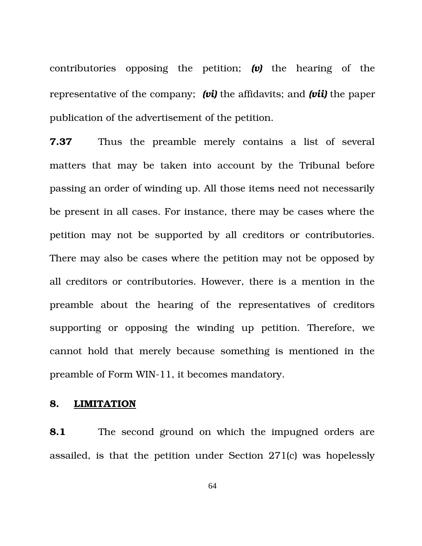contributories opposing the petition; *(v)* the hearing of the representative of the company; *(vi)* the affidavits; and *(vii)* the paper publication of the advertisement of the petition.

**7.37** Thus the preamble merely contains a list of several matters that may be taken into account by the Tribunal before passing an order of winding up. All those items need not necessarily be present in all cases. For instance, there may be cases where the petition may not be supported by all creditors or contributories. There may also be cases where the petition may not be opposed by all creditors or contributories. However, there is a mention in the preamble about the hearing of the representatives of creditors supporting or opposing the winding up petition. Therefore, we cannot hold that merely because something is mentioned in the preamble of Form WIN-11, it becomes mandatory.

## **8. LIMITATION**

**8.1** The second ground on which the impugned orders are assailed, is that the petition under Section 271(c) was hopelessly

64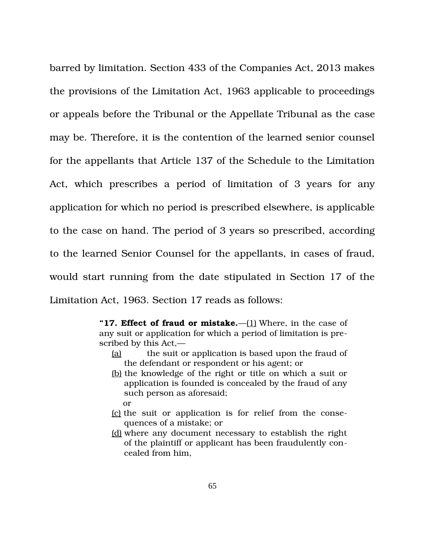barred by limitation. Section 433 of the Companies Act, 2013 makes the provisions of the Limitation Act, 1963 applicable to proceedings or appeals before the Tribunal or the Appellate Tribunal as the case may be. Therefore, it is the contention of the learned senior counsel for the appellants that Article 137 of the Schedule to the Limitation Act, which prescribes a period of limitation of 3 years for any application for which no period is prescribed elsewhere, is applicable to the case on hand. The period of 3 years so prescribed, according to the learned Senior Counsel for the appellants, in cases of fraud, would start running from the date stipulated in Section 17 of the Limitation Act, 1963. Section 17 reads as follows:

> **"17. Effect of fraud or mistake.**[—\(1\)](https://indiankanoon.org/doc/1991893/) Where, in the case of any suit or application for which a period of limitation is prescribed by this Act,—

- [\(a\)](https://indiankanoon.org/doc/14300/) the suit or application is based upon the fraud of the defendant or respondent or his agent; or
- [\(b\)](https://indiankanoon.org/doc/1304859/) the knowledge of the right or title on which a suit or application is founded is concealed by the fraud of any such person as aforesaid; or
- [\(c\)](https://indiankanoon.org/doc/1712916/) the suit or application is for relief from the consequences of a mistake; or
- [\(d\)](https://indiankanoon.org/doc/763892/) where any document necessary to establish the right of the plaintiff or applicant has been fraudulently concealed from him,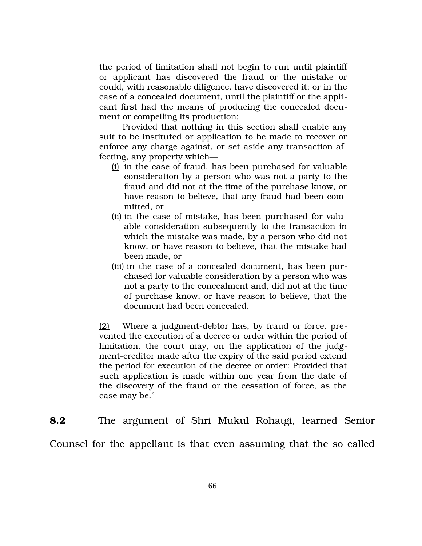the period of limitation shall not begin to run until plaintiff or applicant has discovered the fraud or the mistake or could, with reasonable diligence, have discovered it; or in the case of a concealed document, until the plaintiff or the applicant first had the means of producing the concealed document or compelling its production:

Provided that nothing in this section shall enable any suit to be instituted or application to be made to recover or enforce any charge against, or set aside any transaction affecting, any property which—

- [\(i\)](https://indiankanoon.org/doc/1479250/) in the case of fraud, has been purchased for valuable consideration by a person who was not a party to the fraud and did not at the time of the purchase know, or have reason to believe, that any fraud had been committed, or
- [\(ii\)](https://indiankanoon.org/doc/772405/) in the case of mistake, has been purchased for valuable consideration subsequently to the transaction in which the mistake was made, by a person who did not know, or have reason to believe, that the mistake had been made, or
- [\(iii\)](https://indiankanoon.org/doc/538652/) in the case of a concealed document, has been purchased for valuable consideration by a person who was not a party to the concealment and, did not at the time of purchase know, or have reason to believe, that the document had been concealed.

 $(2)$  Where a judgment-debtor has, by fraud or force, prevented the execution of a decree or order within the period of limitation, the court may, on the application of the judgment-creditor made after the expiry of the said period extend the period for execution of the decree or order: Provided that such application is made within one year from the date of the discovery of the fraud or the cessation of force, as the case may be."

**8.2** The argument of Shri Mukul Rohatgi, learned Senior Counsel for the appellant is that even assuming that the so called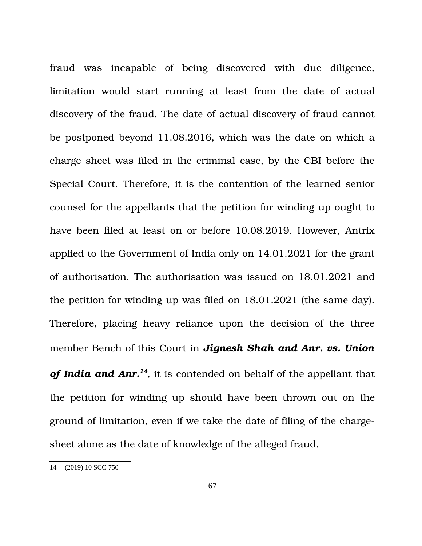fraud was incapable of being discovered with due diligence, limitation would start running at least from the date of actual discovery of the fraud. The date of actual discovery of fraud cannot be postponed beyond 11.08.2016, which was the date on which a charge sheet was filed in the criminal case, by the CBI before the Special Court. Therefore, it is the contention of the learned senior counsel for the appellants that the petition for winding up ought to have been filed at least on or before 10.08.2019. However, Antrix applied to the Government of India only on 14.01.2021 for the grant of authorisation. The authorisation was issued on 18.01.2021 and the petition for winding up was filed on 18.01.2021 (the same day). Therefore, placing heavy reliance upon the decision of the three member Bench of this Court in *Jignesh Shah and Anr. vs. Union of India and Anr.[14](#page-66-0)*, it is contended on behalf of the appellant that the petition for winding up should have been thrown out on the ground of limitation, even if we take the date of filing of the chargesheet alone as the date of knowledge of the alleged fraud.

<span id="page-66-0"></span><sup>14</sup> (2019) 10 SCC 750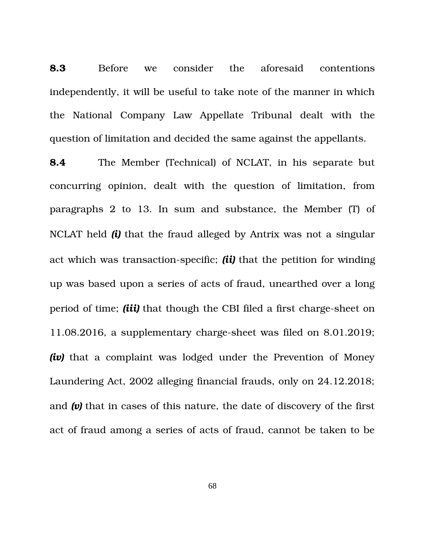**8.3** Before we consider the aforesaid contentions independently, it will be useful to take note of the manner in which the National Company Law Appellate Tribunal dealt with the question of limitation and decided the same against the appellants.

**8.4** The Member (Technical) of NCLAT, in his separate but concurring opinion, dealt with the question of limitation, from paragraphs  $2$  to  $13$ . In sum and substance, the Member  $(T)$  of NCLAT held *(i)* that the fraud alleged by Antrix was not a singular act which was transaction-specific; *(ii)* that the petition for winding up was based upon a series of acts of fraud, unearthed over a long period of time; *(iii)* that though the CBI filed a first charge-sheet on 11.08.2016, a supplementary charge-sheet was filed on 8.01.2019; *(iv)* that a complaint was lodged under the Prevention of Money Laundering Act, 2002 alleging financial frauds, only on 24.12.2018; and *(v)* that in cases of this nature, the date of discovery of the first act of fraud among a series of acts of fraud, cannot be taken to be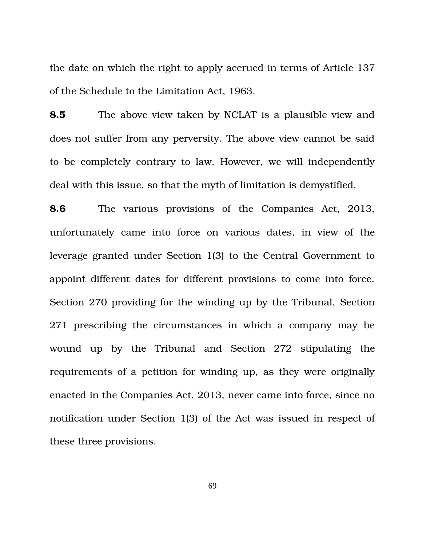the date on which the right to apply accrued in terms of Article 137 of the Schedule to the Limitation Act, 1963.

**8.5** The above view taken by NCLAT is a plausible view and does not suffer from any perversity. The above view cannot be said to be completely contrary to law. However, we will independently deal with this issue, so that the myth of limitation is demystified.

**8.6** The various provisions of the Companies Act, 2013, unfortunately came into force on various dates, in view of the leverage granted under Section 1(3) to the Central Government to appoint different dates for different provisions to come into force. Section 270 providing for the winding up by the Tribunal, Section 271 prescribing the circumstances in which a company may be wound up by the Tribunal and Section 272 stipulating the requirements of a petition for winding up, as they were originally enacted in the Companies Act, 2013, never came into force, since no notification under Section 1(3) of the Act was issued in respect of these three provisions.

69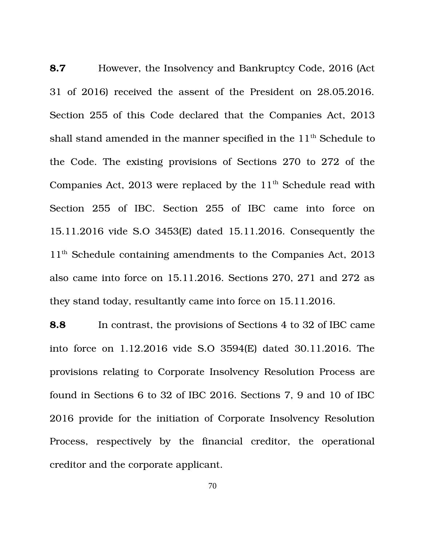**8.7** However, the Insolvency and Bankruptcy Code, 2016 (Act 31 of 2016) received the assent of the President on 28.05.2016. Section 255 of this Code declared that the Companies Act, 2013 shall stand amended in the manner specified in the  $11<sup>th</sup>$  Schedule to the Code. The existing provisions of Sections 270 to 272 of the Companies Act, 2013 were replaced by the  $11<sup>th</sup>$  Schedule read with Section 255 of IBC. Section 255 of IBC came into force on 15.11.2016 vide S.O 3453(E) dated 15.11.2016. Consequently the  $11<sup>th</sup>$  Schedule containing amendments to the Companies Act, 2013 also came into force on 15.11.2016. Sections 270, 271 and 272 as they stand today, resultantly came into force on 15.11.2016.

**8.8** In contrast, the provisions of Sections 4 to 32 of IBC came into force on 1.12.2016 vide S.O 3594(E) dated 30.11.2016. The provisions relating to Corporate Insolvency Resolution Process are found in Sections 6 to 32 of IBC 2016. Sections 7, 9 and 10 of IBC 2016 provide for the initiation of Corporate Insolvency Resolution Process, respectively by the financial creditor, the operational creditor and the corporate applicant.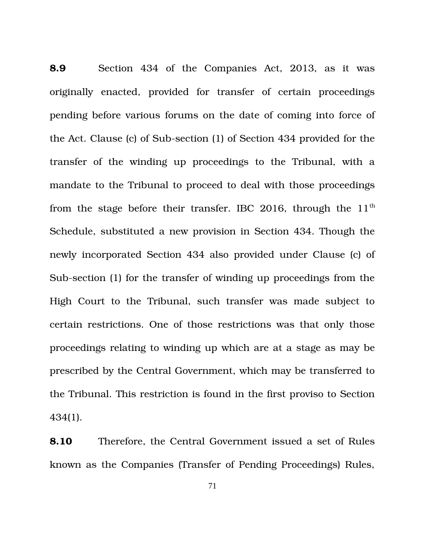**8.9** Section 434 of the Companies Act, 2013, as it was originally enacted, provided for transfer of certain proceedings pending before various forums on the date of coming into force of the Act. Clause (c) of Sub-section (1) of Section 434 provided for the transfer of the winding up proceedings to the Tribunal, with a mandate to the Tribunal to proceed to deal with those proceedings from the stage before their transfer. IBC 2016, through the  $11<sup>th</sup>$ Schedule, substituted a new provision in Section 434. Though the newly incorporated Section 434 also provided under Clause (c) of Sub-section (1) for the transfer of winding up proceedings from the High Court to the Tribunal, such transfer was made subject to certain restrictions. One of those restrictions was that only those proceedings relating to winding up which are at a stage as may be prescribed by the Central Government, which may be transferred to the Tribunal. This restriction is found in the first proviso to Section 434(1).

**8.10** Therefore, the Central Government issued a set of Rules known as the Companies (Transfer of Pending Proceedings) Rules,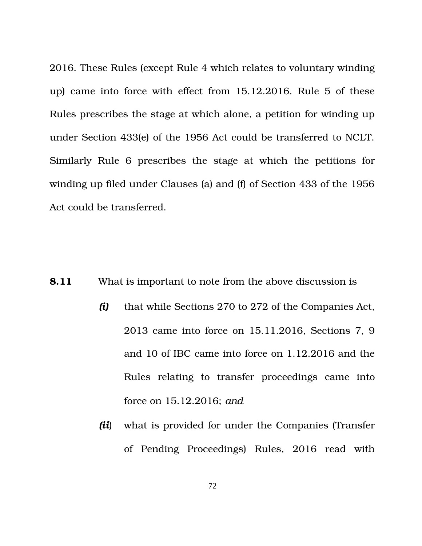2016. These Rules (except Rule 4 which relates to voluntary winding up) came into force with effect from 15.12.2016. Rule 5 of these Rules prescribes the stage at which alone, a petition for winding up under Section 433(e) of the 1956 Act could be transferred to NCLT. Similarly Rule 6 prescribes the stage at which the petitions for winding up filed under Clauses (a) and (f) of Section 433 of the 1956 Act could be transferred.

- **8.11** What is important to note from the above discussion is
	- *(i)* that while Sections 270 to 272 of the Companies Act, 2013 came into force on 15.11.2016, Sections 7, 9 and 10 of IBC came into force on 1.12.2016 and the Rules relating to transfer proceedings came into force on 15.12.2016; *and*
	- *(ii*) what is provided for under the Companies (Transfer of Pending Proceedings) Rules, 2016 read with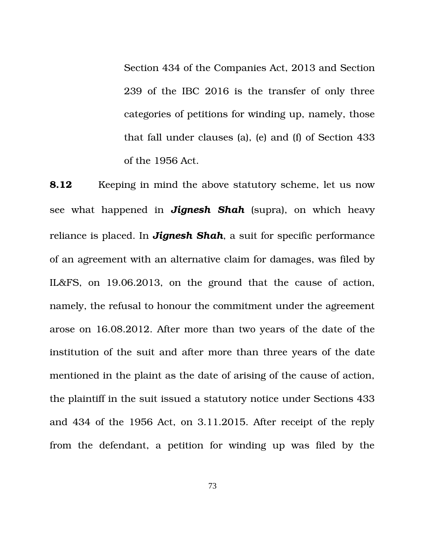Section 434 of the Companies Act, 2013 and Section 239 of the IBC 2016 is the transfer of only three categories of petitions for winding up, namely, those that fall under clauses (a), (e) and (f) of Section 433 of the 1956 Act.

**8.12** Keeping in mind the above statutory scheme, let us now see what happened in *Jignesh Shah* (supra), on which heavy reliance is placed. In *Jignesh Shah*, a suit for specific performance of an agreement with an alternative claim for damages, was filed by IL&FS, on 19.06.2013, on the ground that the cause of action, namely, the refusal to honour the commitment under the agreement arose on 16.08.2012. After more than two years of the date of the institution of the suit and after more than three years of the date mentioned in the plaint as the date of arising of the cause of action, the plaintiff in the suit issued a statutory notice under Sections 433 and 434 of the 1956 Act, on 3.11.2015. After receipt of the reply from the defendant, a petition for winding up was filed by the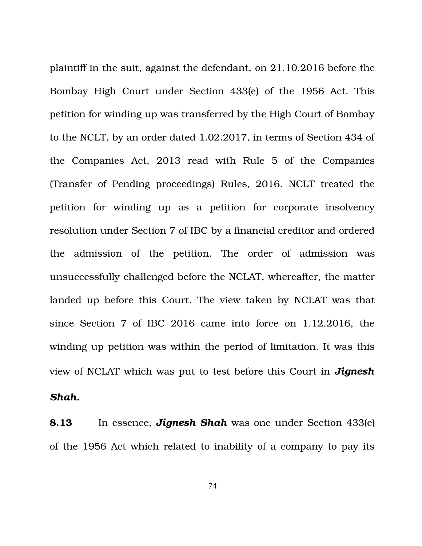plaintiff in the suit, against the defendant, on 21.10.2016 before the Bombay High Court under Section 433(e) of the 1956 Act. This petition for winding up was transferred by the High Court of Bombay to the NCLT, by an order dated 1.02.2017, in terms of Section 434 of the Companies Act, 2013 read with Rule 5 of the Companies (Transfer of Pending proceedings) Rules, 2016. NCLT treated the petition for winding up as a petition for corporate insolvency resolution under Section 7 of IBC by a financial creditor and ordered the admission of the petition. The order of admission was unsuccessfully challenged before the NCLAT, whereafter, the matter landed up before this Court. The view taken by NCLAT was that since Section 7 of IBC 2016 came into force on 1.12.2016, the winding up petition was within the period of limitation. It was this view of NCLAT which was put to test before this Court in *Jignesh*

*Shah.*

**8.13** In essence, *Jignesh Shah* was one under Section 433(e) of the 1956 Act which related to inability of a company to pay its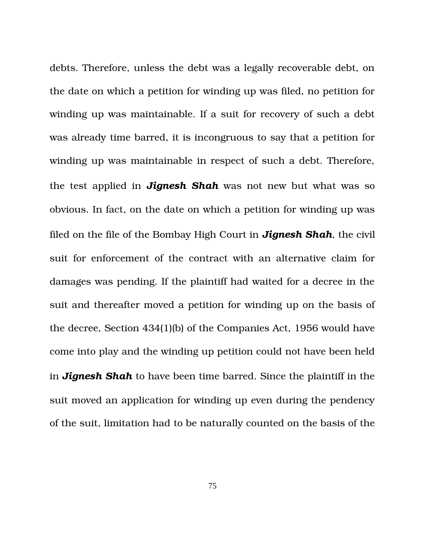debts. Therefore, unless the debt was a legally recoverable debt, on the date on which a petition for winding up was filed, no petition for winding up was maintainable. If a suit for recovery of such a debt was already time barred, it is incongruous to say that a petition for winding up was maintainable in respect of such a debt. Therefore, the test applied in *Jignesh Shah* was not new but what was so obvious. In fact, on the date on which a petition for winding up was filed on the file of the Bombay High Court in *Jignesh Shah*, the civil suit for enforcement of the contract with an alternative claim for damages was pending. If the plaintiff had waited for a decree in the suit and thereafter moved a petition for winding up on the basis of the decree, Section 434(1)(b) of the Companies Act, 1956 would have come into play and the winding up petition could not have been held in *Jignesh Shah* to have been time barred. Since the plaintiff in the suit moved an application for winding up even during the pendency of the suit, limitation had to be naturally counted on the basis of the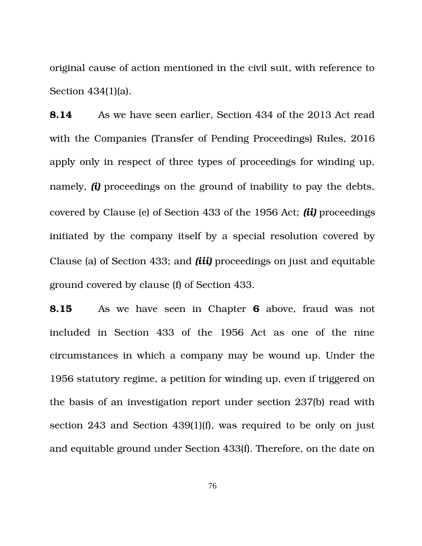original cause of action mentioned in the civil suit, with reference to Section 434(1)(a).

**8.14** As we have seen earlier, Section 434 of the 2013 Act read with the Companies (Transfer of Pending Proceedings) Rules, 2016 apply only in respect of three types of proceedings for winding up, namely, *(i)* proceedings on the ground of inability to pay the debts, covered by Clause (e) of Section 433 of the 1956 Act; *(ii)* proceedings initiated by the company itself by a special resolution covered by Clause (a) of Section 433; and *(iii)* proceedings on just and equitable ground covered by clause (f) of Section 433.

**8.15** As we have seen in Chapter **6** above, fraud was not included in Section 433 of the 1956 Act as one of the nine circumstances in which a company may be wound up. Under the 1956 statutory regime, a petition for winding up, even if triggered on the basis of an investigation report under section 237(b) read with section 243 and Section 439(1)(f), was required to be only on just and equitable ground under Section 433(f). Therefore, on the date on

76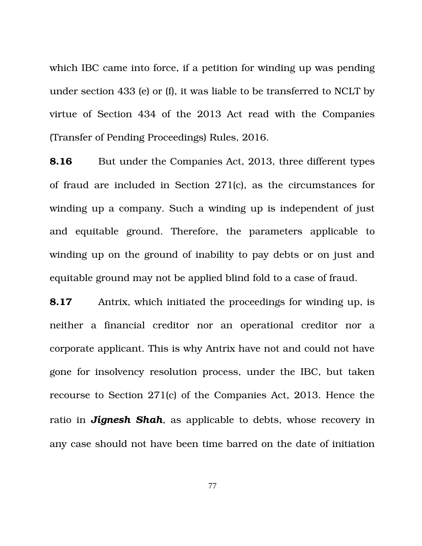which IBC came into force, if a petition for winding up was pending under section 433 (e) or (f), it was liable to be transferred to NCLT by virtue of Section 434 of the 2013 Act read with the Companies (Transfer of Pending Proceedings) Rules, 2016.

**8.16** But under the Companies Act, 2013, three different types of fraud are included in Section 271(c), as the circumstances for winding up a company. Such a winding up is independent of just and equitable ground. Therefore, the parameters applicable to winding up on the ground of inability to pay debts or on just and equitable ground may not be applied blind fold to a case of fraud.

**8.17** Antrix, which initiated the proceedings for winding up, is neither a financial creditor nor an operational creditor nor a corporate applicant. This is why Antrix have not and could not have gone for insolvency resolution process, under the IBC, but taken recourse to Section 271(c) of the Companies Act, 2013. Hence the ratio in *Jignesh Shah*, as applicable to debts, whose recovery in any case should not have been time barred on the date of initiation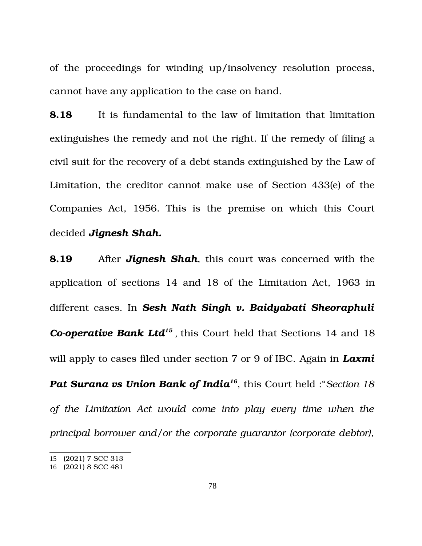of the proceedings for winding up/insolvency resolution process, cannot have any application to the case on hand.

**8.18** It is fundamental to the law of limitation that limitation extinguishes the remedy and not the right. If the remedy of filing a civil suit for the recovery of a debt stands extinguished by the Law of Limitation, the creditor cannot make use of Section 433(e) of the Companies Act, 1956. This is the premise on which this Court decided *Jignesh Shah.*

**8.19** After *Jignesh Shah*, this court was concerned with the application of sections 14 and 18 of the Limitation Act, 1963 in different cases. In *Sesh Nath Singh v. Baidyabati Sheoraphuli* Co-operative Bank Ltd<sup>[15](#page-77-0)</sup>, this Court held that Sections 14 and 18 will apply to cases filed under section 7 or 9 of IBC. Again in *Laxmi Pat Surana vs Union Bank of India[16](#page-77-1)*, this Court held :"*Section 18 of the Limitation Act would come into play every time when the principal borrower and/or the corporate guarantor (corporate debtor),*

<span id="page-77-0"></span><sup>15</sup> (2021) 7 SCC 313

<span id="page-77-1"></span><sup>16</sup> (2021) 8 SCC 481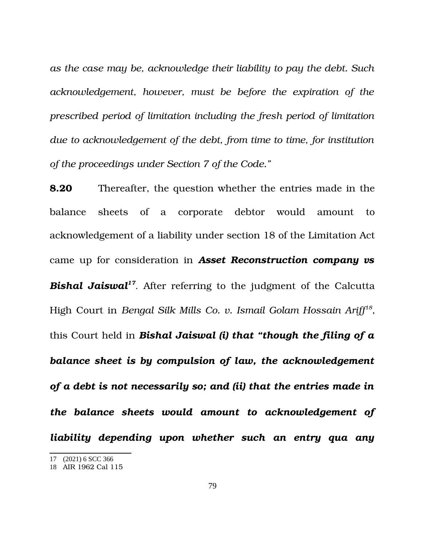*as the case may be, acknowledge their liability to pay the debt. Such acknowledgement, however, must be before the expiration of the prescribed period of limitation including the fresh period of limitation due to acknowledgement of the debt, from time to time, for institution of the proceedings under Section 7 of the Code."*

**8.20** Thereafter, the question whether the entries made in the balance sheets of a corporate debtor would amount to acknowledgement of a liability under section 18 of the Limitation Act came up for consideration in *Asset Reconstruction company vs Bishal Jaiswal[17](#page-78-0)*. After referring to the judgment of the Calcutta High Court in *Bengal Silk Mills Co. v. Ismail Golam Hossain Ariff[18](#page-78-1)* , this Court held in *Bishal Jaiswal (i) that "though the filing of a balance sheet is by compulsion of law, the acknowledgement of a debt is not necessarily so; and (ii) that the entries made in the balance sheets would amount to acknowledgement of liability depending upon whether such an entry qua any*

<span id="page-78-0"></span><sup>17</sup> (2021) 6 SCC 366

<span id="page-78-1"></span><sup>18</sup> AIR 1962 Cal 115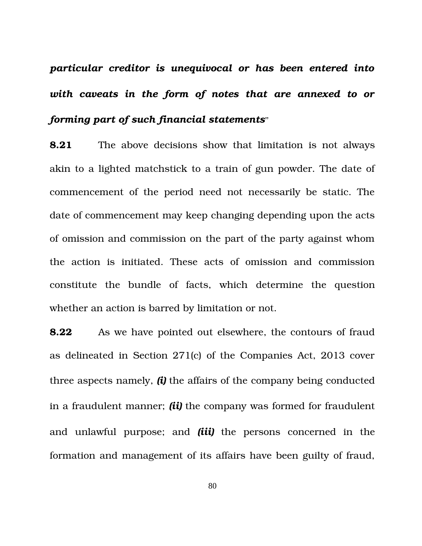*particular creditor is unequivocal or has been entered into with caveats in the form of notes that are annexed to or forming part of such financial statements*"

**8.21** The above decisions show that limitation is not always akin to a lighted matchstick to a train of gun powder. The date of commencement of the period need not necessarily be static. The date of commencement may keep changing depending upon the acts of omission and commission on the part of the party against whom the action is initiated. These acts of omission and commission constitute the bundle of facts, which determine the question whether an action is barred by limitation or not.

**8.22** As we have pointed out elsewhere, the contours of fraud as delineated in Section 271(c) of the Companies Act, 2013 cover three aspects namely, *(i)* the affairs of the company being conducted in a fraudulent manner; *(ii)* the company was formed for fraudulent and unlawful purpose; and *(iii)* the persons concerned in the formation and management of its affairs have been guilty of fraud,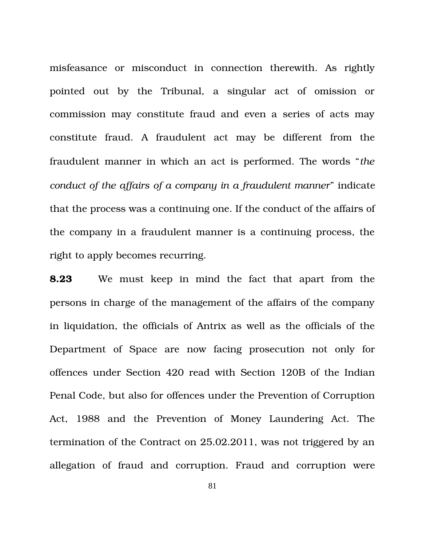misfeasance or misconduct in connection therewith. As rightly pointed out by the Tribunal, a singular act of omission or commission may constitute fraud and even a series of acts may constitute fraud. A fraudulent act may be different from the fraudulent manner in which an act is performed. The words "*the conduct of the affairs of a company in a fraudulent manner*" indicate that the process was a continuing one. If the conduct of the affairs of the company in a fraudulent manner is a continuing process, the right to apply becomes recurring.

**8.23** We must keep in mind the fact that apart from the persons in charge of the management of the affairs of the company in liquidation, the officials of Antrix as well as the officials of the Department of Space are now facing prosecution not only for offences under Section 420 read with Section 120B of the Indian Penal Code, but also for offences under the Prevention of Corruption Act, 1988 and the Prevention of Money Laundering Act. The termination of the Contract on 25.02.2011, was not triggered by an allegation of fraud and corruption. Fraud and corruption were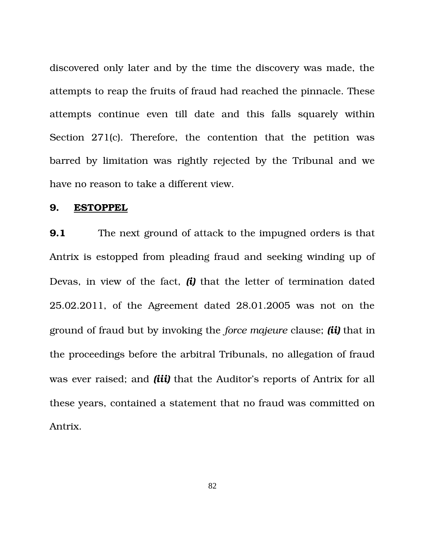discovered only later and by the time the discovery was made, the attempts to reap the fruits of fraud had reached the pinnacle. These attempts continue even till date and this falls squarely within Section 271(c). Therefore, the contention that the petition was barred by limitation was rightly rejected by the Tribunal and we have no reason to take a different view.

### **9. ESTOPPEL**

**9.1** The next ground of attack to the impugned orders is that Antrix is estopped from pleading fraud and seeking winding up of Devas, in view of the fact, *(i)* that the letter of termination dated 25.02.2011, of the Agreement dated 28.01.2005 was not on the ground of fraud but by invoking the *force majeure* clause; *(ii)* that in the proceedings before the arbitral Tribunals, no allegation of fraud was ever raised; and *(iii)* that the Auditor's reports of Antrix for all these years, contained a statement that no fraud was committed on Antrix.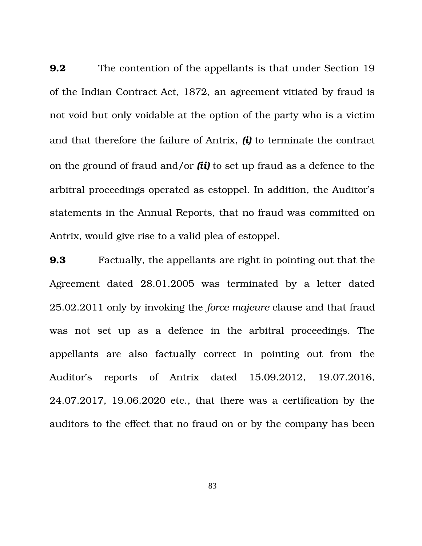**9.2** The contention of the appellants is that under Section 19 of the Indian Contract Act, 1872, an agreement vitiated by fraud is not void but only voidable at the option of the party who is a victim and that therefore the failure of Antrix, *(i)* to terminate the contract on the ground of fraud and/or *(ii)* to set up fraud as a defence to the arbitral proceedings operated as estoppel. In addition, the Auditor's statements in the Annual Reports, that no fraud was committed on Antrix, would give rise to a valid plea of estoppel.

**9.3** Factually, the appellants are right in pointing out that the Agreement dated 28.01.2005 was terminated by a letter dated 25.02.2011 only by invoking the *force majeure* clause and that fraud was not set up as a defence in the arbitral proceedings. The appellants are also factually correct in pointing out from the Auditor's reports of Antrix dated 15.09.2012, 19.07.2016, 24.07.2017, 19.06.2020 etc., that there was a certification by the auditors to the effect that no fraud on or by the company has been

83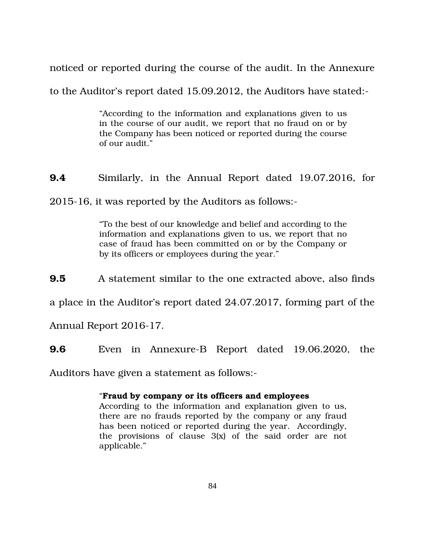noticed or reported during the course of the audit. In the Annexure

to the Auditor's report dated 15.09.2012, the Auditors have stated:

"According to the information and explanations given to us in the course of our audit, we report that no fraud on or by the Company has been noticed or reported during the course of our audit."

**9.4** Similarly, in the Annual Report dated 19.07.2016, for

2015-16, it was reported by the Auditors as follows:-

"To the best of our knowledge and belief and according to the information and explanations given to us, we report that no case of fraud has been committed on or by the Company or by its officers or employees during the year."

**9.5** A statement similar to the one extracted above, also finds

a place in the Auditor's report dated 24.07.2017, forming part of the

Annual Report 2016-17.

**9.6** Even in Annexure-B Report dated 19.06.2020, the

Auditors have given a statement as follows:

#### "**Fraud by company or its officers and employees**

According to the information and explanation given to us, there are no frauds reported by the company or any fraud has been noticed or reported during the year. Accordingly, the provisions of clause  $3(x)$  of the said order are not applicable."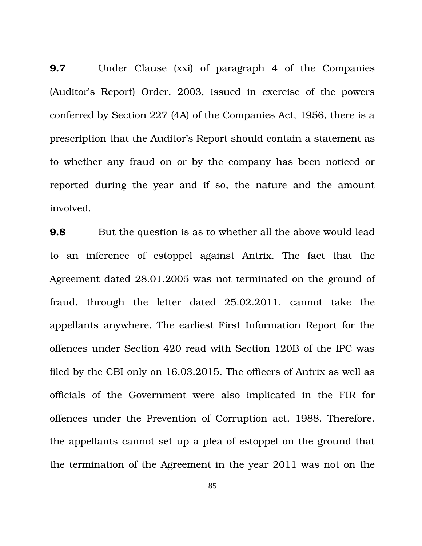**9.7** Under Clause (xxi) of paragraph 4 of the Companies (Auditor's Report) Order, 2003, issued in exercise of the powers conferred by Section 227 (4A) of the Companies Act, 1956, there is a prescription that the Auditor's Report should contain a statement as to whether any fraud on or by the company has been noticed or reported during the year and if so, the nature and the amount involved.

**9.8** But the question is as to whether all the above would lead to an inference of estoppel against Antrix. The fact that the Agreement dated 28.01.2005 was not terminated on the ground of fraud, through the letter dated 25.02.2011, cannot take the appellants anywhere. The earliest First Information Report for the offences under Section 420 read with Section 120B of the IPC was filed by the CBI only on 16.03.2015. The officers of Antrix as well as officials of the Government were also implicated in the FIR for offences under the Prevention of Corruption act, 1988. Therefore, the appellants cannot set up a plea of estoppel on the ground that the termination of the Agreement in the year 2011 was not on the

85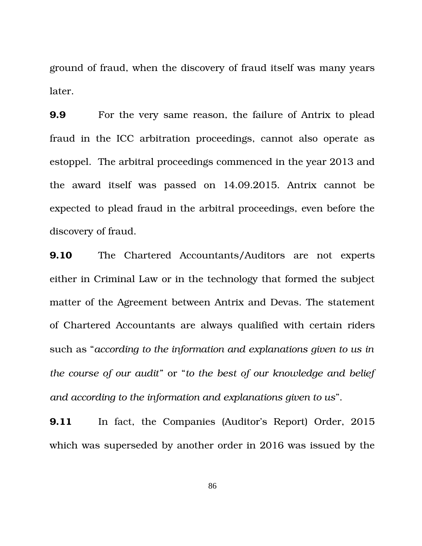ground of fraud, when the discovery of fraud itself was many years later.

**9.9** For the very same reason, the failure of Antrix to plead fraud in the ICC arbitration proceedings, cannot also operate as estoppel. The arbitral proceedings commenced in the year 2013 and the award itself was passed on 14.09.2015. Antrix cannot be expected to plead fraud in the arbitral proceedings, even before the discovery of fraud.

**9.10** The Chartered Accountants/Auditors are not experts either in Criminal Law or in the technology that formed the subject matter of the Agreement between Antrix and Devas. The statement of Chartered Accountants are always qualified with certain riders such as "*according to the information and explanations given to us in the course of our audit"* or "*to the best of our knowledge and belief and according to the information and explanations given to us*".

**9.11** In fact, the Companies (Auditor's Report) Order, 2015 which was superseded by another order in 2016 was issued by the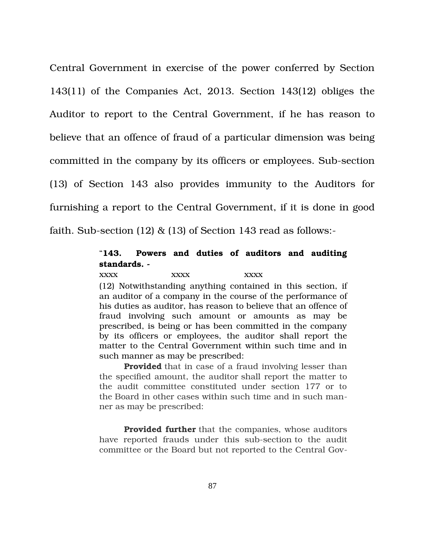Central Government in exercise of the power conferred by Section 143(11) of the Companies Act, 2013. Section 143(12) obliges the Auditor to report to the Central Government, if he has reason to believe that an offence of fraud of a particular dimension was being committed in the company by its officers or employees. Sub-section (13) of Section 143 also provides immunity to the Auditors for furnishing a report to the Central Government, if it is done in good faith. Sub-section (12)  $\&$  (13) of Section 143 read as follows:-

## "**143. Powers and duties of auditors and auditing standards.**

xxxx xxxx xxxx (12) Notwithstanding anything contained in this section, if an auditor of a company in the course of the performance of his duties as auditor, has reason to believe that an offence of fraud involving such amount or amounts as may be prescribed, is being or has been committed in the company by its officers or employees, the auditor shall report the matter to the Central Government within such time and in such manner as may be prescribed:

**Provided** that in case of a fraud involving lesser than the specified amount, the auditor shall report the matter to the audit committee constituted under section 177 or to the Board in other cases within such time and in such manner as may be prescribed:

**Provided further** that the companies, whose auditors have reported frauds under this sub-section to the audit committee or the Board but not reported to the Central Gov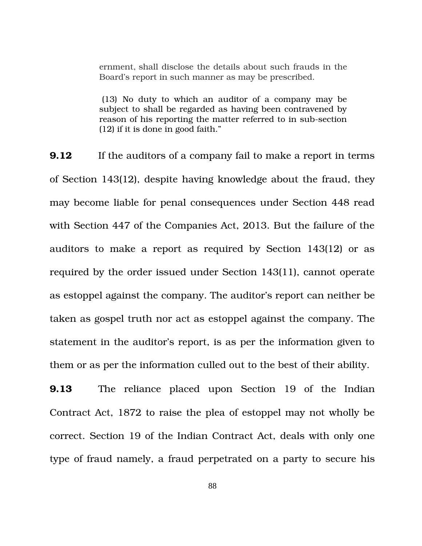ernment, shall disclose the details about such frauds in the Board's report in such manner as may be prescribed.

(13) No duty to which an auditor of a company may be subject to shall be regarded as having been contravened by reason of his reporting the matter referred to in sub-section (12) if it is done in good faith."

**9.12** If the auditors of a company fail to make a report in terms of Section 143(12), despite having knowledge about the fraud, they may become liable for penal consequences under Section 448 read with Section 447 of the Companies Act, 2013. But the failure of the auditors to make a report as required by Section 143(12) or as required by the order issued under Section 143(11), cannot operate as estoppel against the company. The auditor's report can neither be taken as gospel truth nor act as estoppel against the company. The statement in the auditor's report, is as per the information given to them or as per the information culled out to the best of their ability.

**9.13** The reliance placed upon Section 19 of the Indian Contract Act, 1872 to raise the plea of estoppel may not wholly be correct. Section 19 of the Indian Contract Act, deals with only one type of fraud namely, a fraud perpetrated on a party to secure his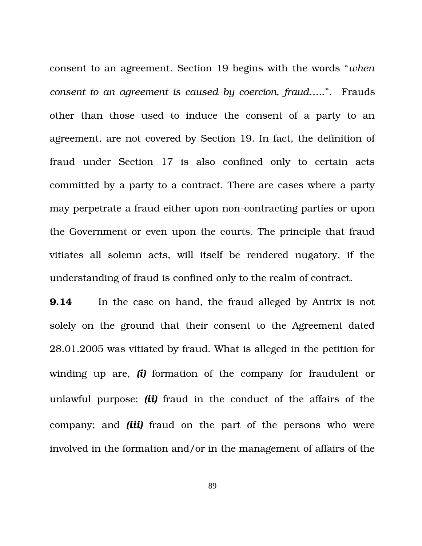consent to an agreement. Section 19 begins with the words "*when consent to an agreement is caused by coercion, fraud…..*". Frauds other than those used to induce the consent of a party to an agreement, are not covered by Section 19. In fact, the definition of fraud under Section 17 is also confined only to certain acts committed by a party to a contract. There are cases where a party may perpetrate a fraud either upon non-contracting parties or upon the Government or even upon the courts. The principle that fraud vitiates all solemn acts, will itself be rendered nugatory, if the understanding of fraud is confined only to the realm of contract.

**9.14** In the case on hand, the fraud alleged by Antrix is not solely on the ground that their consent to the Agreement dated 28.01.2005 was vitiated by fraud. What is alleged in the petition for winding up are, *(i)* formation of the company for fraudulent or unlawful purpose; *(ii)* fraud in the conduct of the affairs of the company; and *(iii)* fraud on the part of the persons who were involved in the formation and/or in the management of affairs of the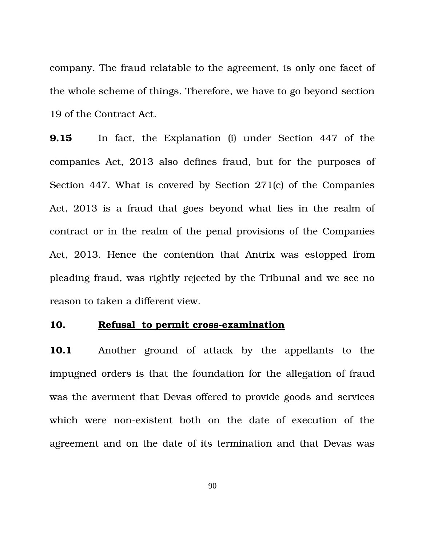company. The fraud relatable to the agreement, is only one facet of the whole scheme of things. Therefore, we have to go beyond section 19 of the Contract Act.

**9.15** In fact, the Explanation (i) under Section 447 of the companies Act, 2013 also defines fraud, but for the purposes of Section 447. What is covered by Section 271(c) of the Companies Act, 2013 is a fraud that goes beyond what lies in the realm of contract or in the realm of the penal provisions of the Companies Act, 2013. Hence the contention that Antrix was estopped from pleading fraud, was rightly rejected by the Tribunal and we see no reason to taken a different view.

## 10. **Refusal to permit cross-examination**

**10.1** Another ground of attack by the appellants to the impugned orders is that the foundation for the allegation of fraud was the averment that Devas offered to provide goods and services which were non-existent both on the date of execution of the agreement and on the date of its termination and that Devas was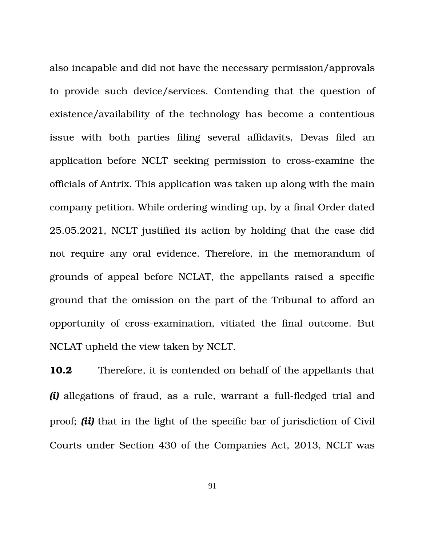also incapable and did not have the necessary permission/approvals to provide such device/services. Contending that the question of existence/availability of the technology has become a contentious issue with both parties filing several affidavits, Devas filed an application before NCLT seeking permission to cross-examine the officials of Antrix. This application was taken up along with the main company petition. While ordering winding up, by a final Order dated 25.05.2021, NCLT justified its action by holding that the case did not require any oral evidence. Therefore, in the memorandum of grounds of appeal before NCLAT, the appellants raised a specific ground that the omission on the part of the Tribunal to afford an opportunity of cross-examination, vitiated the final outcome. But NCLAT upheld the view taken by NCLT.

**10.2** Therefore, it is contended on behalf of the appellants that *(i)* allegations of fraud, as a rule, warrant a full-fledged trial and proof; *(ii)* that in the light of the specific bar of jurisdiction of Civil Courts under Section 430 of the Companies Act, 2013, NCLT was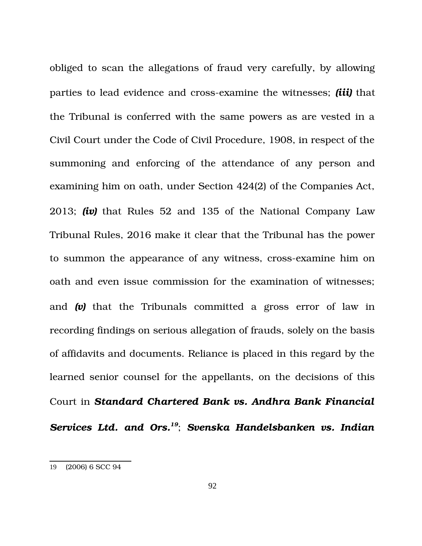obliged to scan the allegations of fraud very carefully, by allowing parties to lead evidence and cross-examine the witnesses; *(iii)* that the Tribunal is conferred with the same powers as are vested in a Civil Court under the Code of Civil Procedure, 1908, in respect of the summoning and enforcing of the attendance of any person and examining him on oath, under Section 424(2) of the Companies Act, 2013; *(iv)* that Rules 52 and 135 of the National Company Law Tribunal Rules, 2016 make it clear that the Tribunal has the power to summon the appearance of any witness, cross-examine him on oath and even issue commission for the examination of witnesses; and (v) that the Tribunals committed a gross error of law in recording findings on serious allegation of frauds, solely on the basis of affidavits and documents. Reliance is placed in this regard by the learned senior counsel for the appellants, on the decisions of this Court in *Standard Chartered Bank vs. Andhra Bank Financial Services Ltd. and Ors.[19](#page-91-0)*; *Svenska Handelsbanken vs. Indian*

<span id="page-91-0"></span><sup>19</sup> (2006) 6 SCC 94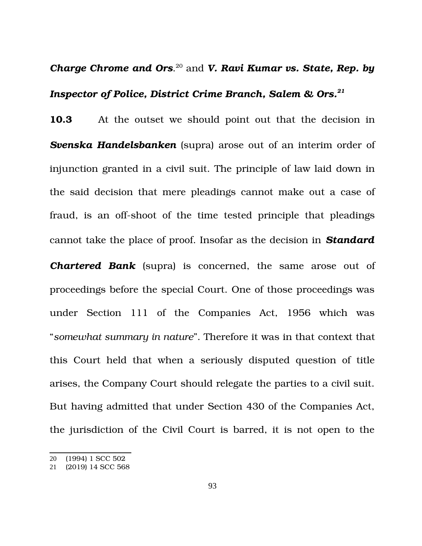# *Charge Chrome and Ors*. [20](#page-92-0) and *V. Ravi Kumar vs. State, Rep. by Inspector of Police, District Crime Branch, Salem & Ors.[21](#page-92-1)*

**10.3** At the outset we should point out that the decision in *Svenska Handelsbanken* (supra) arose out of an interim order of injunction granted in a civil suit. The principle of law laid down in the said decision that mere pleadings cannot make out a case of fraud, is an off-shoot of the time tested principle that pleadings cannot take the place of proof. Insofar as the decision in *Standard*

**Chartered Bank** supral is concerned, the same arose out of proceedings before the special Court. One of those proceedings was under Section 111 of the Companies Act, 1956 which was "*somewhat summary in nature*". Therefore it was in that context that this Court held that when a seriously disputed question of title arises, the Company Court should relegate the parties to a civil suit. But having admitted that under Section 430 of the Companies Act, the jurisdiction of the Civil Court is barred, it is not open to the

<span id="page-92-0"></span><sup>20</sup> (1994) 1 SCC 502

<span id="page-92-1"></span><sup>21</sup> (2019) 14 SCC 568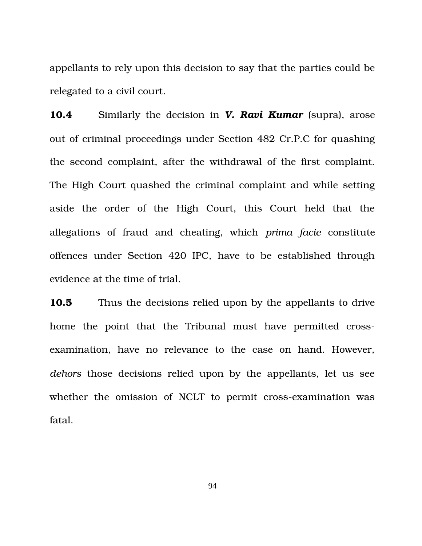appellants to rely upon this decision to say that the parties could be relegated to a civil court.

**10.4** Similarly the decision in *V. Ravi Kumar* (supra), arose out of criminal proceedings under Section 482 Cr.P.C for quashing the second complaint, after the withdrawal of the first complaint. The High Court quashed the criminal complaint and while setting aside the order of the High Court, this Court held that the allegations of fraud and cheating, which *prima facie* constitute offences under Section 420 IPC, have to be established through evidence at the time of trial.

**10.5** Thus the decisions relied upon by the appellants to drive home the point that the Tribunal must have permitted crossexamination, have no relevance to the case on hand. However, *dehors* those decisions relied upon by the appellants, let us see whether the omission of NCLT to permit cross-examination was fatal.

94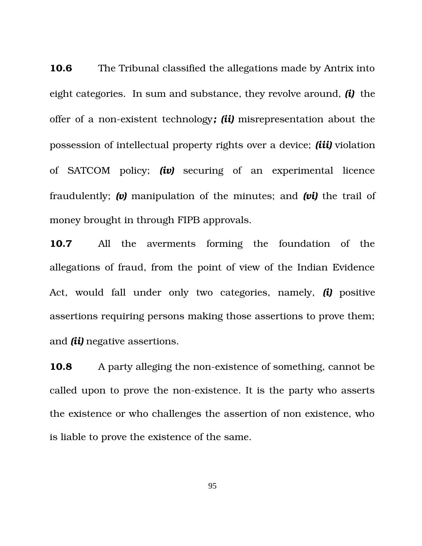**10.6** The Tribunal classified the allegations made by Antrix into eight categories. In sum and substance, they revolve around, *(i)* the offer of a non-existent technology; *(ii)* misrepresentation about the possession of intellectual property rights over a device; *(iii)* violation of SATCOM policy; *(iv)* securing of an experimental licence fraudulently; (v) manipulation of the minutes; and (vi) the trail of money brought in through FIPB approvals.

**10.7** All the averments forming the foundation of the allegations of fraud, from the point of view of the Indian Evidence Act, would fall under only two categories, namely, *(i)* positive assertions requiring persons making those assertions to prove them; and *(ii)* negative assertions.

**10.8** A party alleging the non-existence of something, cannot be called upon to prove the non-existence. It is the party who asserts the existence or who challenges the assertion of non existence, who is liable to prove the existence of the same.

95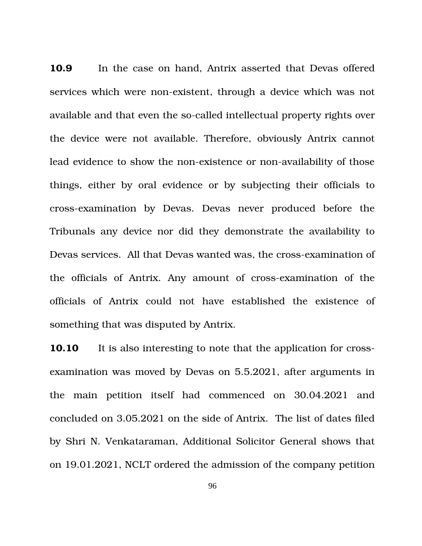**10.9** In the case on hand, Antrix asserted that Devas offered services which were non-existent, through a device which was not available and that even the so-called intellectual property rights over the device were not available. Therefore, obviously Antrix cannot lead evidence to show the non-existence or non-availability of those things, either by oral evidence or by subjecting their officials to crossexamination by Devas. Devas never produced before the Tribunals any device nor did they demonstrate the availability to Devas services. All that Devas wanted was, the cross-examination of the officials of Antrix. Any amount of cross-examination of the officials of Antrix could not have established the existence of something that was disputed by Antrix.

**10.10** It is also interesting to note that the application for crossexamination was moved by Devas on 5.5.2021, after arguments in the main petition itself had commenced on 30.04.2021 and concluded on 3.05.2021 on the side of Antrix. The list of dates filed by Shri N. Venkataraman, Additional Solicitor General shows that on 19.01.2021, NCLT ordered the admission of the company petition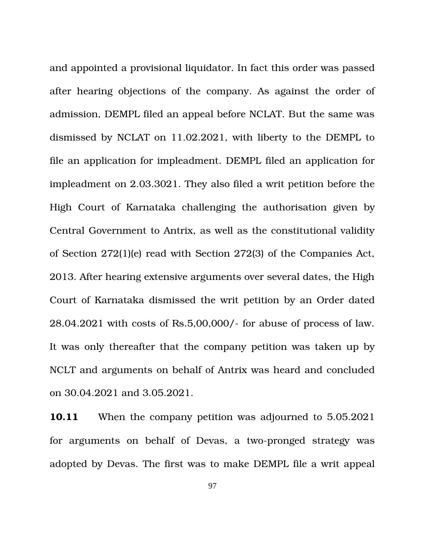and appointed a provisional liquidator. In fact this order was passed after hearing objections of the company. As against the order of admission, DEMPL filed an appeal before NCLAT. But the same was dismissed by NCLAT on 11.02.2021, with liberty to the DEMPL to file an application for impleadment. DEMPL filed an application for impleadment on 2.03.3021. They also filed a writ petition before the High Court of Karnataka challenging the authorisation given by Central Government to Antrix, as well as the constitutional validity of Section 272(1)(e) read with Section 272(3) of the Companies Act, 2013. After hearing extensive arguments over several dates, the High Court of Karnataka dismissed the writ petition by an Order dated 28.04.2021 with costs of Rs.5,00,000/ for abuse of process of law. It was only thereafter that the company petition was taken up by NCLT and arguments on behalf of Antrix was heard and concluded on 30.04.2021 and 3.05.2021.

**10.11** When the company petition was adjourned to 5.05.2021 for arguments on behalf of Devas, a two-pronged strategy was adopted by Devas. The first was to make DEMPL file a writ appeal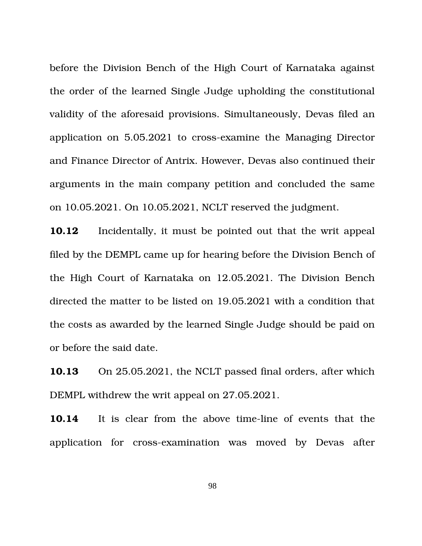before the Division Bench of the High Court of Karnataka against the order of the learned Single Judge upholding the constitutional validity of the aforesaid provisions. Simultaneously, Devas filed an application on 5.05.2021 to cross-examine the Managing Director and Finance Director of Antrix. However, Devas also continued their arguments in the main company petition and concluded the same on 10.05.2021. On 10.05.2021, NCLT reserved the judgment.

**10.12** Incidentally, it must be pointed out that the writ appeal filed by the DEMPL came up for hearing before the Division Bench of the High Court of Karnataka on 12.05.2021. The Division Bench directed the matter to be listed on 19.05.2021 with a condition that the costs as awarded by the learned Single Judge should be paid on or before the said date.

**10.13** On 25.05.2021, the NCLT passed final orders, after which DEMPL withdrew the writ appeal on 27.05.2021.

**10.14** It is clear from the above time-line of events that the application for cross-examination was moved by Devas after

98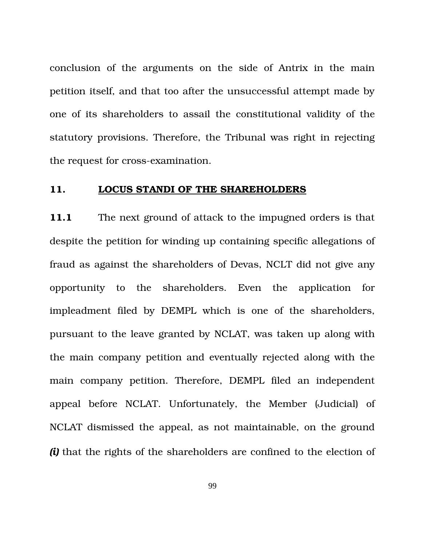conclusion of the arguments on the side of Antrix in the main petition itself, and that too after the unsuccessful attempt made by one of its shareholders to assail the constitutional validity of the statutory provisions. Therefore, the Tribunal was right in rejecting the request for cross-examination.

#### **11. LOCUS STANDI OF THE SHAREHOLDERS**

**11.1** The next ground of attack to the impugned orders is that despite the petition for winding up containing specific allegations of fraud as against the shareholders of Devas, NCLT did not give any opportunity to the shareholders. Even the application for impleadment filed by DEMPL which is one of the shareholders, pursuant to the leave granted by NCLAT, was taken up along with the main company petition and eventually rejected along with the main company petition. Therefore, DEMPL filed an independent appeal before NCLAT. Unfortunately, the Member (Judicial) of NCLAT dismissed the appeal, as not maintainable, on the ground *(i)* that the rights of the shareholders are confined to the election of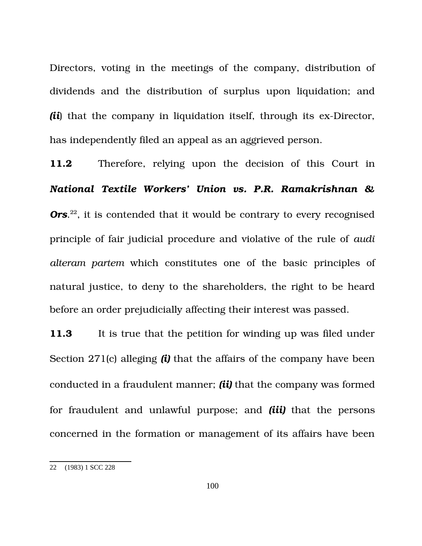Directors, voting in the meetings of the company, distribution of dividends and the distribution of surplus upon liquidation; and *(ii*) that the company in liquidation itself, through its ex-Director, has independently filed an appeal as an aggrieved person.

**11.2** Therefore, relying upon the decision of this Court in *National Textile Workers' Union vs. P.R. Ramakrishnan &* Ors.<sup>[22](#page-99-0)</sup>, it is contended that it would be contrary to every recognised principle of fair judicial procedure and violative of the rule of *audi alteram partem* which constitutes one of the basic principles of natural justice, to deny to the shareholders, the right to be heard before an order prejudicially affecting their interest was passed.

**11.3** It is true that the petition for winding up was filed under Section 271(c) alleging *(i)* that the affairs of the company have been conducted in a fraudulent manner; *(ii)* that the company was formed for fraudulent and unlawful purpose; and *(iii)* that the persons concerned in the formation or management of its affairs have been

<span id="page-99-0"></span><sup>22</sup> (1983) 1 SCC 228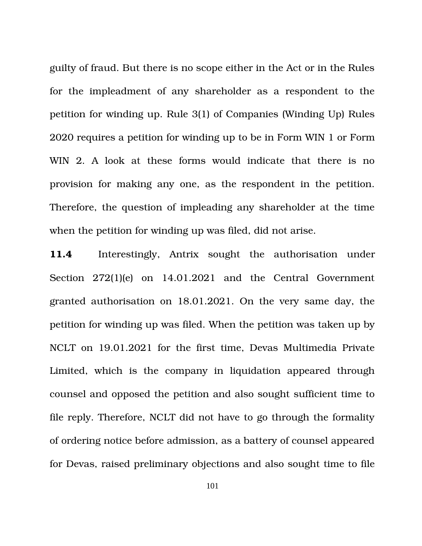guilty of fraud. But there is no scope either in the Act or in the Rules for the impleadment of any shareholder as a respondent to the petition for winding up. Rule 3(1) of Companies (Winding Up) Rules 2020 requires a petition for winding up to be in Form WIN 1 or Form WIN 2. A look at these forms would indicate that there is no provision for making any one, as the respondent in the petition. Therefore, the question of impleading any shareholder at the time when the petition for winding up was filed, did not arise.

11.4 Interestingly, Antrix sought the authorisation under Section 272(1)(e) on 14.01.2021 and the Central Government granted authorisation on 18.01.2021. On the very same day, the petition for winding up was filed. When the petition was taken up by NCLT on 19.01.2021 for the first time, Devas Multimedia Private Limited, which is the company in liquidation appeared through counsel and opposed the petition and also sought sufficient time to file reply. Therefore, NCLT did not have to go through the formality of ordering notice before admission, as a battery of counsel appeared for Devas, raised preliminary objections and also sought time to file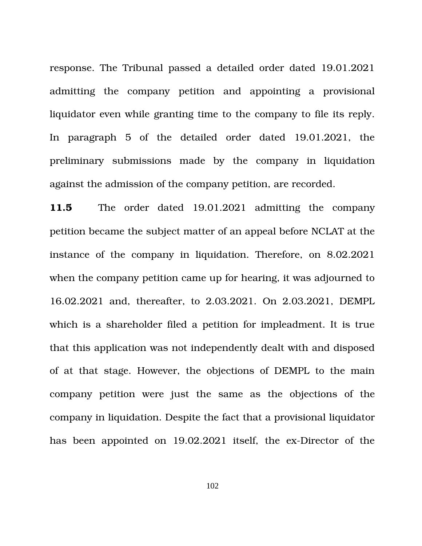response. The Tribunal passed a detailed order dated 19.01.2021 admitting the company petition and appointing a provisional liquidator even while granting time to the company to file its reply. In paragraph 5 of the detailed order dated 19.01.2021, the preliminary submissions made by the company in liquidation against the admission of the company petition, are recorded.

11.5 The order dated 19.01.2021 admitting the company petition became the subject matter of an appeal before NCLAT at the instance of the company in liquidation. Therefore, on 8.02.2021 when the company petition came up for hearing, it was adjourned to 16.02.2021 and, thereafter, to 2.03.2021. On 2.03.2021, DEMPL which is a shareholder filed a petition for impleadment. It is true that this application was not independently dealt with and disposed of at that stage. However, the objections of DEMPL to the main company petition were just the same as the objections of the company in liquidation. Despite the fact that a provisional liquidator has been appointed on 19.02.2021 itself, the ex-Director of the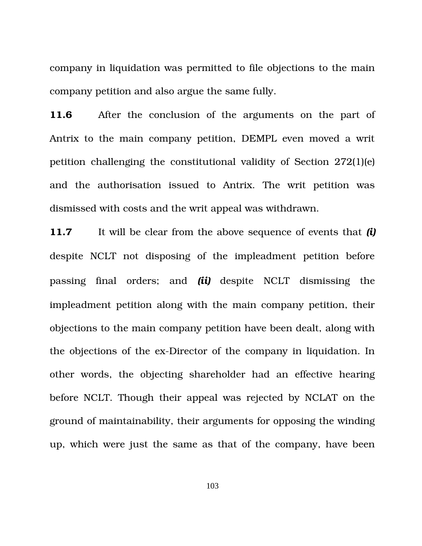company in liquidation was permitted to file objections to the main company petition and also argue the same fully.

**11.6** After the conclusion of the arguments on the part of Antrix to the main company petition, DEMPL even moved a writ petition challenging the constitutional validity of Section 272(1)(e) and the authorisation issued to Antrix. The writ petition was dismissed with costs and the writ appeal was withdrawn.

**11.7** It will be clear from the above sequence of events that *(i)* despite NCLT not disposing of the impleadment petition before passing final orders; and *(ii)* despite NCLT dismissing the impleadment petition along with the main company petition, their objections to the main company petition have been dealt, along with the objections of the ex-Director of the company in liquidation. In other words, the objecting shareholder had an effective hearing before NCLT. Though their appeal was rejected by NCLAT on the ground of maintainability, their arguments for opposing the winding up, which were just the same as that of the company, have been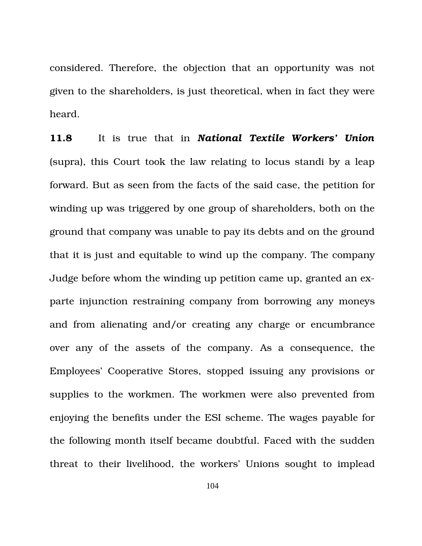considered. Therefore, the objection that an opportunity was not given to the shareholders, is just theoretical, when in fact they were heard.

11.8 It is true that in *National Textile Workers' Union* (supra), this Court took the law relating to locus standi by a leap forward. But as seen from the facts of the said case, the petition for winding up was triggered by one group of shareholders, both on the ground that company was unable to pay its debts and on the ground that it is just and equitable to wind up the company. The company Judge before whom the winding up petition came up, granted an exparte injunction restraining company from borrowing any moneys and from alienating and/or creating any charge or encumbrance over any of the assets of the company. As a consequence, the Employees' Cooperative Stores, stopped issuing any provisions or supplies to the workmen. The workmen were also prevented from enjoying the benefits under the ESI scheme. The wages payable for the following month itself became doubtful. Faced with the sudden threat to their livelihood, the workers' Unions sought to implead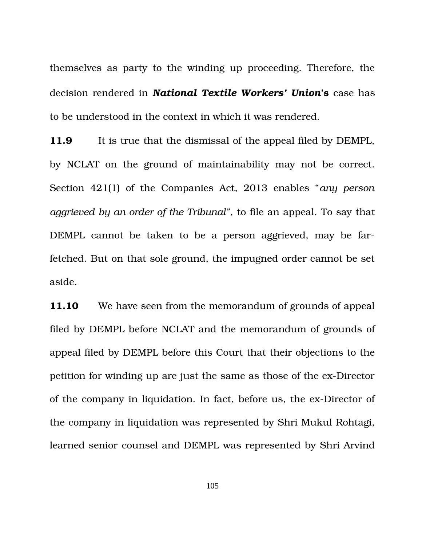themselves as party to the winding up proceeding. Therefore, the decision rendered in *National Textile Workers' Union***'s** case has to be understood in the context in which it was rendered.

**11.9** It is true that the dismissal of the appeal filed by DEMPL, by NCLAT on the ground of maintainability may not be correct. Section 421(1) of the Companies Act, 2013 enables "*any person aggrieved by an order of the Tribunal"*, to file an appeal. To say that DEMPL cannot be taken to be a person aggrieved, may be farfetched. But on that sole ground, the impugned order cannot be set aside.

**11.10** We have seen from the memorandum of grounds of appeal filed by DEMPL before NCLAT and the memorandum of grounds of appeal filed by DEMPL before this Court that their objections to the petition for winding up are just the same as those of the ex-Director of the company in liquidation. In fact, before us, the ex-Director of the company in liquidation was represented by Shri Mukul Rohtagi, learned senior counsel and DEMPL was represented by Shri Arvind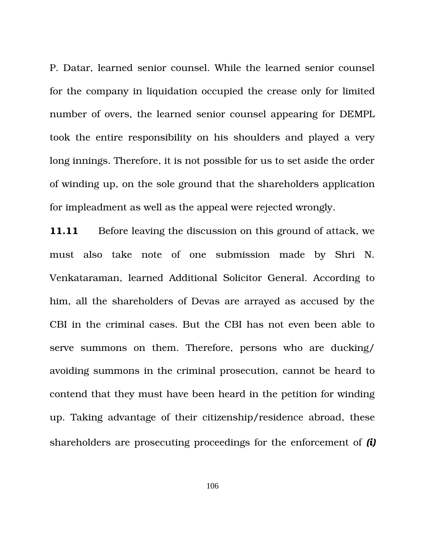P. Datar, learned senior counsel. While the learned senior counsel for the company in liquidation occupied the crease only for limited number of overs, the learned senior counsel appearing for DEMPL took the entire responsibility on his shoulders and played a very long innings. Therefore, it is not possible for us to set aside the order of winding up, on the sole ground that the shareholders application for impleadment as well as the appeal were rejected wrongly.

**11.11** Before leaving the discussion on this ground of attack, we must also take note of one submission made by Shri N. Venkataraman, learned Additional Solicitor General. According to him, all the shareholders of Devas are arrayed as accused by the CBI in the criminal cases. But the CBI has not even been able to serve summons on them. Therefore, persons who are ducking/ avoiding summons in the criminal prosecution, cannot be heard to contend that they must have been heard in the petition for winding up. Taking advantage of their citizenship/residence abroad, these shareholders are prosecuting proceedings for the enforcement of *(i)*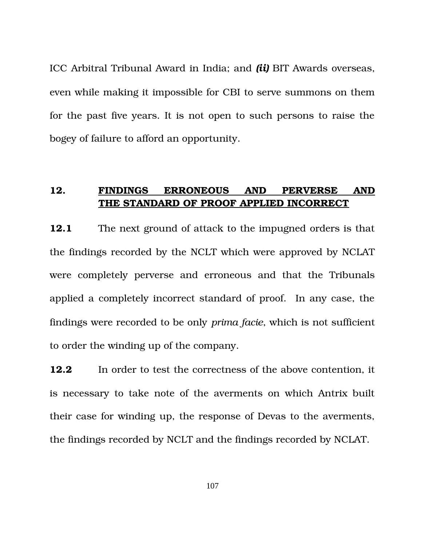ICC Arbitral Tribunal Award in India; and *(ii)* BIT Awards overseas, even while making it impossible for CBI to serve summons on them for the past five years. It is not open to such persons to raise the bogey of failure to afford an opportunity.

## **12. FINDINGS ERRONEOUS AND PERVERSE AND THE STANDARD OF PROOF APPLIED INCORRECT**

**12.1** The next ground of attack to the impugned orders is that the findings recorded by the NCLT which were approved by NCLAT were completely perverse and erroneous and that the Tribunals applied a completely incorrect standard of proof. In any case, the findings were recorded to be only *prima facie*, which is not sufficient to order the winding up of the company.

**12.2** In order to test the correctness of the above contention, it is necessary to take note of the averments on which Antrix built their case for winding up, the response of Devas to the averments, the findings recorded by NCLT and the findings recorded by NCLAT.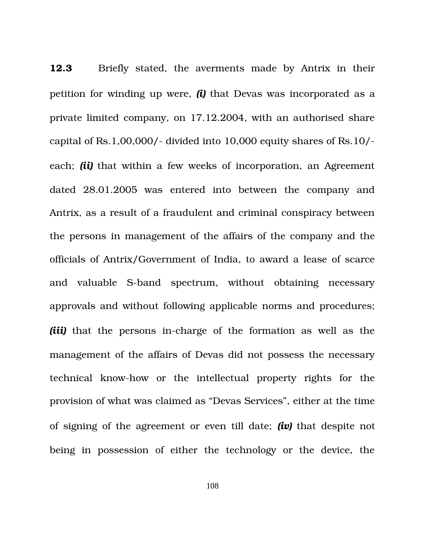**12.3** Briefly stated, the averments made by Antrix in their petition for winding up were, *(i)* that Devas was incorporated as a private limited company, on 17.12.2004, with an authorised share capital of Rs.1,00,000/- divided into 10,000 equity shares of Rs.10/each; *(ii)* that within a few weeks of incorporation, an Agreement dated 28.01.2005 was entered into between the company and Antrix, as a result of a fraudulent and criminal conspiracy between the persons in management of the affairs of the company and the officials of Antrix/Government of India, to award a lease of scarce and valuable S-band spectrum, without obtaining necessary approvals and without following applicable norms and procedures; *(iii)* that the persons in-charge of the formation as well as the management of the affairs of Devas did not possess the necessary technical know-how or the intellectual property rights for the provision of what was claimed as "Devas Services", either at the time of signing of the agreement or even till date; *(iv)* that despite not being in possession of either the technology or the device, the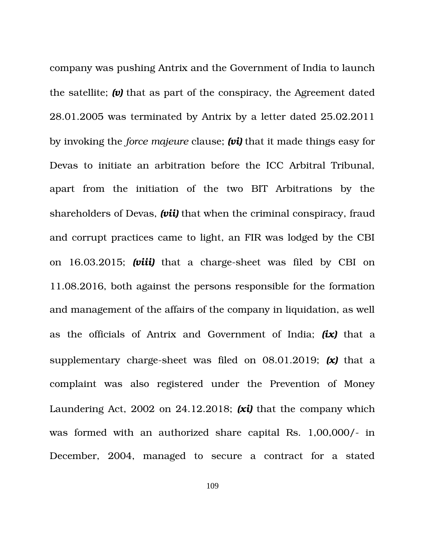company was pushing Antrix and the Government of India to launch the satellite; *(v)* that as part of the conspiracy, the Agreement dated 28.01.2005 was terminated by Antrix by a letter dated 25.02.2011 by invoking the *force majeure* clause; *(vi)* that it made things easy for Devas to initiate an arbitration before the ICC Arbitral Tribunal, apart from the initiation of the two BIT Arbitrations by the shareholders of Devas, *(vii)* that when the criminal conspiracy, fraud and corrupt practices came to light, an FIR was lodged by the CBI on 16.03.2015; *(viii)* that a charge-sheet was filed by CBI on 11.08.2016, both against the persons responsible for the formation and management of the affairs of the company in liquidation, as well as the officials of Antrix and Government of India; *(ix)* that a supplementary charge-sheet was filed on  $08.01.2019$ ;  $(x)$  that a complaint was also registered under the Prevention of Money Laundering Act, 2002 on 24.12.2018; *(xi)* that the company which was formed with an authorized share capital Rs. 1,00,000/- in December, 2004, managed to secure a contract for a stated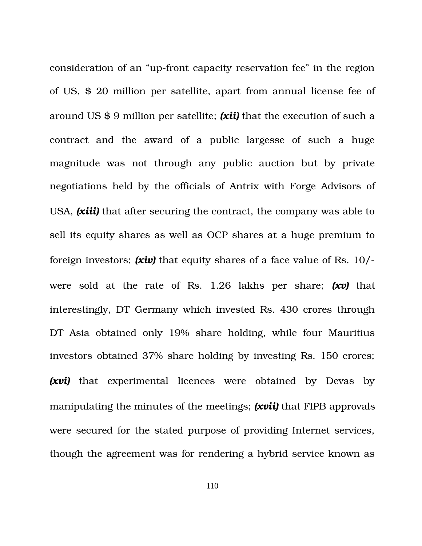consideration of an "up-front capacity reservation fee" in the region of US, \$ 20 million per satellite, apart from annual license fee of around US \$ 9 million per satellite; *(xii)* that the execution of such a contract and the award of a public largesse of such a huge magnitude was not through any public auction but by private negotiations held by the officials of Antrix with Forge Advisors of USA, *(xiii)* that after securing the contract, the company was able to sell its equity shares as well as OCP shares at a huge premium to foreign investors; *(xiv)* that equity shares of a face value of Rs. 10/ were sold at the rate of Rs. 1.26 lakhs per share; (xv) that interestingly, DT Germany which invested Rs. 430 crores through DT Asia obtained only 19% share holding, while four Mauritius investors obtained 37% share holding by investing Rs. 150 crores; *(xvi)* that experimental licences were obtained by Devas by manipulating the minutes of the meetings; *(xvii)* that FIPB approvals were secured for the stated purpose of providing Internet services, though the agreement was for rendering a hybrid service known as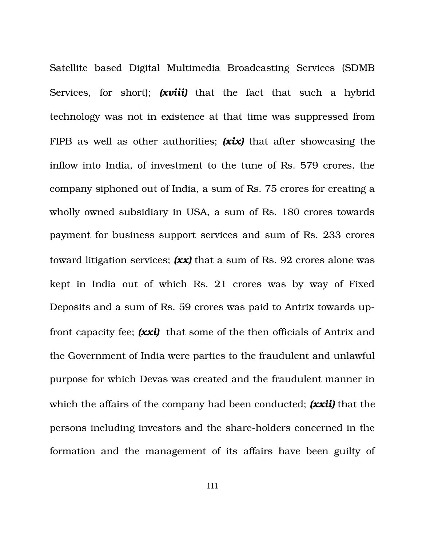Satellite based Digital Multimedia Broadcasting Services (SDMB Services, for short); **(xviii)** that the fact that such a hybrid technology was not in existence at that time was suppressed from FIPB as well as other authorities; *(xix)* that after showcasing the inflow into India, of investment to the tune of Rs. 579 crores, the company siphoned out of India, a sum of Rs. 75 crores for creating a wholly owned subsidiary in USA, a sum of Rs. 180 crores towards payment for business support services and sum of Rs. 233 crores toward litigation services; *(xx)* that a sum of Rs. 92 crores alone was kept in India out of which Rs. 21 crores was by way of Fixed Deposits and a sum of Rs. 59 crores was paid to Antrix towards upfront capacity fee; *(xxi)* that some of the then officials of Antrix and the Government of India were parties to the fraudulent and unlawful purpose for which Devas was created and the fraudulent manner in which the affairs of the company had been conducted; *(xxii)* that the persons including investors and the share-holders concerned in the formation and the management of its affairs have been guilty of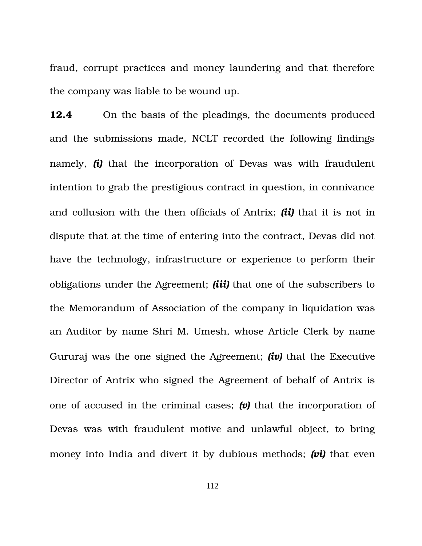fraud, corrupt practices and money laundering and that therefore the company was liable to be wound up.

**12.4** On the basis of the pleadings, the documents produced and the submissions made, NCLT recorded the following findings namely, *(i)* that the incorporation of Devas was with fraudulent intention to grab the prestigious contract in question, in connivance and collusion with the then officials of Antrix; *(ii)* that it is not in dispute that at the time of entering into the contract, Devas did not have the technology, infrastructure or experience to perform their obligations under the Agreement; *(iii)* that one of the subscribers to the Memorandum of Association of the company in liquidation was an Auditor by name Shri M. Umesh, whose Article Clerk by name Gururaj was the one signed the Agreement; *(iv)* that the Executive Director of Antrix who signed the Agreement of behalf of Antrix is one of accused in the criminal cases; *(v)* that the incorporation of Devas was with fraudulent motive and unlawful object, to bring money into India and divert it by dubious methods; *(vi)* that even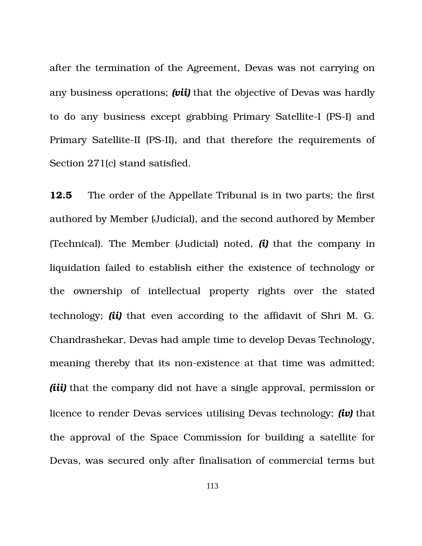after the termination of the Agreement, Devas was not carrying on any business operations; *(vii)* that the objective of Devas was hardly to do any business except grabbing Primary Satellite-I (PS-I) and Primary Satellite-II (PS-II), and that therefore the requirements of Section 271(c) stand satisfied.

**12.5** <sup>The order of the Appellate Tribunal is in two parts; the first</sup> authored by Member (Judicial), and the second authored by Member (Technical). The Member (Judicial) noted, *(i)* that the company in liquidation failed to establish either the existence of technology or the ownership of intellectual property rights over the stated technology; *(ii)* that even according to the affidavit of Shri M. G. Chandrashekar, Devas had ample time to develop Devas Technology, meaning thereby that its non-existence at that time was admitted; *(iii)* that the company did not have a single approval, permission or licence to render Devas services utilising Devas technology; *(iv)* that the approval of the Space Commission for building a satellite for Devas, was secured only after finalisation of commercial terms but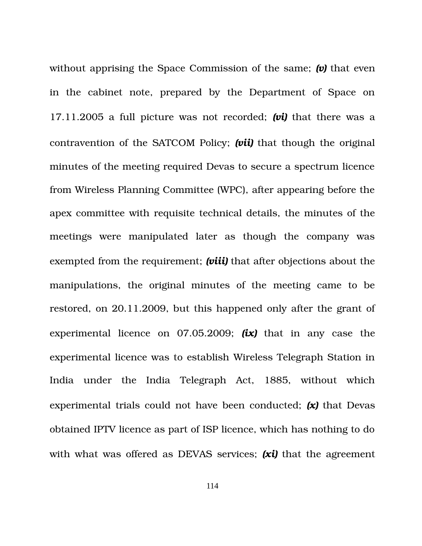without apprising the Space Commission of the same; *(v)* that even in the cabinet note, prepared by the Department of Space on 17.11.2005 a full picture was not recorded; *(vi)* that there was a contravention of the SATCOM Policy; *(vii)* that though the original minutes of the meeting required Devas to secure a spectrum licence from Wireless Planning Committee (WPC), after appearing before the apex committee with requisite technical details, the minutes of the meetings were manipulated later as though the company was exempted from the requirement; *(viii)* that after objections about the manipulations, the original minutes of the meeting came to be restored, on 20.11.2009, but this happened only after the grant of experimental licence on  $07.05.2009$ ;  $(ix)$  that in any case the experimental licence was to establish Wireless Telegraph Station in India under the India Telegraph Act, 1885, without which experimental trials could not have been conducted; *(x)* that Devas obtained IPTV licence as part of ISP licence, which has nothing to do with what was offered as DEVAS services; **(xi)** that the agreement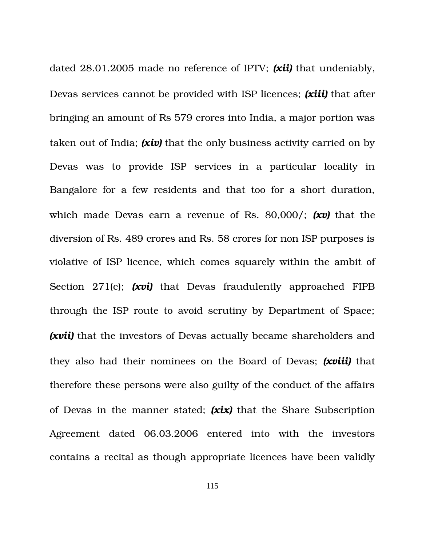dated 28.01.2005 made no reference of IPTV; *(xii)* that undeniably, Devas services cannot be provided with ISP licences; *(xiii)* that after bringing an amount of Rs 579 crores into India, a major portion was taken out of India; *(xiv)* that the only business activity carried on by Devas was to provide ISP services in a particular locality in Bangalore for a few residents and that too for a short duration, which made Devas earn a revenue of Rs. 80,000/; *(xv)* that the diversion of Rs. 489 crores and Rs. 58 crores for non ISP purposes is violative of ISP licence, which comes squarely within the ambit of Section 271(c); (xvi) that Devas fraudulently approached FIPB through the ISP route to avoid scrutiny by Department of Space; **(xvii)** that the investors of Devas actually became shareholders and they also had their nominees on the Board of Devas; *(xviii)* that therefore these persons were also guilty of the conduct of the affairs of Devas in the manner stated; *(xix)* that the Share Subscription Agreement dated 06.03.2006 entered into with the investors contains a recital as though appropriate licences have been validly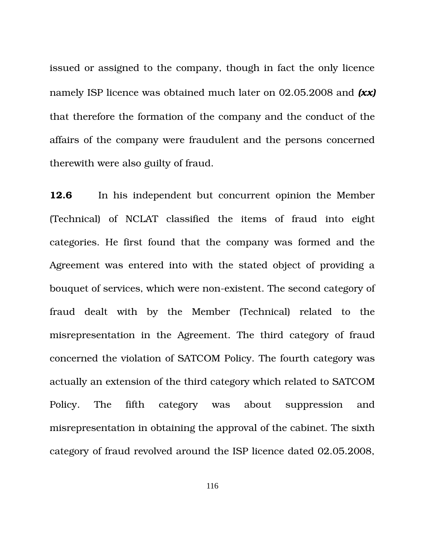issued or assigned to the company, though in fact the only licence namely ISP licence was obtained much later on 02.05.2008 and *(xx)* that therefore the formation of the company and the conduct of the affairs of the company were fraudulent and the persons concerned therewith were also guilty of fraud.

**12.6** In his independent but concurrent opinion the Member (Technical) of NCLAT classified the items of fraud into eight categories. He first found that the company was formed and the Agreement was entered into with the stated object of providing a bouquet of services, which were non-existent. The second category of fraud dealt with by the Member (Technical) related to the misrepresentation in the Agreement. The third category of fraud concerned the violation of SATCOM Policy. The fourth category was actually an extension of the third category which related to SATCOM Policy. The fifth category was about suppression and misrepresentation in obtaining the approval of the cabinet. The sixth category of fraud revolved around the ISP licence dated 02.05.2008,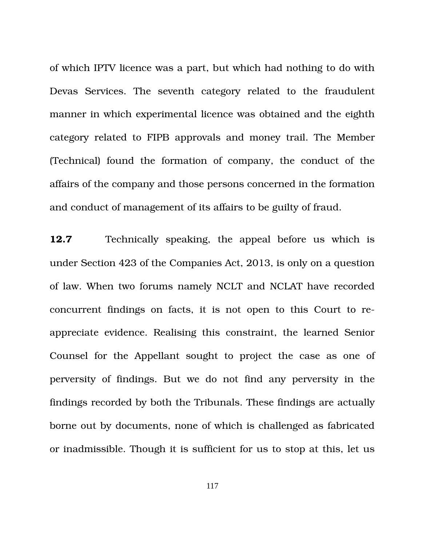of which IPTV licence was a part, but which had nothing to do with Devas Services. The seventh category related to the fraudulent manner in which experimental licence was obtained and the eighth category related to FIPB approvals and money trail. The Member (Technical) found the formation of company, the conduct of the affairs of the company and those persons concerned in the formation and conduct of management of its affairs to be guilty of fraud.

**12.7** Technically speaking, the appeal before us which is under Section 423 of the Companies Act, 2013, is only on a question of law. When two forums namely NCLT and NCLAT have recorded concurrent findings on facts, it is not open to this Court to reappreciate evidence. Realising this constraint, the learned Senior Counsel for the Appellant sought to project the case as one of perversity of findings. But we do not find any perversity in the findings recorded by both the Tribunals. These findings are actually borne out by documents, none of which is challenged as fabricated or inadmissible. Though it is sufficient for us to stop at this, let us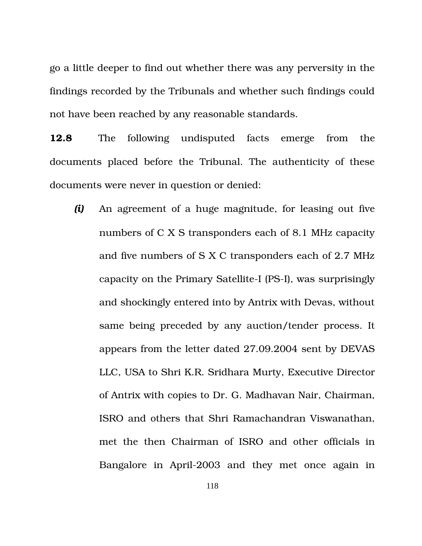go a little deeper to find out whether there was any perversity in the findings recorded by the Tribunals and whether such findings could not have been reached by any reasonable standards.

**12.8** The following undisputed facts emerge from the documents placed before the Tribunal. The authenticity of these documents were never in question or denied:

*(i)* An agreement of a huge magnitude, for leasing out five numbers of C X S transponders each of 8.1 MHz capacity and five numbers of S X C transponders each of 2.7 MHz capacity on the Primary Satellite-I (PS-I), was surprisingly and shockingly entered into by Antrix with Devas, without same being preceded by any auction/tender process. It appears from the letter dated 27.09.2004 sent by DEVAS LLC, USA to Shri K.R. Sridhara Murty, Executive Director of Antrix with copies to Dr. G. Madhavan Nair, Chairman, ISRO and others that Shri Ramachandran Viswanathan, met the then Chairman of ISRO and other officials in Bangalore in April-2003 and they met once again in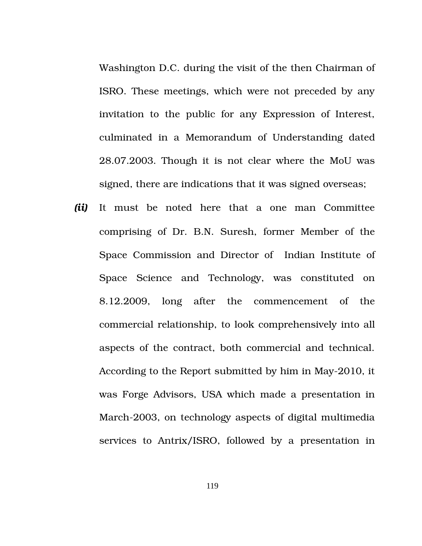Washington D.C. during the visit of the then Chairman of ISRO. These meetings, which were not preceded by any invitation to the public for any Expression of Interest, culminated in a Memorandum of Understanding dated 28.07.2003. Though it is not clear where the MoU was signed, there are indications that it was signed overseas;

*(ii)* It must be noted here that a one man Committee comprising of Dr. B.N. Suresh, former Member of the Space Commission and Director of Indian Institute of Space Science and Technology, was constituted on 8.12.2009, long after the commencement of the commercial relationship, to look comprehensively into all aspects of the contract, both commercial and technical. According to the Report submitted by him in May-2010, it was Forge Advisors, USA which made a presentation in March-2003, on technology aspects of digital multimedia services to Antrix/ISRO, followed by a presentation in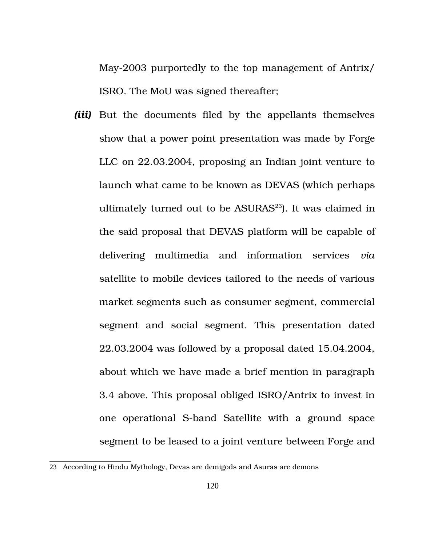May2003 purportedly to the top management of Antrix/ ISRO. The MoU was signed thereafter;

*(iii)* But the documents filed by the appellants themselves show that a power point presentation was made by Forge LLC on 22.03.2004, proposing an Indian joint venture to launch what came to be known as DEVAS (which perhaps ultimately turned out to be  $ASURAS<sup>23</sup>$  $ASURAS<sup>23</sup>$  $ASURAS<sup>23</sup>$ . It was claimed in the said proposal that DEVAS platform will be capable of delivering multimedia and information services *via* satellite to mobile devices tailored to the needs of various market segments such as consumer segment, commercial segment and social segment. This presentation dated 22.03.2004 was followed by a proposal dated 15.04.2004, about which we have made a brief mention in paragraph 3.4 above. This proposal obliged ISRO/Antrix to invest in one operational S-band Satellite with a ground space segment to be leased to a joint venture between Forge and

<span id="page-119-0"></span><sup>23</sup> According to Hindu Mythology, Devas are demigods and Asuras are demons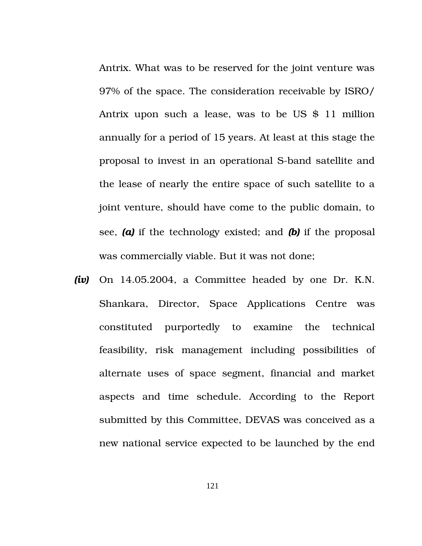Antrix. What was to be reserved for the joint venture was 97% of the space. The consideration receivable by ISRO/ Antrix upon such a lease, was to be US \$ 11 million annually for a period of 15 years. At least at this stage the proposal to invest in an operational S-band satellite and the lease of nearly the entire space of such satellite to a joint venture, should have come to the public domain, to see, *(a)* if the technology existed; and *(b)* if the proposal was commercially viable. But it was not done;

*(iv)* On 14.05.2004, a Committee headed by one Dr. K.N. Shankara, Director, Space Applications Centre was constituted purportedly to examine the technical feasibility, risk management including possibilities of alternate uses of space segment, financial and market aspects and time schedule. According to the Report submitted by this Committee, DEVAS was conceived as a new national service expected to be launched by the end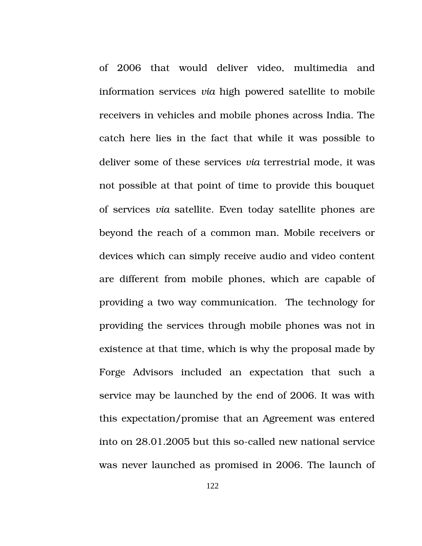of 2006 that would deliver video, multimedia and information services *via* high powered satellite to mobile receivers in vehicles and mobile phones across India. The catch here lies in the fact that while it was possible to deliver some of these services *via* terrestrial mode, it was not possible at that point of time to provide this bouquet of services *via* satellite. Even today satellite phones are beyond the reach of a common man. Mobile receivers or devices which can simply receive audio and video content are different from mobile phones, which are capable of providing a two way communication. The technology for providing the services through mobile phones was not in existence at that time, which is why the proposal made by Forge Advisors included an expectation that such a service may be launched by the end of 2006. It was with this expectation/promise that an Agreement was entered into on 28.01.2005 but this so-called new national service was never launched as promised in 2006. The launch of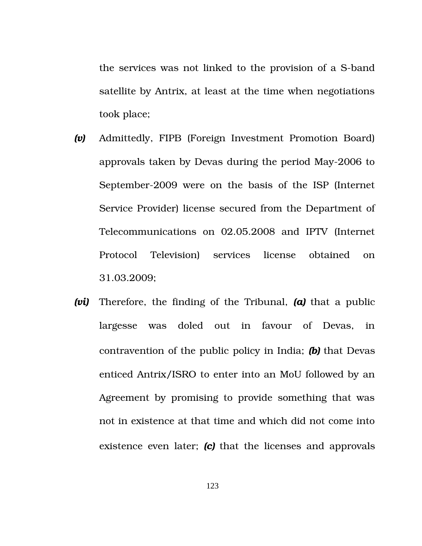the services was not linked to the provision of a S-band satellite by Antrix, at least at the time when negotiations took place;

- *(v)* Admittedly, FIPB (Foreign Investment Promotion Board) approvals taken by Devas during the period May2006 to September-2009 were on the basis of the ISP (Internet Service Provider) license secured from the Department of Telecommunications on 02.05.2008 and IPTV (Internet Protocol Television) services license obtained on 31.03.2009;
- *(vi)* Therefore, the finding of the Tribunal, *(a)* that a public largesse was doled out in favour of Devas, in contravention of the public policy in India; *(b)* that Devas enticed Antrix/ISRO to enter into an MoU followed by an Agreement by promising to provide something that was not in existence at that time and which did not come into existence even later; (c) that the licenses and approvals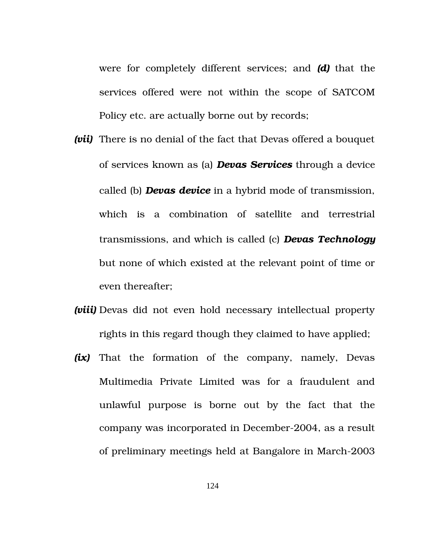were for completely different services; and *(d)* that the services offered were not within the scope of SATCOM Policy etc. are actually borne out by records;

- *(vii)* There is no denial of the fact that Devas offered a bouquet of services known as (a) *Devas Services* through a device called (b) *Devas device* in a hybrid mode of transmission, which is a combination of satellite and terrestrial transmissions, and which is called (c) *Devas Technology* but none of which existed at the relevant point of time or even thereafter;
- *(viii)* Devas did not even hold necessary intellectual property rights in this regard though they claimed to have applied;
- *(ix)* That the formation of the company, namely, Devas Multimedia Private Limited was for a fraudulent and unlawful purpose is borne out by the fact that the company was incorporated in December-2004, as a result of preliminary meetings held at Bangalore in March-2003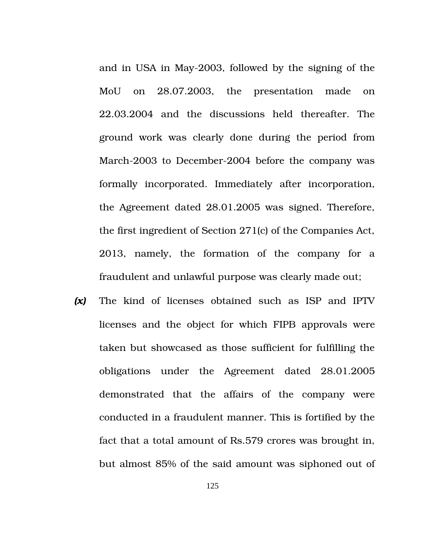and in USA in May-2003, followed by the signing of the MoU on 28.07.2003, the presentation made on 22.03.2004 and the discussions held thereafter. The ground work was clearly done during the period from March-2003 to December-2004 before the company was formally incorporated. Immediately after incorporation, the Agreement dated 28.01.2005 was signed. Therefore, the first ingredient of Section 271(c) of the Companies Act, 2013, namely, the formation of the company for a fraudulent and unlawful purpose was clearly made out;

**(x)** The kind of licenses obtained such as ISP and IPTV licenses and the object for which FIPB approvals were taken but showcased as those sufficient for fulfilling the obligations under the Agreement dated 28.01.2005 demonstrated that the affairs of the company were conducted in a fraudulent manner. This is fortified by the fact that a total amount of Rs.579 crores was brought in, but almost 85% of the said amount was siphoned out of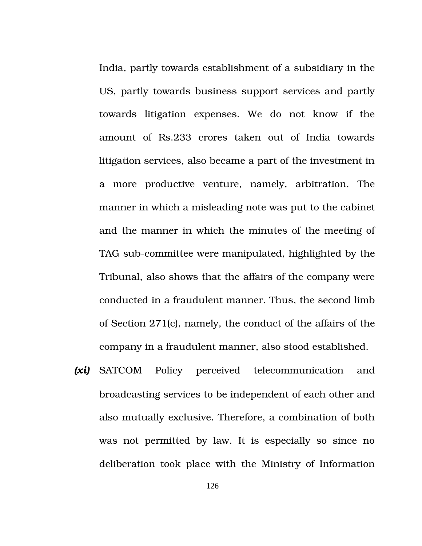India, partly towards establishment of a subsidiary in the US, partly towards business support services and partly towards litigation expenses. We do not know if the amount of Rs.233 crores taken out of India towards litigation services, also became a part of the investment in a more productive venture, namely, arbitration. The manner in which a misleading note was put to the cabinet and the manner in which the minutes of the meeting of TAG sub-committee were manipulated, highlighted by the Tribunal, also shows that the affairs of the company were conducted in a fraudulent manner. Thus, the second limb of Section 271(c), namely, the conduct of the affairs of the company in a fraudulent manner, also stood established.

*(xi)* SATCOM Policy perceived telecommunication and broadcasting services to be independent of each other and also mutually exclusive. Therefore, a combination of both was not permitted by law. It is especially so since no deliberation took place with the Ministry of Information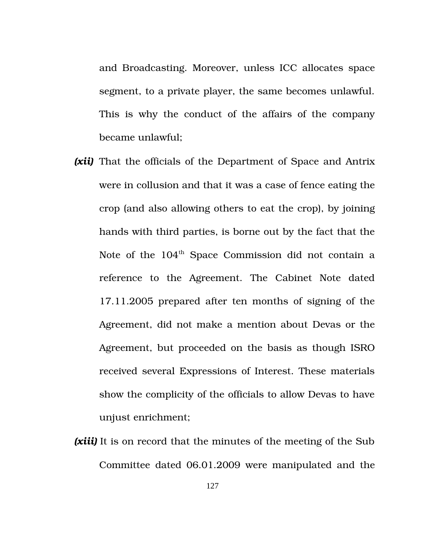and Broadcasting. Moreover, unless ICC allocates space segment, to a private player, the same becomes unlawful. This is why the conduct of the affairs of the company became unlawful;

- *(xii)* That the officials of the Department of Space and Antrix were in collusion and that it was a case of fence eating the crop (and also allowing others to eat the crop), by joining hands with third parties, is borne out by the fact that the Note of the 104<sup>th</sup> Space Commission did not contain a reference to the Agreement. The Cabinet Note dated 17.11.2005 prepared after ten months of signing of the Agreement, did not make a mention about Devas or the Agreement, but proceeded on the basis as though ISRO received several Expressions of Interest. These materials show the complicity of the officials to allow Devas to have unjust enrichment;
- *(xiii)* It is on record that the minutes of the meeting of the Sub Committee dated 06.01.2009 were manipulated and the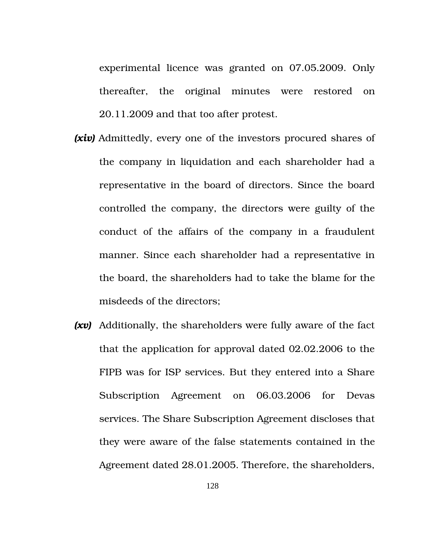experimental licence was granted on 07.05.2009. Only thereafter, the original minutes were restored on 20.11.2009 and that too after protest.

- *(xiv)* Admittedly, every one of the investors procured shares of the company in liquidation and each shareholder had a representative in the board of directors. Since the board controlled the company, the directors were guilty of the conduct of the affairs of the company in a fraudulent manner. Since each shareholder had a representative in the board, the shareholders had to take the blame for the misdeeds of the directors;
- *(xv)* Additionally, the shareholders were fully aware of the fact that the application for approval dated 02.02.2006 to the FIPB was for ISP services. But they entered into a Share Subscription Agreement on 06.03.2006 for Devas services. The Share Subscription Agreement discloses that they were aware of the false statements contained in the Agreement dated 28.01.2005. Therefore, the shareholders,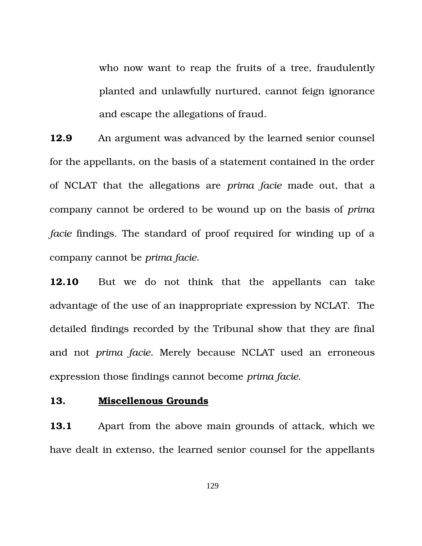who now want to reap the fruits of a tree, fraudulently planted and unlawfully nurtured, cannot feign ignorance and escape the allegations of fraud.

**12.9** An argument was advanced by the learned senior counsel for the appellants, on the basis of a statement contained in the order of NCLAT that the allegations are *prima facie* made out, that a company cannot be ordered to be wound up on the basis of *prima facie* findings. The standard of proof required for winding up of a company cannot be *prima facie.* 

**12.10** But we do not think that the appellants can take advantage of the use of an inappropriate expression by NCLAT. The detailed findings recorded by the Tribunal show that they are final and not *prima facie.* Merely because NCLAT used an erroneous expression those findings cannot become *prima facie*.

## **13. Miscellenous Grounds**

**13.1** Apart from the above main grounds of attack, which we have dealt in extenso, the learned senior counsel for the appellants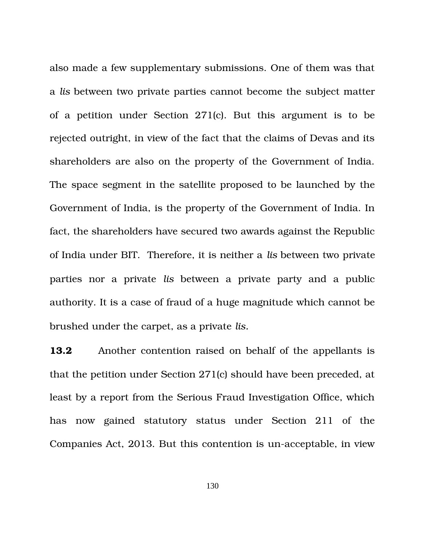also made a few supplementary submissions. One of them was that a *lis* between two private parties cannot become the subject matter of a petition under Section  $271(c)$ . But this argument is to be rejected outright, in view of the fact that the claims of Devas and its shareholders are also on the property of the Government of India. The space segment in the satellite proposed to be launched by the Government of India, is the property of the Government of India. In fact, the shareholders have secured two awards against the Republic of India under BIT. Therefore, it is neither a *lis* between two private parties nor a private *lis* between a private party and a public authority. It is a case of fraud of a huge magnitude which cannot be brushed under the carpet, as a private *lis.*

**13.2** Another contention raised on behalf of the appellants is that the petition under Section 271(c) should have been preceded, at least by a report from the Serious Fraud Investigation Office, which has now gained statutory status under Section 211 of the Companies Act, 2013. But this contention is un-acceptable, in view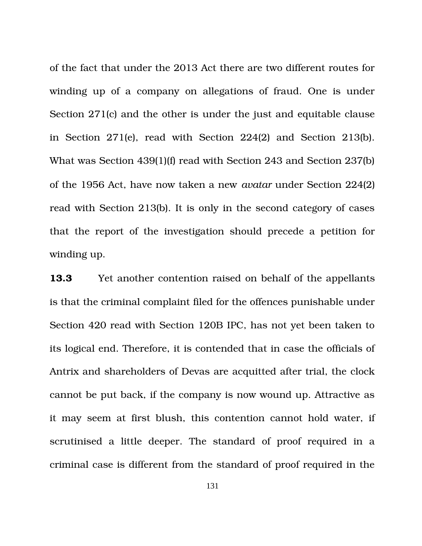of the fact that under the 2013 Act there are two different routes for winding up of a company on allegations of fraud. One is under Section 271(c) and the other is under the just and equitable clause in Section  $271(e)$ , read with Section  $224(2)$  and Section  $213(b)$ . What was Section 439(1)(f) read with Section 243 and Section 237(b) of the 1956 Act, have now taken a new *avatar* under Section 224(2) read with Section 213(b). It is only in the second category of cases that the report of the investigation should precede a petition for winding up.

**13.3** Yet another contention raised on behalf of the appellants is that the criminal complaint filed for the offences punishable under Section 420 read with Section 120B IPC, has not yet been taken to its logical end. Therefore, it is contended that in case the officials of Antrix and shareholders of Devas are acquitted after trial, the clock cannot be put back, if the company is now wound up. Attractive as it may seem at first blush, this contention cannot hold water, if scrutinised a little deeper. The standard of proof required in a criminal case is different from the standard of proof required in the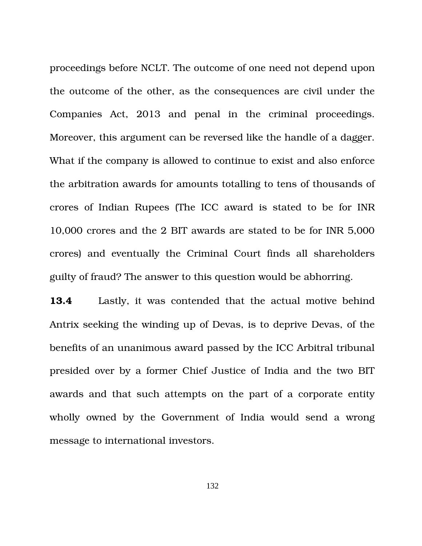proceedings before NCLT. The outcome of one need not depend upon the outcome of the other, as the consequences are civil under the Companies Act, 2013 and penal in the criminal proceedings. Moreover, this argument can be reversed like the handle of a dagger. What if the company is allowed to continue to exist and also enforce the arbitration awards for amounts totalling to tens of thousands of crores of Indian Rupees (The ICC award is stated to be for INR 10,000 crores and the 2 BIT awards are stated to be for INR 5,000 crores) and eventually the Criminal Court finds all shareholders guilty of fraud? The answer to this question would be abhorring.

**13.4** Lastly, it was contended that the actual motive behind Antrix seeking the winding up of Devas, is to deprive Devas, of the benefits of an unanimous award passed by the ICC Arbitral tribunal presided over by a former Chief Justice of India and the two BIT awards and that such attempts on the part of a corporate entity wholly owned by the Government of India would send a wrong message to international investors.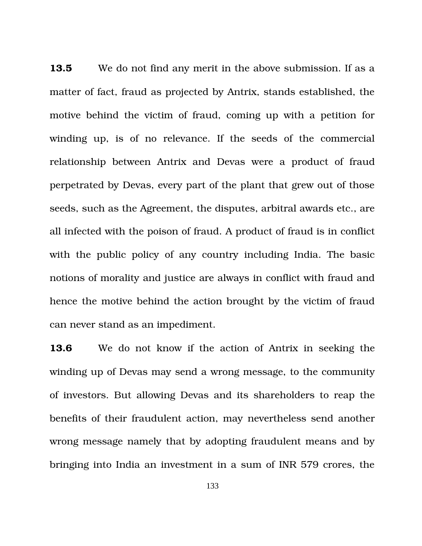**13.5** We do not find any merit in the above submission. If as a matter of fact, fraud as projected by Antrix, stands established, the motive behind the victim of fraud, coming up with a petition for winding up, is of no relevance. If the seeds of the commercial relationship between Antrix and Devas were a product of fraud perpetrated by Devas, every part of the plant that grew out of those seeds, such as the Agreement, the disputes, arbitral awards etc., are all infected with the poison of fraud. A product of fraud is in conflict with the public policy of any country including India. The basic notions of morality and justice are always in conflict with fraud and hence the motive behind the action brought by the victim of fraud can never stand as an impediment.

**13.6** We do not know if the action of Antrix in seeking the winding up of Devas may send a wrong message, to the community of investors. But allowing Devas and its shareholders to reap the benefits of their fraudulent action, may nevertheless send another wrong message namely that by adopting fraudulent means and by bringing into India an investment in a sum of INR 579 crores, the